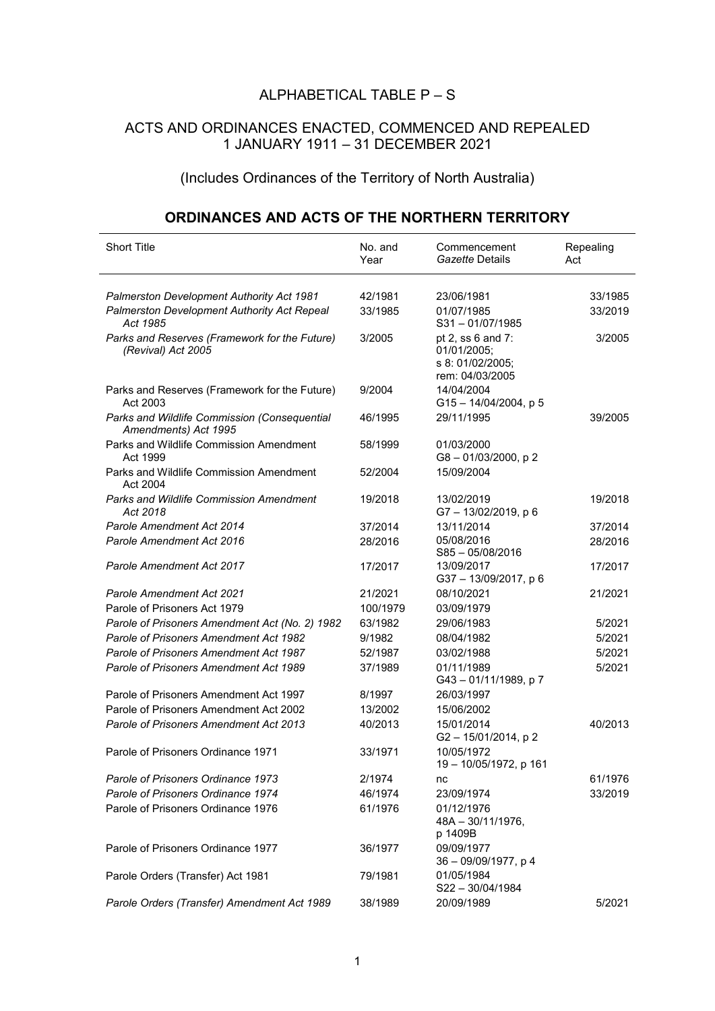## ALPHABETICAL TABLE P – S

## ACTS AND ORDINANCES ENACTED, COMMENCED AND REPEALED 1 JANUARY 1911 – 31 DECEMBER 2021

## (Includes Ordinances of the Territory of North Australia)

## **ORDINANCES AND ACTS OF THE NORTHERN TERRITORY**

| <b>Short Title</b>                                                   | No. and<br>Year | Commencement<br>Gazette Details                                         | Repealing<br>Act |
|----------------------------------------------------------------------|-----------------|-------------------------------------------------------------------------|------------------|
| Palmerston Development Authority Act 1981                            | 42/1981         | 23/06/1981                                                              | 33/1985          |
| Palmerston Development Authority Act Repeal<br>Act 1985              | 33/1985         | 01/07/1985<br>$S31 - 01/07/1985$                                        | 33/2019          |
| Parks and Reserves (Framework for the Future)<br>(Revival) Act 2005  | 3/2005          | pt 2, ss 6 and 7:<br>01/01/2005;<br>s 8: 01/02/2005;<br>rem: 04/03/2005 | 3/2005           |
| Parks and Reserves (Framework for the Future)<br>Act 2003            | 9/2004          | 14/04/2004<br>$G15 - 14/04/2004$ , p 5                                  |                  |
| Parks and Wildlife Commission (Consequential<br>Amendments) Act 1995 | 46/1995         | 29/11/1995                                                              | 39/2005          |
| Parks and Wildlife Commission Amendment<br>Act 1999                  | 58/1999         | 01/03/2000<br>G8-01/03/2000, p2                                         |                  |
| Parks and Wildlife Commission Amendment<br>Act 2004                  | 52/2004         | 15/09/2004                                                              |                  |
| <b>Parks and Wildlife Commission Amendment</b><br>Act 2018           | 19/2018         | 13/02/2019<br>G7-13/02/2019, p6                                         | 19/2018          |
| Parole Amendment Act 2014                                            | 37/2014         | 13/11/2014                                                              | 37/2014          |
| Parole Amendment Act 2016                                            | 28/2016         | 05/08/2016<br>$S85 - 05/08/2016$                                        | 28/2016          |
| Parole Amendment Act 2017                                            | 17/2017         | 13/09/2017<br>G37-13/09/2017, p6                                        | 17/2017          |
| <b>Parole Amendment Act 2021</b>                                     | 21/2021         | 08/10/2021                                                              | 21/2021          |
| Parole of Prisoners Act 1979                                         | 100/1979        | 03/09/1979                                                              |                  |
| Parole of Prisoners Amendment Act (No. 2) 1982                       | 63/1982         | 29/06/1983                                                              | 5/2021           |
| Parole of Prisoners Amendment Act 1982                               | 9/1982          | 08/04/1982                                                              | 5/2021           |
| Parole of Prisoners Amendment Act 1987                               | 52/1987         | 03/02/1988                                                              | 5/2021           |
| Parole of Prisoners Amendment Act 1989                               | 37/1989         | 01/11/1989<br>G43-01/11/1989, p7                                        | 5/2021           |
| Parole of Prisoners Amendment Act 1997                               | 8/1997          | 26/03/1997                                                              |                  |
| Parole of Prisoners Amendment Act 2002                               | 13/2002         | 15/06/2002                                                              |                  |
| Parole of Prisoners Amendment Act 2013                               | 40/2013         | 15/01/2014<br>G2-15/01/2014, p2                                         | 40/2013          |
| Parole of Prisoners Ordinance 1971                                   | 33/1971         | 10/05/1972<br>19 - 10/05/1972, p 161                                    |                  |
| Parole of Prisoners Ordinance 1973                                   | 2/1974          | nc                                                                      | 61/1976          |
| Parole of Prisoners Ordinance 1974                                   | 46/1974         | 23/09/1974                                                              | 33/2019          |
| Parole of Prisoners Ordinance 1976                                   | 61/1976         | 01/12/1976<br>$48A - 30/11/1976$ ,<br>p 1409B                           |                  |
| Parole of Prisoners Ordinance 1977                                   | 36/1977         | 09/09/1977<br>36 - 09/09/1977, p 4                                      |                  |
| Parole Orders (Transfer) Act 1981                                    | 79/1981         | 01/05/1984<br>S22-30/04/1984                                            |                  |
| Parole Orders (Transfer) Amendment Act 1989                          | 38/1989         | 20/09/1989                                                              | 5/2021           |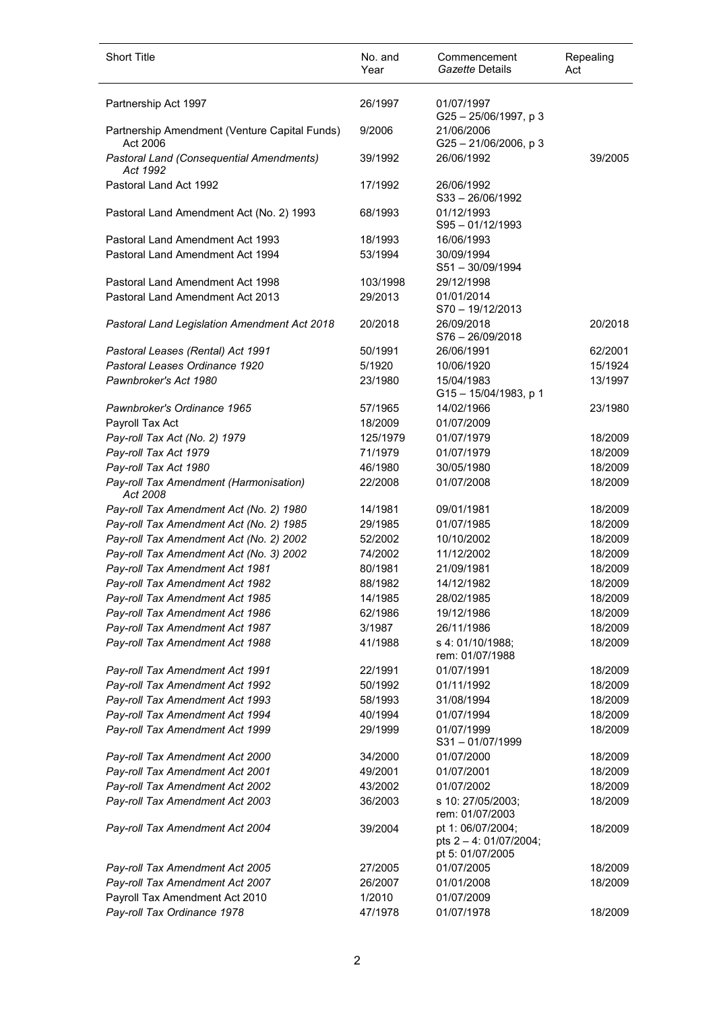| <b>Short Title</b>                                          | No. and<br>Year | Commencement<br>Gazette Details                                 | Repealing<br>Act |
|-------------------------------------------------------------|-----------------|-----------------------------------------------------------------|------------------|
|                                                             |                 |                                                                 |                  |
| Partnership Act 1997                                        | 26/1997         | 01/07/1997<br>G25-25/06/1997, p3                                |                  |
| Partnership Amendment (Venture Capital Funds)<br>Act 2006   | 9/2006          | 21/06/2006<br>$G25 - 21/06/2006$ , p 3                          |                  |
| <b>Pastoral Land (Consequential Amendments)</b><br>Act 1992 | 39/1992         | 26/06/1992                                                      | 39/2005          |
| Pastoral Land Act 1992                                      | 17/1992         | 26/06/1992<br>$S33 - 26/06/1992$                                |                  |
| Pastoral Land Amendment Act (No. 2) 1993                    | 68/1993         | 01/12/1993<br>$S95 - 01/12/1993$                                |                  |
| Pastoral Land Amendment Act 1993                            | 18/1993         | 16/06/1993                                                      |                  |
| Pastoral Land Amendment Act 1994                            | 53/1994         | 30/09/1994                                                      |                  |
|                                                             |                 | S51-30/09/1994                                                  |                  |
| Pastoral Land Amendment Act 1998                            | 103/1998        | 29/12/1998                                                      |                  |
| Pastoral Land Amendment Act 2013                            | 29/2013         | 01/01/2014                                                      |                  |
|                                                             |                 | S70-19/12/2013                                                  |                  |
| Pastoral Land Legislation Amendment Act 2018                | 20/2018         | 26/09/2018<br>$S76 - 26/09/2018$                                | 20/2018          |
| Pastoral Leases (Rental) Act 1991                           | 50/1991         | 26/06/1991                                                      | 62/2001          |
| Pastoral Leases Ordinance 1920                              | 5/1920          | 10/06/1920                                                      | 15/1924          |
| Pawnbroker's Act 1980                                       | 23/1980         | 15/04/1983                                                      | 13/1997          |
|                                                             |                 | G15 - 15/04/1983, p 1                                           |                  |
| Pawnbroker's Ordinance 1965                                 | 57/1965         | 14/02/1966                                                      | 23/1980          |
| Payroll Tax Act                                             | 18/2009         | 01/07/2009                                                      |                  |
| Pay-roll Tax Act (No. 2) 1979                               | 125/1979        | 01/07/1979                                                      | 18/2009          |
| Pay-roll Tax Act 1979                                       | 71/1979         | 01/07/1979                                                      | 18/2009          |
| Pay-roll Tax Act 1980                                       | 46/1980         | 30/05/1980                                                      | 18/2009          |
| Pay-roll Tax Amendment (Harmonisation)<br>Act 2008          | 22/2008         | 01/07/2008                                                      | 18/2009          |
| Pay-roll Tax Amendment Act (No. 2) 1980                     | 14/1981         | 09/01/1981                                                      | 18/2009          |
| Pay-roll Tax Amendment Act (No. 2) 1985                     | 29/1985         | 01/07/1985                                                      | 18/2009          |
| Pay-roll Tax Amendment Act (No. 2) 2002                     | 52/2002         | 10/10/2002                                                      | 18/2009          |
| Pay-roll Tax Amendment Act (No. 3) 2002                     | 74/2002         | 11/12/2002                                                      | 18/2009          |
| Pay-roll Tax Amendment Act 1981                             | 80/1981         | 21/09/1981                                                      | 18/2009          |
| Pay-roll Tax Amendment Act 1982                             | 88/1982         | 14/12/1982                                                      | 18/2009          |
| Pay-roll Tax Amendment Act 1985                             | 14/1985         | 28/02/1985                                                      | 18/2009          |
| Pay-roll Tax Amendment Act 1986                             | 62/1986         | 19/12/1986                                                      | 18/2009          |
| Pay-roll Tax Amendment Act 1987                             | 3/1987          | 26/11/1986                                                      | 18/2009          |
| Pay-roll Tax Amendment Act 1988                             | 41/1988         | s 4: 01/10/1988;<br>rem: 01/07/1988                             | 18/2009          |
| Pay-roll Tax Amendment Act 1991                             | 22/1991         | 01/07/1991                                                      | 18/2009          |
| Pay-roll Tax Amendment Act 1992                             | 50/1992         | 01/11/1992                                                      | 18/2009          |
| Pay-roll Tax Amendment Act 1993                             | 58/1993         | 31/08/1994                                                      | 18/2009          |
| Pay-roll Tax Amendment Act 1994                             | 40/1994         | 01/07/1994                                                      | 18/2009          |
| Pay-roll Tax Amendment Act 1999                             | 29/1999         | 01/07/1999<br>S31-01/07/1999                                    | 18/2009          |
| Pay-roll Tax Amendment Act 2000                             | 34/2000         | 01/07/2000                                                      | 18/2009          |
| Pay-roll Tax Amendment Act 2001                             | 49/2001         | 01/07/2001                                                      | 18/2009          |
| Pay-roll Tax Amendment Act 2002                             | 43/2002         | 01/07/2002                                                      | 18/2009          |
| Pay-roll Tax Amendment Act 2003                             | 36/2003         | s 10: 27/05/2003;<br>rem: 01/07/2003                            | 18/2009          |
| Pay-roll Tax Amendment Act 2004                             | 39/2004         | pt 1: 06/07/2004;<br>pts 2 - 4: 01/07/2004;<br>pt 5: 01/07/2005 | 18/2009          |
| Pay-roll Tax Amendment Act 2005                             | 27/2005         | 01/07/2005                                                      | 18/2009          |
| Pay-roll Tax Amendment Act 2007                             | 26/2007         | 01/01/2008                                                      | 18/2009          |
| Payroll Tax Amendment Act 2010                              | 1/2010          | 01/07/2009                                                      |                  |
| Pay-roll Tax Ordinance 1978                                 | 47/1978         | 01/07/1978                                                      | 18/2009          |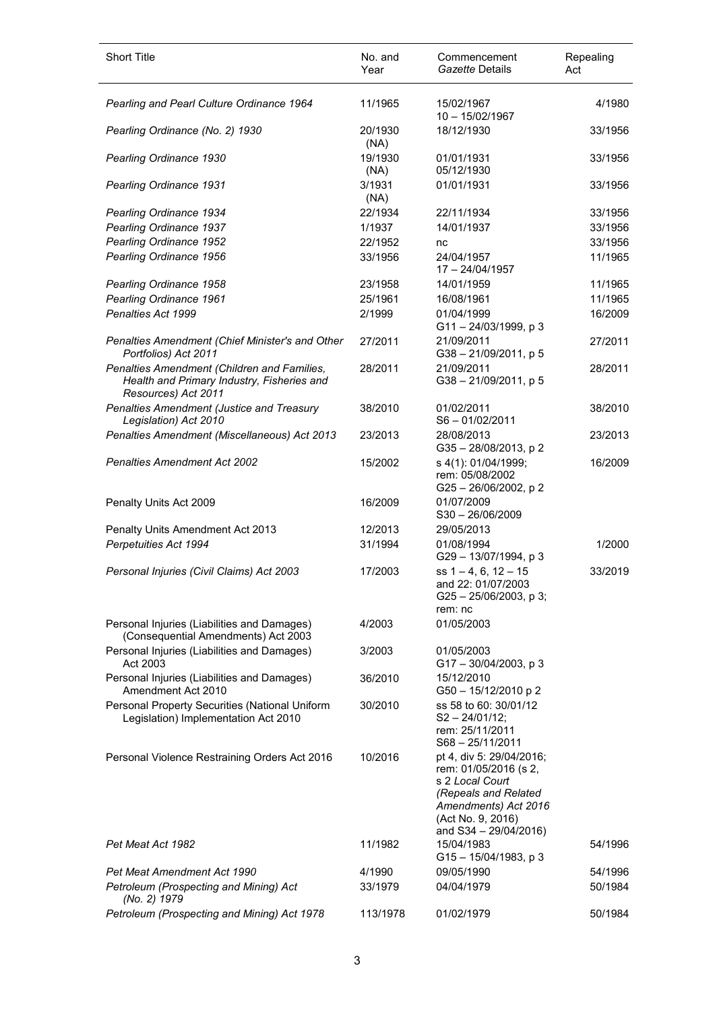| <b>Short Title</b>                                                                                               | No. and<br>Year | Commencement<br>Gazette Details                                                                                                                                    | Repealing<br>Act |
|------------------------------------------------------------------------------------------------------------------|-----------------|--------------------------------------------------------------------------------------------------------------------------------------------------------------------|------------------|
| Pearling and Pearl Culture Ordinance 1964                                                                        | 11/1965         | 15/02/1967<br>10 - 15/02/1967                                                                                                                                      | 4/1980           |
| Pearling Ordinance (No. 2) 1930                                                                                  | 20/1930<br>(NA) | 18/12/1930                                                                                                                                                         | 33/1956          |
| Pearling Ordinance 1930                                                                                          | 19/1930<br>(NA) | 01/01/1931<br>05/12/1930                                                                                                                                           | 33/1956          |
| <b>Pearling Ordinance 1931</b>                                                                                   | 3/1931<br>(NA)  | 01/01/1931                                                                                                                                                         | 33/1956          |
| Pearling Ordinance 1934                                                                                          | 22/1934         | 22/11/1934                                                                                                                                                         | 33/1956          |
| Pearling Ordinance 1937                                                                                          | 1/1937          | 14/01/1937                                                                                                                                                         | 33/1956          |
| Pearling Ordinance 1952                                                                                          | 22/1952         | nc                                                                                                                                                                 | 33/1956          |
| Pearling Ordinance 1956                                                                                          | 33/1956         | 24/04/1957<br>17 - 24/04/1957                                                                                                                                      | 11/1965          |
| Pearling Ordinance 1958                                                                                          | 23/1958         | 14/01/1959                                                                                                                                                         | 11/1965          |
| Pearling Ordinance 1961                                                                                          | 25/1961         | 16/08/1961                                                                                                                                                         | 11/1965          |
| Penalties Act 1999                                                                                               | 2/1999          | 01/04/1999<br>$G11 - 24/03/1999$ , p 3                                                                                                                             | 16/2009          |
| Penalties Amendment (Chief Minister's and Other<br>Portfolios) Act 2011                                          | 27/2011         | 21/09/2011<br>$G38 - 21/09/2011$ , p 5                                                                                                                             | 27/2011          |
| Penalties Amendment (Children and Families,<br>Health and Primary Industry, Fisheries and<br>Resources) Act 2011 | 28/2011         | 21/09/2011<br>$G38 - 21/09/2011$ , p 5                                                                                                                             | 28/2011          |
| Penalties Amendment (Justice and Treasury<br>Legislation) Act 2010                                               | 38/2010         | 01/02/2011<br>$S6 - 01/02/2011$                                                                                                                                    | 38/2010          |
| Penalties Amendment (Miscellaneous) Act 2013                                                                     | 23/2013         | 28/08/2013<br>G35-28/08/2013, p2                                                                                                                                   | 23/2013          |
| Penalties Amendment Act 2002                                                                                     | 15/2002         | s 4(1): 01/04/1999;<br>rem: 05/08/2002<br>G25-26/06/2002, p2                                                                                                       | 16/2009          |
| Penalty Units Act 2009                                                                                           | 16/2009         | 01/07/2009<br>$S30 - 26/06/2009$                                                                                                                                   |                  |
| Penalty Units Amendment Act 2013                                                                                 | 12/2013         | 29/05/2013                                                                                                                                                         |                  |
| Perpetuities Act 1994                                                                                            | 31/1994         | 01/08/1994<br>G29-13/07/1994, p 3                                                                                                                                  | 1/2000           |
| Personal Injuries (Civil Claims) Act 2003                                                                        | 17/2003         | ss $1 - 4$ , 6, $12 - 15$<br>and 22: 01/07/2003<br>$G25 - 25/06/2003$ , p 3;<br>rem: nc                                                                            | 33/2019          |
| Personal Injuries (Liabilities and Damages)<br>(Consequential Amendments) Act 2003                               | 4/2003          | 01/05/2003                                                                                                                                                         |                  |
| Personal Injuries (Liabilities and Damages)<br>Act 2003                                                          | 3/2003          | 01/05/2003<br>$G17 - 30/04/2003$ , p 3                                                                                                                             |                  |
| Personal Injuries (Liabilities and Damages)<br>Amendment Act 2010                                                | 36/2010         | 15/12/2010<br>G50-15/12/2010 p 2                                                                                                                                   |                  |
| Personal Property Securities (National Uniform<br>Legislation) Implementation Act 2010                           | 30/2010         | ss 58 to 60: 30/01/12<br>$S2 - 24/01/12$ :<br>rem: 25/11/2011<br>$S68 - 25/11/2011$                                                                                |                  |
| Personal Violence Restraining Orders Act 2016                                                                    | 10/2016         | pt 4, div 5: 29/04/2016;<br>rem: 01/05/2016 (s 2,<br>s 2 Local Court<br>(Repeals and Related<br>Amendments) Act 2016<br>(Act No. 9, 2016)<br>and S34 - 29/04/2016) |                  |
| Pet Meat Act 1982                                                                                                | 11/1982         | 15/04/1983<br>G15-15/04/1983, p 3                                                                                                                                  | 54/1996          |
| Pet Meat Amendment Act 1990                                                                                      | 4/1990          | 09/05/1990                                                                                                                                                         | 54/1996          |
| Petroleum (Prospecting and Mining) Act<br>(No. 2) 1979                                                           | 33/1979         | 04/04/1979                                                                                                                                                         | 50/1984          |
| Petroleum (Prospecting and Mining) Act 1978                                                                      | 113/1978        | 01/02/1979                                                                                                                                                         | 50/1984          |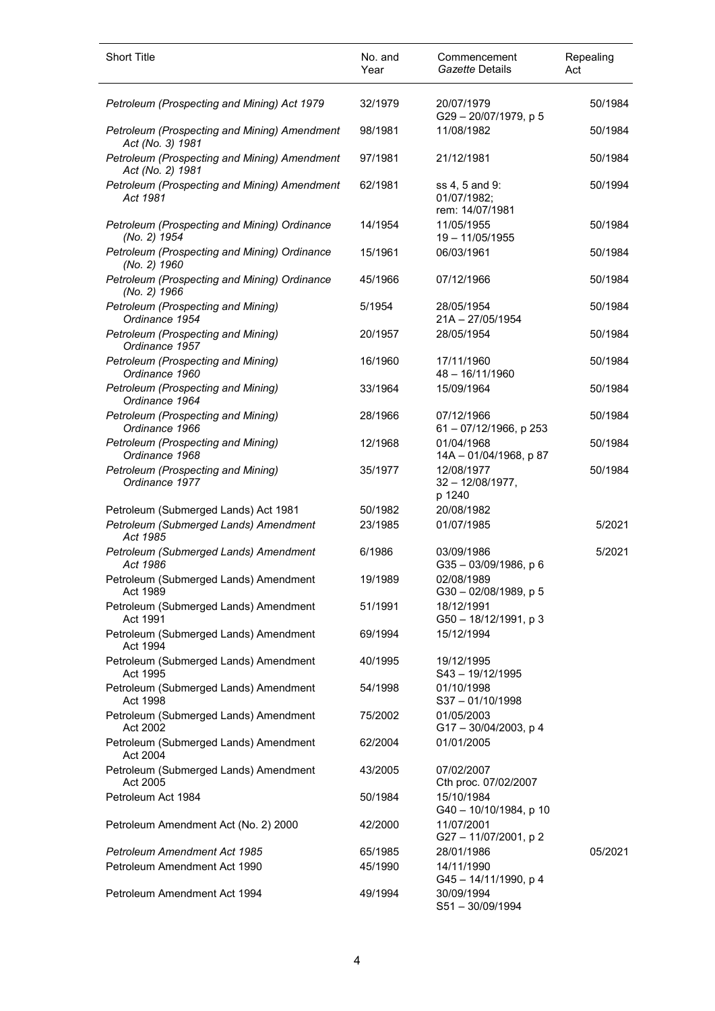| <b>Short Title</b>                                               | No. and<br>Year | Commencement<br>Gazette Details                  | Repealing<br>Act |
|------------------------------------------------------------------|-----------------|--------------------------------------------------|------------------|
| Petroleum (Prospecting and Mining) Act 1979                      | 32/1979         | 20/07/1979<br>G29-20/07/1979, p 5                | 50/1984          |
| Petroleum (Prospecting and Mining) Amendment<br>Act (No. 3) 1981 | 98/1981         | 11/08/1982                                       | 50/1984          |
| Petroleum (Prospecting and Mining) Amendment<br>Act (No. 2) 1981 | 97/1981         | 21/12/1981                                       | 50/1984          |
| Petroleum (Prospecting and Mining) Amendment<br>Act 1981         | 62/1981         | ss 4, 5 and 9:<br>01/07/1982;<br>rem: 14/07/1981 | 50/1994          |
| Petroleum (Prospecting and Mining) Ordinance<br>(No. 2) 1954     | 14/1954         | 11/05/1955<br>19 - 11/05/1955                    | 50/1984          |
| Petroleum (Prospecting and Mining) Ordinance<br>(No. 2) 1960     | 15/1961         | 06/03/1961                                       | 50/1984          |
| Petroleum (Prospecting and Mining) Ordinance<br>(No. 2) 1966     | 45/1966         | 07/12/1966                                       | 50/1984          |
| Petroleum (Prospecting and Mining)<br>Ordinance 1954             | 5/1954          | 28/05/1954<br>$21A - 27/05/1954$                 | 50/1984          |
| Petroleum (Prospecting and Mining)<br>Ordinance 1957             | 20/1957         | 28/05/1954                                       | 50/1984          |
| Petroleum (Prospecting and Mining)<br>Ordinance 1960             | 16/1960         | 17/11/1960<br>$48 - 16/11/1960$                  | 50/1984          |
| Petroleum (Prospecting and Mining)<br>Ordinance 1964             | 33/1964         | 15/09/1964                                       | 50/1984          |
| Petroleum (Prospecting and Mining)<br>Ordinance 1966             | 28/1966         | 07/12/1966<br>61 - 07/12/1966, p 253             | 50/1984          |
| Petroleum (Prospecting and Mining)<br>Ordinance 1968             | 12/1968         | 01/04/1968<br>14A - 01/04/1968, p 87             | 50/1984          |
| Petroleum (Prospecting and Mining)<br>Ordinance 1977             | 35/1977         | 12/08/1977<br>$32 - 12/08/1977$ ,<br>p 1240      | 50/1984          |
| Petroleum (Submerged Lands) Act 1981                             | 50/1982         | 20/08/1982                                       |                  |
| Petroleum (Submerged Lands) Amendment<br>Act 1985                | 23/1985         | 01/07/1985                                       | 5/2021           |
| Petroleum (Submerged Lands) Amendment<br>Act 1986                | 6/1986          | 03/09/1986<br>$G35 - 03/09/1986$ , p 6           | 5/2021           |
| Petroleum (Submerged Lands) Amendment<br>Act 1989                | 19/1989         | 02/08/1989<br>$G30 - 02/08/1989$ , p 5           |                  |
| Petroleum (Submerged Lands) Amendment<br>Act 1991                | 51/1991         | 18/12/1991<br>G50 - 18/12/1991, p 3              |                  |
| Petroleum (Submerged Lands) Amendment<br>Act 1994                | 69/1994         | 15/12/1994                                       |                  |
| Petroleum (Submerged Lands) Amendment<br>Act 1995                | 40/1995         | 19/12/1995<br>$S43 - 19/12/1995$                 |                  |
| Petroleum (Submerged Lands) Amendment<br>Act 1998                | 54/1998         | 01/10/1998<br>$S37 - 01/10/1998$                 |                  |
| Petroleum (Submerged Lands) Amendment<br>Act 2002                | 75/2002         | 01/05/2003<br>G17-30/04/2003, p 4                |                  |
| Petroleum (Submerged Lands) Amendment<br>Act 2004                | 62/2004         | 01/01/2005                                       |                  |
| Petroleum (Submerged Lands) Amendment<br>Act 2005                | 43/2005         | 07/02/2007<br>Cth proc. 07/02/2007               |                  |
| Petroleum Act 1984                                               | 50/1984         | 15/10/1984<br>G40 - 10/10/1984, p 10             |                  |
| Petroleum Amendment Act (No. 2) 2000                             | 42/2000         | 11/07/2001<br>G27-11/07/2001, p2                 |                  |
| <b>Petroleum Amendment Act 1985</b>                              | 65/1985         | 28/01/1986                                       | 05/2021          |
| Petroleum Amendment Act 1990                                     | 45/1990         | 14/11/1990<br>G45-14/11/1990, p4                 |                  |
| Petroleum Amendment Act 1994                                     | 49/1994         | 30/09/1994<br>S51-30/09/1994                     |                  |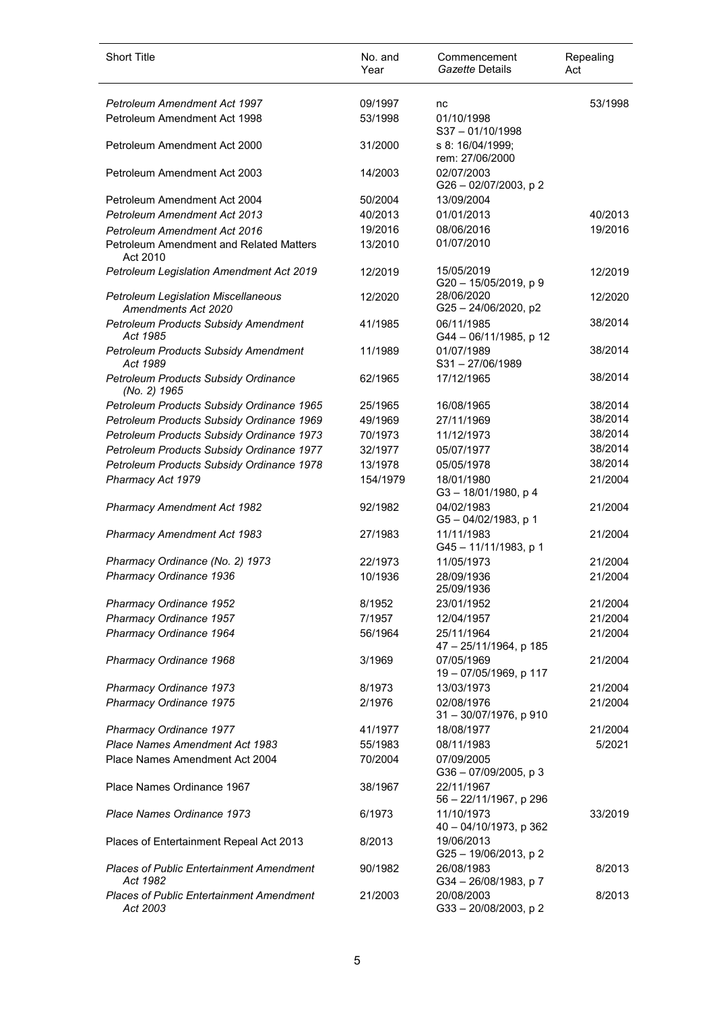| <b>Short Title</b>                                                | No. and<br>Year | Commencement<br>Gazette Details         | Repealing<br>Act |
|-------------------------------------------------------------------|-----------------|-----------------------------------------|------------------|
| <b>Petroleum Amendment Act 1997</b>                               | 09/1997         | nc                                      | 53/1998          |
| Petroleum Amendment Act 1998                                      | 53/1998         | 01/10/1998<br>$S37 - 01/10/1998$        |                  |
| Petroleum Amendment Act 2000                                      | 31/2000         | s 8: 16/04/1999;<br>rem: 27/06/2000     |                  |
| Petroleum Amendment Act 2003                                      | 14/2003         | 02/07/2003<br>G26 - 02/07/2003, p 2     |                  |
| Petroleum Amendment Act 2004                                      | 50/2004         | 13/09/2004                              |                  |
| <b>Petroleum Amendment Act 2013</b>                               | 40/2013         | 01/01/2013                              | 40/2013          |
| <b>Petroleum Amendment Act 2016</b>                               | 19/2016         | 08/06/2016                              | 19/2016          |
| Petroleum Amendment and Related Matters<br>Act 2010               | 13/2010         | 01/07/2010                              |                  |
| Petroleum Legislation Amendment Act 2019                          | 12/2019         | 15/05/2019<br>G20 - 15/05/2019, p 9     | 12/2019          |
| <b>Petroleum Legislation Miscellaneous</b><br>Amendments Act 2020 | 12/2020         | 28/06/2020<br>G25-24/06/2020, p2        | 12/2020          |
| <b>Petroleum Products Subsidy Amendment</b><br>Act 1985           | 41/1985         | 06/11/1985<br>G44 - 06/11/1985, p 12    | 38/2014          |
| Petroleum Products Subsidy Amendment<br>Act 1989                  | 11/1989         | 01/07/1989<br>S31-27/06/1989            | 38/2014          |
| Petroleum Products Subsidy Ordinance<br>(No. 2) 1965              | 62/1965         | 17/12/1965                              | 38/2014          |
| Petroleum Products Subsidy Ordinance 1965                         | 25/1965         | 16/08/1965                              | 38/2014          |
| Petroleum Products Subsidy Ordinance 1969                         | 49/1969         | 27/11/1969                              | 38/2014          |
| Petroleum Products Subsidy Ordinance 1973                         | 70/1973         | 11/12/1973                              | 38/2014          |
| Petroleum Products Subsidy Ordinance 1977                         | 32/1977         | 05/07/1977                              | 38/2014          |
| Petroleum Products Subsidy Ordinance 1978                         | 13/1978         | 05/05/1978                              | 38/2014          |
| Pharmacy Act 1979                                                 | 154/1979        | 18/01/1980<br>$G3 - 18/01/1980$ , p 4   | 21/2004          |
| <b>Pharmacy Amendment Act 1982</b>                                | 92/1982         | 04/02/1983<br>G5-04/02/1983, p 1        | 21/2004          |
| <b>Pharmacy Amendment Act 1983</b>                                | 27/1983         | 11/11/1983<br>G45-11/11/1983, p 1       | 21/2004          |
| Pharmacy Ordinance (No. 2) 1973                                   | 22/1973         | 11/05/1973                              | 21/2004          |
| Pharmacy Ordinance 1936                                           | 10/1936         | 28/09/1936<br>25/09/1936                | 21/2004          |
| Pharmacy Ordinance 1952                                           | 8/1952          | 23/01/1952                              | 21/2004          |
| Pharmacy Ordinance 1957                                           | 7/1957          | 12/04/1957                              | 21/2004          |
| Pharmacy Ordinance 1964                                           | 56/1964         | 25/11/1964<br>47 - 25/11/1964, p 185    | 21/2004          |
| Pharmacy Ordinance 1968                                           | 3/1969          | 07/05/1969<br>19 - 07/05/1969, p 117    | 21/2004          |
| Pharmacy Ordinance 1973                                           | 8/1973          | 13/03/1973                              | 21/2004          |
| Pharmacy Ordinance 1975                                           | 2/1976          | 02/08/1976<br>$31 - 30/07/1976$ , p 910 | 21/2004          |
| Pharmacy Ordinance 1977                                           | 41/1977         | 18/08/1977                              | 21/2004          |
| Place Names Amendment Act 1983                                    | 55/1983         | 08/11/1983                              | 5/2021           |
| Place Names Amendment Act 2004                                    | 70/2004         | 07/09/2005<br>$G36 - 07/09/2005$ , p 3  |                  |
| Place Names Ordinance 1967                                        | 38/1967         | 22/11/1967<br>56 - 22/11/1967, p 296    |                  |
| Place Names Ordinance 1973                                        | 6/1973          | 11/10/1973<br>40 - 04/10/1973, p 362    | 33/2019          |
| Places of Entertainment Repeal Act 2013                           | 8/2013          | 19/06/2013<br>G25-19/06/2013, p2        |                  |
| <b>Places of Public Entertainment Amendment</b><br>Act 1982       | 90/1982         | 26/08/1983<br>G34-26/08/1983, p7        | 8/2013           |
| <b>Places of Public Entertainment Amendment</b><br>Act 2003       | 21/2003         | 20/08/2003<br>G33-20/08/2003, p2        | 8/2013           |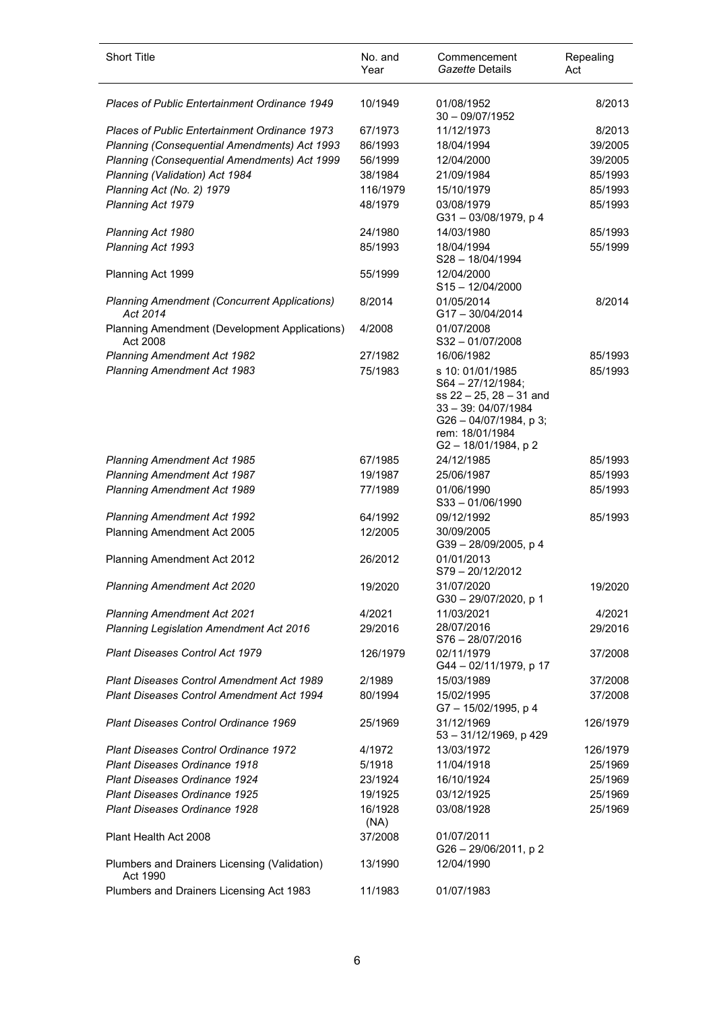| <b>Short Title</b>                                              | No. and<br>Year | Commencement<br>Gazette Details                                                                                                                                     | Repealing<br>Act |
|-----------------------------------------------------------------|-----------------|---------------------------------------------------------------------------------------------------------------------------------------------------------------------|------------------|
| <b>Places of Public Entertainment Ordinance 1949</b>            | 10/1949         | 01/08/1952<br>$30 - 09/07/1952$                                                                                                                                     | 8/2013           |
| <b>Places of Public Entertainment Ordinance 1973</b>            | 67/1973         | 11/12/1973                                                                                                                                                          | 8/2013           |
| Planning (Consequential Amendments) Act 1993                    | 86/1993         | 18/04/1994                                                                                                                                                          | 39/2005          |
| Planning (Consequential Amendments) Act 1999                    | 56/1999         | 12/04/2000                                                                                                                                                          | 39/2005          |
| Planning (Validation) Act 1984                                  | 38/1984         | 21/09/1984                                                                                                                                                          | 85/1993          |
| Planning Act (No. 2) 1979                                       | 116/1979        | 15/10/1979                                                                                                                                                          | 85/1993          |
| Planning Act 1979                                               | 48/1979         | 03/08/1979<br>G31-03/08/1979, p 4                                                                                                                                   | 85/1993          |
| Planning Act 1980                                               | 24/1980         | 14/03/1980                                                                                                                                                          | 85/1993          |
| Planning Act 1993                                               | 85/1993         | 18/04/1994<br>$S28 - 18/04/1994$                                                                                                                                    | 55/1999          |
| Planning Act 1999                                               | 55/1999         | 12/04/2000<br>$S15 - 12/04/2000$                                                                                                                                    |                  |
| <b>Planning Amendment (Concurrent Applications)</b><br>Act 2014 | 8/2014          | 01/05/2014<br>G17-30/04/2014                                                                                                                                        | 8/2014           |
| Planning Amendment (Development Applications)<br>Act 2008       | 4/2008          | 01/07/2008<br>$S32 - 01/07/2008$                                                                                                                                    |                  |
| Planning Amendment Act 1982                                     | 27/1982         | 16/06/1982                                                                                                                                                          | 85/1993          |
| <b>Planning Amendment Act 1983</b>                              | 75/1983         | s 10: 01/01/1985<br>S64 - 27/12/1984;<br>ss $22 - 25$ , $28 - 31$ and<br>$33 - 39: 04/07/1984$<br>$G26 - 04/07/1984$ , p 3;<br>rem: 18/01/1984<br>G2-18/01/1984, p2 | 85/1993          |
| <b>Planning Amendment Act 1985</b>                              | 67/1985         | 24/12/1985                                                                                                                                                          | 85/1993          |
| <b>Planning Amendment Act 1987</b>                              | 19/1987         | 25/06/1987                                                                                                                                                          | 85/1993          |
| <b>Planning Amendment Act 1989</b>                              | 77/1989         | 01/06/1990<br>$S33 - 01/06/1990$                                                                                                                                    | 85/1993          |
| <b>Planning Amendment Act 1992</b>                              | 64/1992         | 09/12/1992                                                                                                                                                          | 85/1993          |
| Planning Amendment Act 2005                                     | 12/2005         | 30/09/2005<br>G39-28/09/2005, p 4                                                                                                                                   |                  |
| Planning Amendment Act 2012                                     | 26/2012         | 01/01/2013<br>S79-20/12/2012                                                                                                                                        |                  |
| Planning Amendment Act 2020                                     | 19/2020         | 31/07/2020<br>G30-29/07/2020, p 1                                                                                                                                   | 19/2020          |
| <b>Planning Amendment Act 2021</b>                              | 4/2021          | 11/03/2021                                                                                                                                                          | 4/2021           |
| Planning Legislation Amendment Act 2016                         | 29/2016         | 28/07/2016<br>$S76 - 28/07/2016$                                                                                                                                    | 29/2016          |
| Plant Diseases Control Act 1979                                 | 126/1979        | 02/11/1979<br>G44 - 02/11/1979, p 17                                                                                                                                | 37/2008          |
| Plant Diseases Control Amendment Act 1989                       | 2/1989          | 15/03/1989                                                                                                                                                          | 37/2008          |
| <b>Plant Diseases Control Amendment Act 1994</b>                | 80/1994         | 15/02/1995<br>G7-15/02/1995, p 4                                                                                                                                    | 37/2008          |
| Plant Diseases Control Ordinance 1969                           | 25/1969         | 31/12/1969<br>53 - 31/12/1969, p 429                                                                                                                                | 126/1979         |
| <b>Plant Diseases Control Ordinance 1972</b>                    | 4/1972          | 13/03/1972                                                                                                                                                          | 126/1979         |
| <b>Plant Diseases Ordinance 1918</b>                            | 5/1918          | 11/04/1918                                                                                                                                                          | 25/1969          |
| Plant Diseases Ordinance 1924                                   | 23/1924         | 16/10/1924                                                                                                                                                          | 25/1969          |
| <b>Plant Diseases Ordinance 1925</b>                            | 19/1925         | 03/12/1925                                                                                                                                                          | 25/1969          |
| <b>Plant Diseases Ordinance 1928</b>                            | 16/1928<br>(NA) | 03/08/1928                                                                                                                                                          | 25/1969          |
| Plant Health Act 2008                                           | 37/2008         | 01/07/2011<br>$G26 - 29/06/2011$ , p 2                                                                                                                              |                  |
| Plumbers and Drainers Licensing (Validation)<br>Act 1990        | 13/1990         | 12/04/1990                                                                                                                                                          |                  |
| Plumbers and Drainers Licensing Act 1983                        | 11/1983         | 01/07/1983                                                                                                                                                          |                  |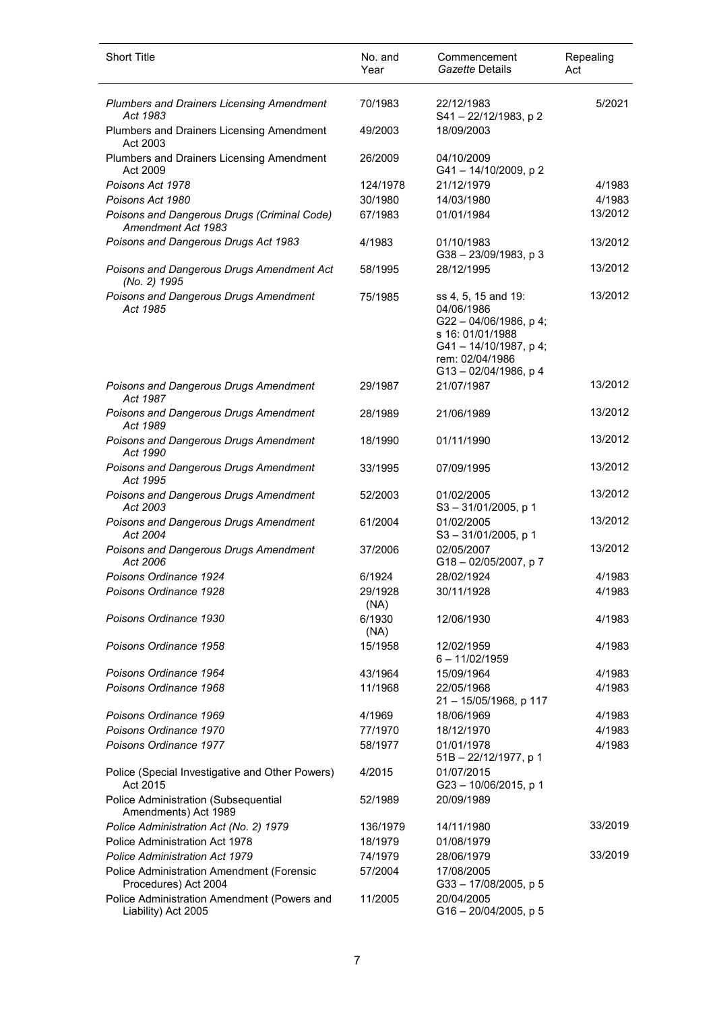| <b>Short Title</b>                                                       | No. and<br>Year | Commencement<br>Gazette Details                                                                                                                    | Repealing<br>Act |
|--------------------------------------------------------------------------|-----------------|----------------------------------------------------------------------------------------------------------------------------------------------------|------------------|
| <b>Plumbers and Drainers Licensing Amendment</b><br>Act 1983             | 70/1983         | 22/12/1983<br>S41-22/12/1983, p2                                                                                                                   | 5/2021           |
| Plumbers and Drainers Licensing Amendment<br>Act 2003                    | 49/2003         | 18/09/2003                                                                                                                                         |                  |
| Plumbers and Drainers Licensing Amendment<br>Act 2009                    | 26/2009         | 04/10/2009<br>G41-14/10/2009, p2                                                                                                                   |                  |
| Poisons Act 1978                                                         | 124/1978        | 21/12/1979                                                                                                                                         | 4/1983           |
| Poisons Act 1980                                                         | 30/1980         | 14/03/1980                                                                                                                                         | 4/1983           |
| Poisons and Dangerous Drugs (Criminal Code)<br>Amendment Act 1983        | 67/1983         | 01/01/1984                                                                                                                                         | 13/2012          |
| Poisons and Dangerous Drugs Act 1983                                     | 4/1983          | 01/10/1983<br>G38-23/09/1983, p3                                                                                                                   | 13/2012          |
| Poisons and Dangerous Drugs Amendment Act<br>(No. 2) 1995                | 58/1995         | 28/12/1995                                                                                                                                         | 13/2012          |
| Poisons and Dangerous Drugs Amendment<br>Act 1985                        | 75/1985         | ss 4, 5, 15 and 19:<br>04/06/1986<br>G22-04/06/1986, p4;<br>s 16: 01/01/1988<br>G41-14/10/1987, p4;<br>rem: 02/04/1986<br>$G13 - 02/04/1986$ , p 4 | 13/2012          |
| Poisons and Dangerous Drugs Amendment<br>Act 1987                        | 29/1987         | 21/07/1987                                                                                                                                         | 13/2012          |
| Poisons and Dangerous Drugs Amendment<br>Act 1989                        | 28/1989         | 21/06/1989                                                                                                                                         | 13/2012          |
| Poisons and Dangerous Drugs Amendment<br>Act 1990                        | 18/1990         | 01/11/1990                                                                                                                                         | 13/2012          |
| Poisons and Dangerous Drugs Amendment<br>Act 1995                        | 33/1995         | 07/09/1995                                                                                                                                         | 13/2012          |
| Poisons and Dangerous Drugs Amendment<br>Act 2003                        | 52/2003         | 01/02/2005<br>$S3 - 31/01/2005$ , p 1                                                                                                              | 13/2012          |
| Poisons and Dangerous Drugs Amendment<br>Act 2004                        | 61/2004         | 01/02/2005<br>$S3 - 31/01/2005$ , p 1                                                                                                              | 13/2012          |
| Poisons and Dangerous Drugs Amendment<br>Act 2006                        | 37/2006         | 02/05/2007<br>G18-02/05/2007, p7                                                                                                                   | 13/2012          |
| Poisons Ordinance 1924                                                   | 6/1924          | 28/02/1924                                                                                                                                         | 4/1983           |
| Poisons Ordinance 1928                                                   | 29/1928<br>(NA) | 30/11/1928                                                                                                                                         | 4/1983           |
| Poisons Ordinance 1930                                                   | 6/1930<br>(NA)  | 12/06/1930                                                                                                                                         | 4/1983           |
| Poisons Ordinance 1958                                                   | 15/1958         | 12/02/1959<br>$6 - 11/02/1959$                                                                                                                     | 4/1983           |
| Poisons Ordinance 1964                                                   | 43/1964         | 15/09/1964                                                                                                                                         | 4/1983           |
| Poisons Ordinance 1968                                                   | 11/1968         | 22/05/1968<br>21 - 15/05/1968, p 117                                                                                                               | 4/1983           |
| Poisons Ordinance 1969                                                   | 4/1969          | 18/06/1969                                                                                                                                         | 4/1983           |
| Poisons Ordinance 1970                                                   | 77/1970         | 18/12/1970                                                                                                                                         | 4/1983           |
| Poisons Ordinance 1977                                                   | 58/1977         | 01/01/1978<br>51B - 22/12/1977, p 1                                                                                                                | 4/1983           |
| Police (Special Investigative and Other Powers)<br>Act 2015              | 4/2015          | 01/07/2015<br>G23-10/06/2015, p 1                                                                                                                  |                  |
| Police Administration (Subsequential<br>Amendments) Act 1989             | 52/1989         | 20/09/1989                                                                                                                                         |                  |
| Police Administration Act (No. 2) 1979                                   | 136/1979        | 14/11/1980                                                                                                                                         | 33/2019          |
| Police Administration Act 1978                                           | 18/1979         | 01/08/1979                                                                                                                                         |                  |
| Police Administration Act 1979                                           | 74/1979         | 28/06/1979                                                                                                                                         | 33/2019          |
| <b>Police Administration Amendment (Forensic</b><br>Procedures) Act 2004 | 57/2004         | 17/08/2005<br>G33-17/08/2005, p 5                                                                                                                  |                  |
| Police Administration Amendment (Powers and<br>Liability) Act 2005       | 11/2005         | 20/04/2005<br>$G16 - 20/04/2005$ , p 5                                                                                                             |                  |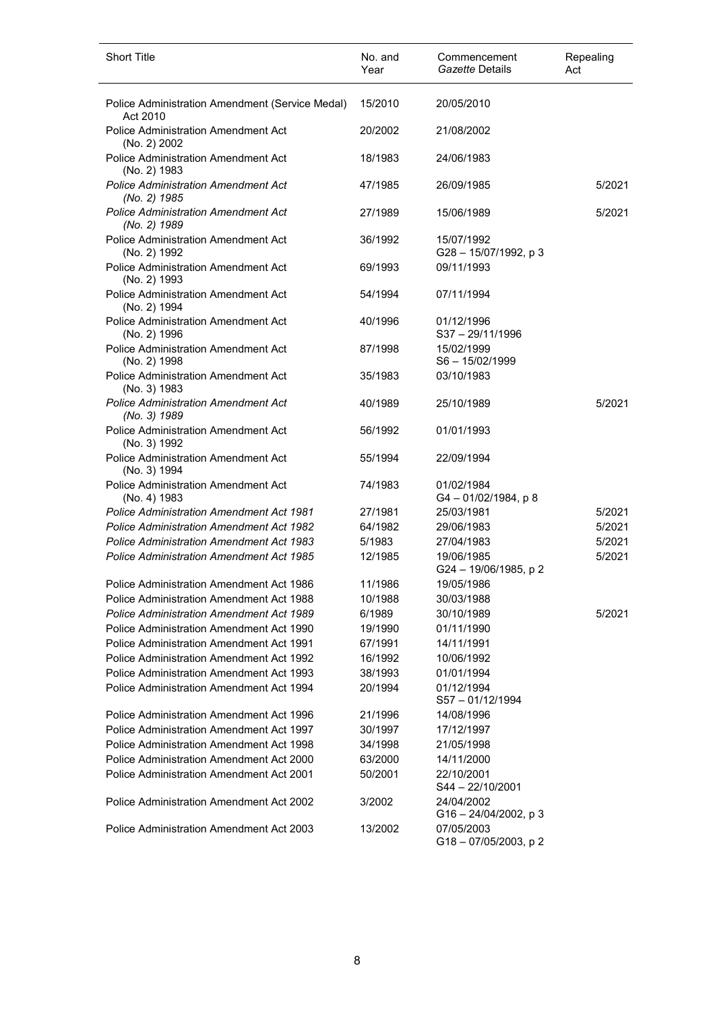| <b>Short Title</b>                                          | No. and<br>Year | Commencement<br>Gazette Details       | Repealing<br>Act |
|-------------------------------------------------------------|-----------------|---------------------------------------|------------------|
| Police Administration Amendment (Service Medal)<br>Act 2010 | 15/2010         | 20/05/2010                            |                  |
| Police Administration Amendment Act<br>(No. 2) 2002         | 20/2002         | 21/08/2002                            |                  |
| Police Administration Amendment Act<br>(No. 2) 1983         | 18/1983         | 24/06/1983                            |                  |
| <b>Police Administration Amendment Act</b><br>(No. 2) 1985  | 47/1985         | 26/09/1985                            | 5/2021           |
| <b>Police Administration Amendment Act</b><br>(No. 2) 1989  | 27/1989         | 15/06/1989                            | 5/2021           |
| <b>Police Administration Amendment Act</b><br>(No. 2) 1992  | 36/1992         | 15/07/1992<br>G28-15/07/1992, p 3     |                  |
| <b>Police Administration Amendment Act</b><br>(No. 2) 1993  | 69/1993         | 09/11/1993                            |                  |
| <b>Police Administration Amendment Act</b><br>(No. 2) 1994  | 54/1994         | 07/11/1994                            |                  |
| <b>Police Administration Amendment Act</b><br>(No. 2) 1996  | 40/1996         | 01/12/1996<br>$S37 - 29/11/1996$      |                  |
| Police Administration Amendment Act<br>(No. 2) 1998         | 87/1998         | 15/02/1999<br>$S6 - 15/02/1999$       |                  |
| Police Administration Amendment Act<br>(No. 3) 1983         | 35/1983         | 03/10/1983                            |                  |
| <b>Police Administration Amendment Act</b><br>(No. 3) 1989  | 40/1989         | 25/10/1989                            | 5/2021           |
| Police Administration Amendment Act<br>(No. 3) 1992         | 56/1992         | 01/01/1993                            |                  |
| Police Administration Amendment Act<br>(No. 3) 1994         | 55/1994         | 22/09/1994                            |                  |
| Police Administration Amendment Act<br>(No. 4) 1983         | 74/1983         | 01/02/1984<br>$G4 - 01/02/1984$ , p 8 |                  |
| <b>Police Administration Amendment Act 1981</b>             | 27/1981         | 25/03/1981                            | 5/2021           |
| <b>Police Administration Amendment Act 1982</b>             | 64/1982         | 29/06/1983                            | 5/2021           |
| <b>Police Administration Amendment Act 1983</b>             | 5/1983          | 27/04/1983                            | 5/2021           |
| <b>Police Administration Amendment Act 1985</b>             | 12/1985         | 19/06/1985<br>G24 - 19/06/1985, p 2   | 5/2021           |
| Police Administration Amendment Act 1986                    | 11/1986         | 19/05/1986                            |                  |
| Police Administration Amendment Act 1988                    | 10/1988         | 30/03/1988                            |                  |
| <b>Police Administration Amendment Act 1989</b>             | 6/1989          | 30/10/1989                            | 5/2021           |
| Police Administration Amendment Act 1990                    | 19/1990         | 01/11/1990                            |                  |
| Police Administration Amendment Act 1991                    | 67/1991         | 14/11/1991                            |                  |
| <b>Police Administration Amendment Act 1992</b>             | 16/1992         | 10/06/1992                            |                  |
| Police Administration Amendment Act 1993                    | 38/1993         | 01/01/1994                            |                  |
| Police Administration Amendment Act 1994                    | 20/1994         | 01/12/1994<br>$S57 - 01/12/1994$      |                  |
| Police Administration Amendment Act 1996                    | 21/1996         | 14/08/1996                            |                  |
| Police Administration Amendment Act 1997                    | 30/1997         | 17/12/1997                            |                  |
| Police Administration Amendment Act 1998                    | 34/1998         | 21/05/1998                            |                  |
| Police Administration Amendment Act 2000                    | 63/2000         | 14/11/2000                            |                  |
| Police Administration Amendment Act 2001                    | 50/2001         | 22/10/2001<br>$S44 - 22/10/2001$      |                  |
| Police Administration Amendment Act 2002                    | 3/2002          | 24/04/2002<br>G16-24/04/2002, p3      |                  |
| Police Administration Amendment Act 2003                    | 13/2002         | 07/05/2003<br>G18-07/05/2003, p2      |                  |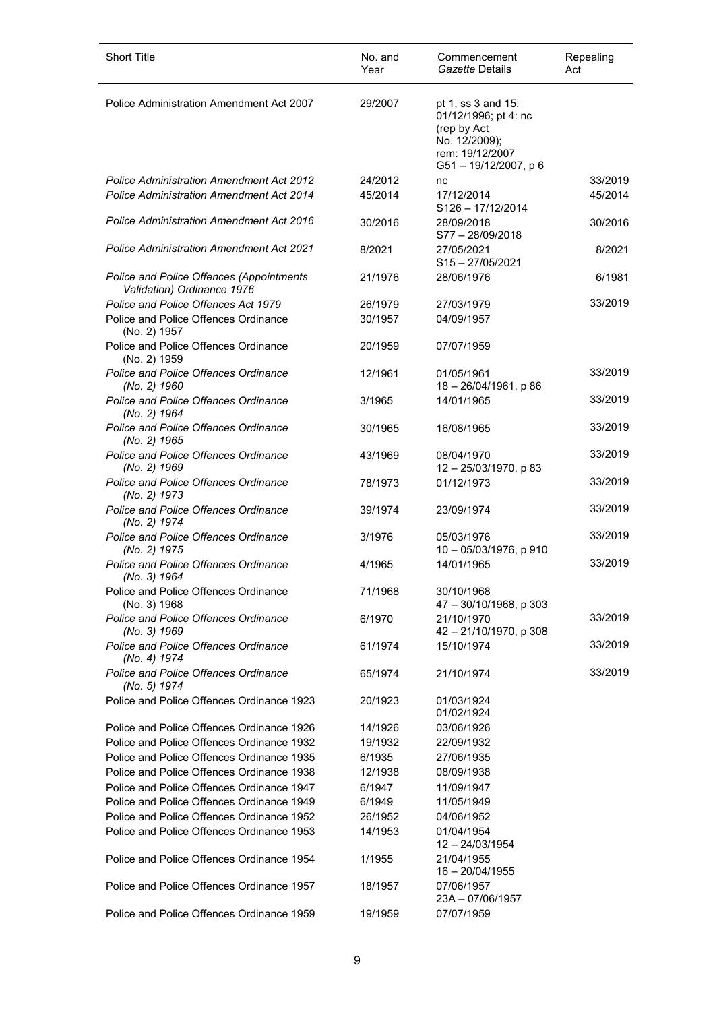| <b>Short Title</b>                                                     | No. and<br>Year | Commencement<br>Gazette Details                                                                                     | Repealing<br>Act |
|------------------------------------------------------------------------|-----------------|---------------------------------------------------------------------------------------------------------------------|------------------|
| Police Administration Amendment Act 2007                               | 29/2007         | pt 1, ss 3 and 15:<br>01/12/1996; pt 4: nc<br>(rep by Act<br>No. 12/2009);<br>rem: 19/12/2007<br>G51-19/12/2007, p6 |                  |
| <b>Police Administration Amendment Act 2012</b>                        | 24/2012         | nc                                                                                                                  | 33/2019          |
| <b>Police Administration Amendment Act 2014</b>                        | 45/2014         | 17/12/2014<br>S126-17/12/2014                                                                                       | 45/2014          |
| <b>Police Administration Amendment Act 2016</b>                        | 30/2016         | 28/09/2018<br>S77-28/09/2018                                                                                        | 30/2016          |
| <b>Police Administration Amendment Act 2021</b>                        | 8/2021          | 27/05/2021<br>$S15 - 27/05/2021$                                                                                    | 8/2021           |
| Police and Police Offences (Appointments<br>Validation) Ordinance 1976 | 21/1976         | 28/06/1976                                                                                                          | 6/1981           |
| Police and Police Offences Act 1979                                    | 26/1979         | 27/03/1979                                                                                                          | 33/2019          |
| Police and Police Offences Ordinance<br>(No. 2) 1957                   | 30/1957         | 04/09/1957                                                                                                          |                  |
| Police and Police Offences Ordinance<br>(No. 2) 1959                   | 20/1959         | 07/07/1959                                                                                                          |                  |
| <b>Police and Police Offences Ordinance</b><br>(No. 2) 1960            | 12/1961         | 01/05/1961<br>18-26/04/1961, p 86                                                                                   | 33/2019          |
| Police and Police Offences Ordinance<br>(No. 2) 1964                   | 3/1965          | 14/01/1965                                                                                                          | 33/2019          |
| Police and Police Offences Ordinance<br>(No. 2) 1965                   | 30/1965         | 16/08/1965                                                                                                          | 33/2019          |
| Police and Police Offences Ordinance<br>(No. 2) 1969                   | 43/1969         | 08/04/1970<br>12-25/03/1970, p 83                                                                                   | 33/2019          |
| Police and Police Offences Ordinance<br>(No. 2) 1973                   | 78/1973         | 01/12/1973                                                                                                          | 33/2019          |
| Police and Police Offences Ordinance<br>(No. 2) 1974                   | 39/1974         | 23/09/1974                                                                                                          | 33/2019          |
| <b>Police and Police Offences Ordinance</b><br>(No. 2) 1975            | 3/1976          | 05/03/1976<br>10 - 05/03/1976, p 910                                                                                | 33/2019          |
| <b>Police and Police Offences Ordinance</b><br>(No. 3) 1964            | 4/1965          | 14/01/1965                                                                                                          | 33/2019          |
| Police and Police Offences Ordinance<br>(No. 3) 1968                   | 71/1968         | 30/10/1968<br>47 - 30/10/1968, p 303                                                                                |                  |
| Police and Police Offences Ordinance<br>(No. 3) 1969                   | 6/1970          | 21/10/1970<br>42 - 21/10/1970, p 308                                                                                | 33/2019          |
| <b>Police and Police Offences Ordinance</b><br>(No. 4) 1974            | 61/1974         | 15/10/1974                                                                                                          | 33/2019          |
| Police and Police Offences Ordinance<br>(No. 5) 1974                   | 65/1974         | 21/10/1974                                                                                                          | 33/2019          |
| Police and Police Offences Ordinance 1923                              | 20/1923         | 01/03/1924<br>01/02/1924                                                                                            |                  |
| Police and Police Offences Ordinance 1926                              | 14/1926         | 03/06/1926                                                                                                          |                  |
| Police and Police Offences Ordinance 1932                              | 19/1932         | 22/09/1932                                                                                                          |                  |
| Police and Police Offences Ordinance 1935                              | 6/1935          | 27/06/1935                                                                                                          |                  |
| Police and Police Offences Ordinance 1938                              | 12/1938         | 08/09/1938                                                                                                          |                  |
| Police and Police Offences Ordinance 1947                              | 6/1947          | 11/09/1947                                                                                                          |                  |
| Police and Police Offences Ordinance 1949                              | 6/1949          | 11/05/1949                                                                                                          |                  |
| Police and Police Offences Ordinance 1952                              | 26/1952         | 04/06/1952                                                                                                          |                  |
| Police and Police Offences Ordinance 1953                              | 14/1953         | 01/04/1954<br>$12 - 24/03/1954$                                                                                     |                  |
| Police and Police Offences Ordinance 1954                              | 1/1955          | 21/04/1955<br>$16 - 20/04/1955$                                                                                     |                  |
| Police and Police Offences Ordinance 1957                              | 18/1957         | 07/06/1957<br>23A - 07/06/1957                                                                                      |                  |
| Police and Police Offences Ordinance 1959                              | 19/1959         | 07/07/1959                                                                                                          |                  |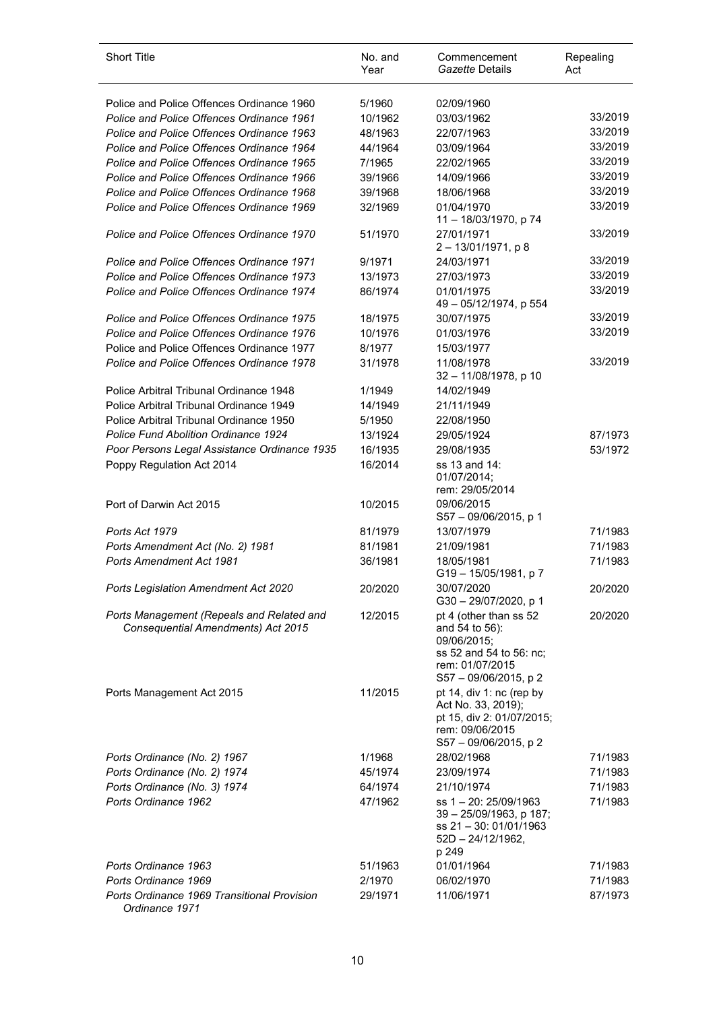| <b>Short Title</b>                                                              | No. and<br>Year    | Commencement<br>Gazette Details                                                                                                   | Repealing<br>Act |
|---------------------------------------------------------------------------------|--------------------|-----------------------------------------------------------------------------------------------------------------------------------|------------------|
| Police and Police Offences Ordinance 1960                                       | 5/1960             | 02/09/1960                                                                                                                        |                  |
| Police and Police Offences Ordinance 1961                                       | 10/1962            | 03/03/1962                                                                                                                        | 33/2019          |
| Police and Police Offences Ordinance 1963                                       | 48/1963            | 22/07/1963                                                                                                                        | 33/2019          |
| Police and Police Offences Ordinance 1964                                       | 44/1964            | 03/09/1964                                                                                                                        | 33/2019          |
| Police and Police Offences Ordinance 1965                                       | 7/1965             | 22/02/1965                                                                                                                        | 33/2019          |
| Police and Police Offences Ordinance 1966                                       | 39/1966            | 14/09/1966                                                                                                                        | 33/2019          |
| Police and Police Offences Ordinance 1968                                       | 39/1968            | 18/06/1968                                                                                                                        | 33/2019          |
| Police and Police Offences Ordinance 1969                                       | 32/1969            | 01/04/1970<br>11 - 18/03/1970, p 74                                                                                               | 33/2019          |
| Police and Police Offences Ordinance 1970                                       | 51/1970            | 27/01/1971<br>$2 - 13/01/1971$ , p 8                                                                                              | 33/2019          |
| Police and Police Offences Ordinance 1971                                       | 9/1971             | 24/03/1971                                                                                                                        | 33/2019          |
| Police and Police Offences Ordinance 1973                                       | 13/1973            | 27/03/1973                                                                                                                        | 33/2019          |
| Police and Police Offences Ordinance 1974                                       | 86/1974            | 01/01/1975<br>49 - 05/12/1974, p 554                                                                                              | 33/2019          |
| Police and Police Offences Ordinance 1975                                       | 18/1975            | 30/07/1975                                                                                                                        | 33/2019          |
| Police and Police Offences Ordinance 1976                                       | 10/1976            | 01/03/1976                                                                                                                        | 33/2019          |
| Police and Police Offences Ordinance 1977                                       | 8/1977             | 15/03/1977                                                                                                                        |                  |
| Police and Police Offences Ordinance 1978                                       | 31/1978            | 11/08/1978<br>32 - 11/08/1978, p 10                                                                                               | 33/2019          |
| Police Arbitral Tribunal Ordinance 1948                                         | 1/1949             | 14/02/1949                                                                                                                        |                  |
| Police Arbitral Tribunal Ordinance 1949                                         | 14/1949            | 21/11/1949                                                                                                                        |                  |
| Police Arbitral Tribunal Ordinance 1950                                         | 5/1950             | 22/08/1950                                                                                                                        |                  |
| <b>Police Fund Abolition Ordinance 1924</b>                                     | 13/1924            | 29/05/1924                                                                                                                        | 87/1973          |
| Poor Persons Legal Assistance Ordinance 1935<br>Poppy Regulation Act 2014       | 16/1935<br>16/2014 | 29/08/1935<br>ss 13 and 14:<br>01/07/2014;<br>rem: 29/05/2014                                                                     | 53/1972          |
| Port of Darwin Act 2015                                                         | 10/2015            | 09/06/2015<br>S57 - 09/06/2015, p 1                                                                                               |                  |
| Ports Act 1979                                                                  | 81/1979            | 13/07/1979                                                                                                                        | 71/1983          |
| Ports Amendment Act (No. 2) 1981                                                | 81/1981            | 21/09/1981                                                                                                                        | 71/1983          |
| Ports Amendment Act 1981                                                        | 36/1981            | 18/05/1981<br>G19 - 15/05/1981, p 7                                                                                               | 71/1983          |
| Ports Legislation Amendment Act 2020                                            | 20/2020            | 30/07/2020<br>G30-29/07/2020, p 1                                                                                                 | 20/2020          |
| Ports Management (Repeals and Related and<br>Consequential Amendments) Act 2015 | 12/2015            | pt 4 (other than ss 52<br>and 54 to 56):<br>09/06/2015;<br>ss 52 and 54 to 56: nc;<br>rem: 01/07/2015<br>$S57 - 09/06/2015$ , p 2 | 20/2020          |
| Ports Management Act 2015                                                       | 11/2015            | pt 14, div 1: nc (rep by<br>Act No. 33, 2019);<br>pt 15, div 2: 01/07/2015;<br>rem: 09/06/2015<br>S57 - 09/06/2015, p 2           |                  |
| Ports Ordinance (No. 2) 1967                                                    | 1/1968             | 28/02/1968                                                                                                                        | 71/1983          |
| Ports Ordinance (No. 2) 1974                                                    | 45/1974            | 23/09/1974                                                                                                                        | 71/1983          |
| Ports Ordinance (No. 3) 1974                                                    | 64/1974            | 21/10/1974                                                                                                                        | 71/1983          |
| Ports Ordinance 1962                                                            | 47/1962            | ss 1 - 20: 25/09/1963<br>39 - 25/09/1963, p 187;<br>ss 21 - 30: 01/01/1963<br>$52D - 24/12/1962$ ,<br>p 249                       | 71/1983          |
| Ports Ordinance 1963                                                            | 51/1963            | 01/01/1964                                                                                                                        | 71/1983          |
| Ports Ordinance 1969                                                            | 2/1970             | 06/02/1970                                                                                                                        | 71/1983          |
| Ports Ordinance 1969 Transitional Provision<br>Ordinance 1971                   | 29/1971            | 11/06/1971                                                                                                                        | 87/1973          |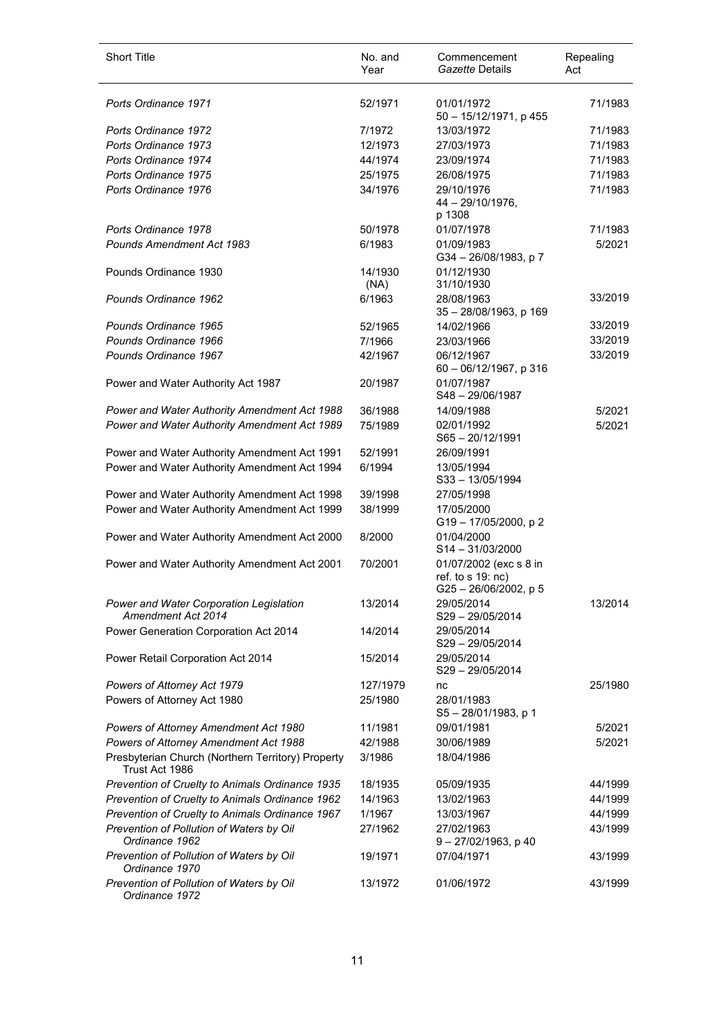| <b>Short Title</b>                                                  | No. and<br>Year | Commencement<br>Gazette Details                                         | Repealing<br>Act |
|---------------------------------------------------------------------|-----------------|-------------------------------------------------------------------------|------------------|
| Ports Ordinance 1971                                                | 52/1971         | 01/01/1972<br>50 - 15/12/1971, p 455                                    | 71/1983          |
| Ports Ordinance 1972                                                | 7/1972          | 13/03/1972                                                              | 71/1983          |
| Ports Ordinance 1973                                                | 12/1973         | 27/03/1973                                                              | 71/1983          |
| Ports Ordinance 1974                                                | 44/1974         | 23/09/1974                                                              | 71/1983          |
| Ports Ordinance 1975                                                | 25/1975         | 26/08/1975                                                              | 71/1983          |
| Ports Ordinance 1976                                                | 34/1976         | 29/10/1976<br>$44 - 29/10/1976$ ,<br>p 1308                             | 71/1983          |
| Ports Ordinance 1978                                                | 50/1978         | 01/07/1978                                                              | 71/1983          |
| <b>Pounds Amendment Act 1983</b>                                    | 6/1983          | 01/09/1983<br>G34-26/08/1983, p7                                        | 5/2021           |
| Pounds Ordinance 1930                                               | 14/1930<br>(NA) | 01/12/1930<br>31/10/1930                                                |                  |
| Pounds Ordinance 1962                                               | 6/1963          | 28/08/1963<br>35 - 28/08/1963, p 169                                    | 33/2019          |
| Pounds Ordinance 1965                                               | 52/1965         | 14/02/1966                                                              | 33/2019          |
| Pounds Ordinance 1966                                               | 7/1966          | 23/03/1966                                                              | 33/2019          |
| Pounds Ordinance 1967                                               | 42/1967         | 06/12/1967<br>60 - 06/12/1967, p 316                                    | 33/2019          |
| Power and Water Authority Act 1987                                  | 20/1987         | 01/07/1987<br>S48-29/06/1987                                            |                  |
| Power and Water Authority Amendment Act 1988                        | 36/1988         | 14/09/1988                                                              | 5/2021           |
| Power and Water Authority Amendment Act 1989                        | 75/1989         | 02/01/1992<br>$S65 - 20/12/1991$                                        | 5/2021           |
| Power and Water Authority Amendment Act 1991                        | 52/1991         | 26/09/1991                                                              |                  |
| Power and Water Authority Amendment Act 1994                        | 6/1994          | 13/05/1994<br>S33-13/05/1994                                            |                  |
| Power and Water Authority Amendment Act 1998                        | 39/1998         | 27/05/1998                                                              |                  |
| Power and Water Authority Amendment Act 1999                        | 38/1999         | 17/05/2000<br>G19-17/05/2000, p2                                        |                  |
| Power and Water Authority Amendment Act 2000                        | 8/2000          | 01/04/2000<br>$S14 - 31/03/2000$                                        |                  |
| Power and Water Authority Amendment Act 2001                        | 70/2001         | 01/07/2002 (exc s 8 in<br>ref. to s 19: nc)<br>$G25 - 26/06/2002$ , p 5 |                  |
| Power and Water Corporation Legislation<br>Amendment Act 2014       | 13/2014         | 29/05/2014<br>S29-29/05/2014                                            | 13/2014          |
| Power Generation Corporation Act 2014                               | 14/2014         | 29/05/2014<br>S29-29/05/2014                                            |                  |
| Power Retail Corporation Act 2014                                   | 15/2014         | 29/05/2014<br>S29-29/05/2014                                            |                  |
| Powers of Attorney Act 1979                                         | 127/1979        | nc                                                                      | 25/1980          |
| Powers of Attorney Act 1980                                         | 25/1980         | 28/01/1983<br>S5-28/01/1983, p 1                                        |                  |
| Powers of Attorney Amendment Act 1980                               | 11/1981         | 09/01/1981                                                              | 5/2021           |
| Powers of Attorney Amendment Act 1988                               | 42/1988         | 30/06/1989                                                              | 5/2021           |
| Presbyterian Church (Northern Territory) Property<br>Trust Act 1986 | 3/1986          | 18/04/1986                                                              |                  |
| Prevention of Cruelty to Animals Ordinance 1935                     | 18/1935         | 05/09/1935                                                              | 44/1999          |
| Prevention of Cruelty to Animals Ordinance 1962                     | 14/1963         | 13/02/1963                                                              | 44/1999          |
| Prevention of Cruelty to Animals Ordinance 1967                     | 1/1967          | 13/03/1967                                                              | 44/1999          |
| Prevention of Pollution of Waters by Oil<br>Ordinance 1962          | 27/1962         | 27/02/1963<br>$9 - 27/02/1963$ , p 40                                   | 43/1999          |
| Prevention of Pollution of Waters by Oil<br>Ordinance 1970          | 19/1971         | 07/04/1971                                                              | 43/1999          |
| Prevention of Pollution of Waters by Oil<br>Ordinance 1972          | 13/1972         | 01/06/1972                                                              | 43/1999          |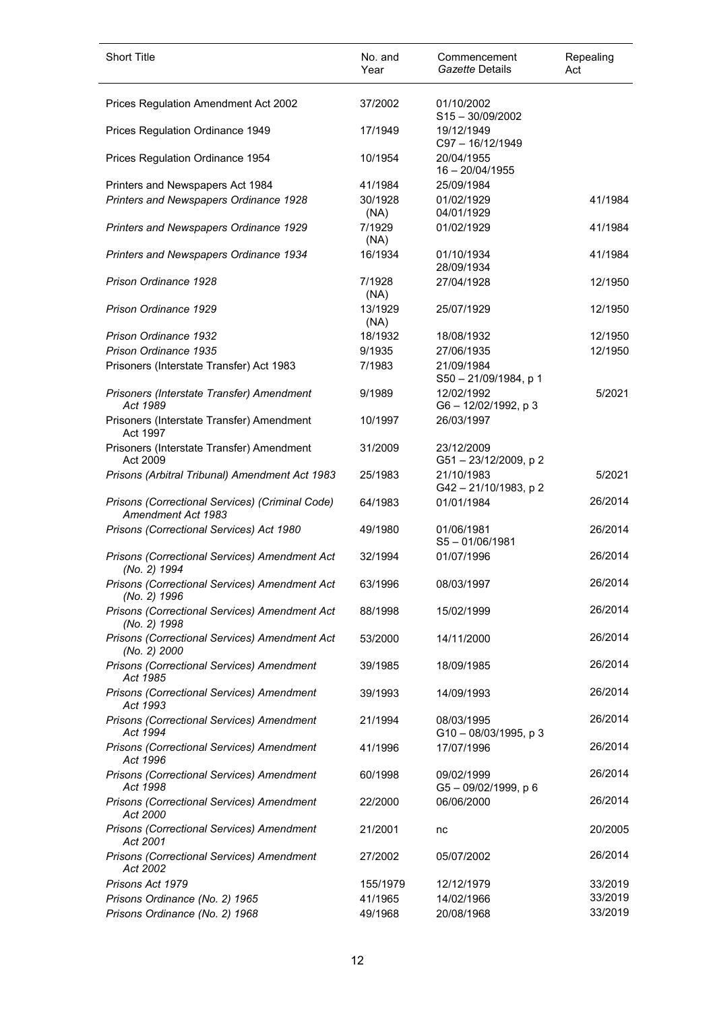| <b>Short Title</b>                                                    | No. and<br>Year | Commencement<br>Gazette Details                    | Repealing<br>Act |
|-----------------------------------------------------------------------|-----------------|----------------------------------------------------|------------------|
| Prices Regulation Amendment Act 2002                                  | 37/2002         | 01/10/2002                                         |                  |
| Prices Regulation Ordinance 1949                                      | 17/1949         | $S15 - 30/09/2002$<br>19/12/1949<br>C97-16/12/1949 |                  |
| Prices Regulation Ordinance 1954                                      | 10/1954         | 20/04/1955<br>$16 - 20/04/1955$                    |                  |
| Printers and Newspapers Act 1984                                      | 41/1984         | 25/09/1984                                         |                  |
| Printers and Newspapers Ordinance 1928                                | 30/1928<br>(NA) | 01/02/1929<br>04/01/1929                           | 41/1984          |
| Printers and Newspapers Ordinance 1929                                | 7/1929<br>(NA)  | 01/02/1929                                         | 41/1984          |
| Printers and Newspapers Ordinance 1934                                | 16/1934         | 01/10/1934<br>28/09/1934                           | 41/1984          |
| Prison Ordinance 1928                                                 | 7/1928<br>(NA)  | 27/04/1928                                         | 12/1950          |
| Prison Ordinance 1929                                                 | 13/1929<br>(NA) | 25/07/1929                                         | 12/1950          |
| Prison Ordinance 1932                                                 | 18/1932         | 18/08/1932                                         | 12/1950          |
| Prison Ordinance 1935                                                 | 9/1935          | 27/06/1935                                         | 12/1950          |
| Prisoners (Interstate Transfer) Act 1983                              | 7/1983          | 21/09/1984<br>S50 - 21/09/1984, p 1                |                  |
| Prisoners (Interstate Transfer) Amendment<br>Act 1989                 | 9/1989          | 12/02/1992<br>G6-12/02/1992, p 3                   | 5/2021           |
| Prisoners (Interstate Transfer) Amendment<br>Act 1997                 | 10/1997         | 26/03/1997                                         |                  |
| Prisoners (Interstate Transfer) Amendment<br>Act 2009                 | 31/2009         | 23/12/2009<br>G51-23/12/2009, p2                   |                  |
| Prisons (Arbitral Tribunal) Amendment Act 1983                        | 25/1983         | 21/10/1983<br>G42-21/10/1983, p2                   | 5/2021           |
| Prisons (Correctional Services) (Criminal Code)<br>Amendment Act 1983 | 64/1983         | 01/01/1984                                         | 26/2014          |
| Prisons (Correctional Services) Act 1980                              | 49/1980         | 01/06/1981<br>$S5 - 01/06/1981$                    | 26/2014          |
| Prisons (Correctional Services) Amendment Act<br>(No. 2) 1994         | 32/1994         | 01/07/1996                                         | 26/2014          |
| Prisons (Correctional Services) Amendment Act<br>(No. 2) 1996         | 63/1996         | 08/03/1997                                         | 26/2014          |
| Prisons (Correctional Services) Amendment Act<br>(No. 2) 1998         | 88/1998         | 15/02/1999                                         | 26/2014          |
| Prisons (Correctional Services) Amendment Act<br>(No. 2) 2000         | 53/2000         | 14/11/2000                                         | 26/2014          |
| Prisons (Correctional Services) Amendment<br>Act 1985                 | 39/1985         | 18/09/1985                                         | 26/2014          |
| Prisons (Correctional Services) Amendment<br>Act 1993                 | 39/1993         | 14/09/1993                                         | 26/2014          |
| Prisons (Correctional Services) Amendment<br>Act 1994                 | 21/1994         | 08/03/1995<br>G10-08/03/1995, p3                   | 26/2014          |
| Prisons (Correctional Services) Amendment<br>Act 1996                 | 41/1996         | 17/07/1996                                         | 26/2014          |
| Prisons (Correctional Services) Amendment<br>Act 1998                 | 60/1998         | 09/02/1999<br>G5-09/02/1999, p 6                   | 26/2014          |
| Prisons (Correctional Services) Amendment<br>Act 2000                 | 22/2000         | 06/06/2000                                         | 26/2014          |
| Prisons (Correctional Services) Amendment<br>Act 2001                 | 21/2001         | nc                                                 | 20/2005          |
| Prisons (Correctional Services) Amendment<br>Act 2002                 | 27/2002         | 05/07/2002                                         | 26/2014          |
| Prisons Act 1979                                                      | 155/1979        | 12/12/1979                                         | 33/2019          |
| Prisons Ordinance (No. 2) 1965                                        | 41/1965         | 14/02/1966                                         | 33/2019          |
| Prisons Ordinance (No. 2) 1968                                        | 49/1968         | 20/08/1968                                         | 33/2019          |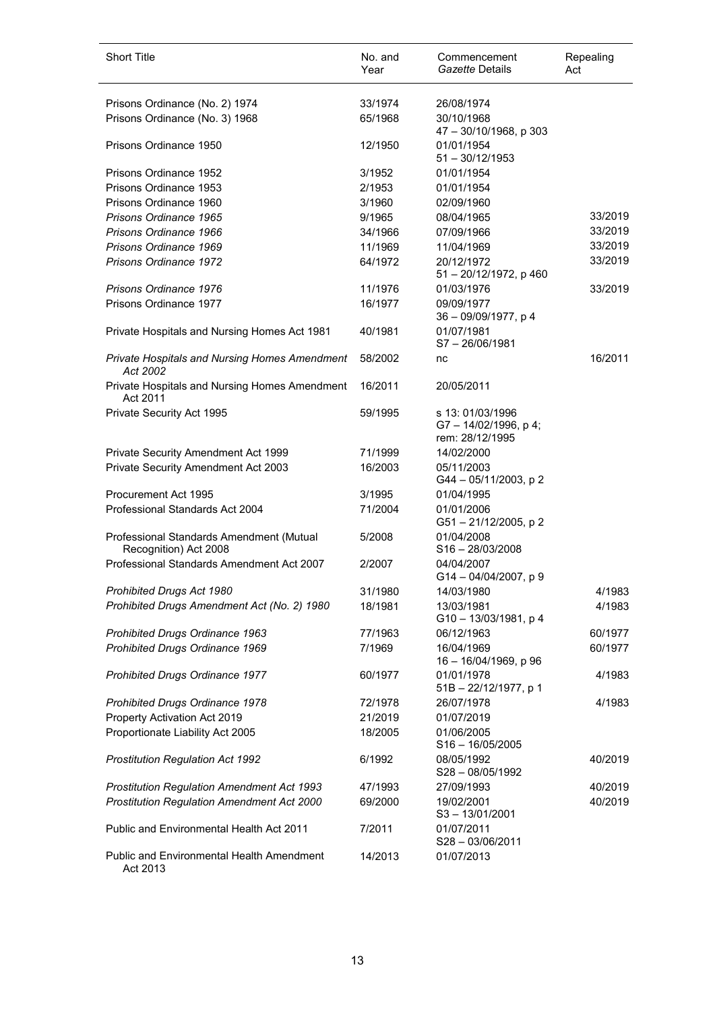| <b>Short Title</b>                                                | No. and<br>Year | Commencement<br>Gazette Details                           | Repealing<br>Act |
|-------------------------------------------------------------------|-----------------|-----------------------------------------------------------|------------------|
| Prisons Ordinance (No. 2) 1974                                    | 33/1974         | 26/08/1974                                                |                  |
| Prisons Ordinance (No. 3) 1968                                    | 65/1968         | 30/10/1968<br>47 - 30/10/1968, p 303                      |                  |
| Prisons Ordinance 1950                                            | 12/1950         | 01/01/1954<br>$51 - 30/12/1953$                           |                  |
| Prisons Ordinance 1952                                            | 3/1952          | 01/01/1954                                                |                  |
| Prisons Ordinance 1953                                            | 2/1953          | 01/01/1954                                                |                  |
| Prisons Ordinance 1960                                            | 3/1960          | 02/09/1960                                                |                  |
| Prisons Ordinance 1965                                            | 9/1965          | 08/04/1965                                                | 33/2019          |
| Prisons Ordinance 1966                                            | 34/1966         | 07/09/1966                                                | 33/2019          |
| Prisons Ordinance 1969                                            | 11/1969         | 11/04/1969                                                | 33/2019          |
| Prisons Ordinance 1972                                            | 64/1972         | 20/12/1972<br>51 - 20/12/1972, p 460                      | 33/2019          |
| Prisons Ordinance 1976                                            | 11/1976         | 01/03/1976                                                | 33/2019          |
| Prisons Ordinance 1977                                            | 16/1977         | 09/09/1977<br>36 - 09/09/1977, p 4                        |                  |
| Private Hospitals and Nursing Homes Act 1981                      | 40/1981         | 01/07/1981<br>$S7 - 26/06/1981$                           |                  |
| Private Hospitals and Nursing Homes Amendment<br>Act 2002         | 58/2002         | nc                                                        | 16/2011          |
| Private Hospitals and Nursing Homes Amendment<br>Act 2011         | 16/2011         | 20/05/2011                                                |                  |
| Private Security Act 1995                                         | 59/1995         | s 13: 01/03/1996<br>G7-14/02/1996, p4;<br>rem: 28/12/1995 |                  |
| Private Security Amendment Act 1999                               | 71/1999         | 14/02/2000                                                |                  |
| Private Security Amendment Act 2003                               | 16/2003         | 05/11/2003<br>G44 - 05/11/2003, p 2                       |                  |
| Procurement Act 1995                                              | 3/1995          | 01/04/1995                                                |                  |
| Professional Standards Act 2004                                   | 71/2004         | 01/01/2006<br>G51-21/12/2005, p 2                         |                  |
| Professional Standards Amendment (Mutual<br>Recognition) Act 2008 | 5/2008          | 01/04/2008<br>$S16 - 28/03/2008$                          |                  |
| Professional Standards Amendment Act 2007                         | 2/2007          | 04/04/2007<br>$G14 - 04/04/2007$ , p 9                    |                  |
| Prohibited Drugs Act 1980                                         | 31/1980         | 14/03/1980                                                | 4/1983           |
| Prohibited Drugs Amendment Act (No. 2) 1980                       | 18/1981         | 13/03/1981<br>G10-13/03/1981, p 4                         | 4/1983           |
| Prohibited Drugs Ordinance 1963                                   | 77/1963         | 06/12/1963                                                | 60/1977          |
| Prohibited Drugs Ordinance 1969                                   | 7/1969          | 16/04/1969<br>16 - 16/04/1969, p 96                       | 60/1977          |
| Prohibited Drugs Ordinance 1977                                   | 60/1977         | 01/01/1978<br>51B - 22/12/1977, p 1                       | 4/1983           |
| Prohibited Drugs Ordinance 1978                                   | 72/1978         | 26/07/1978                                                | 4/1983           |
| Property Activation Act 2019                                      | 21/2019         | 01/07/2019                                                |                  |
| Proportionate Liability Act 2005                                  | 18/2005         | 01/06/2005<br>$S16 - 16/05/2005$                          |                  |
| Prostitution Regulation Act 1992                                  | 6/1992          | 08/05/1992<br>S28-08/05/1992                              | 40/2019          |
| <b>Prostitution Regulation Amendment Act 1993</b>                 | 47/1993         | 27/09/1993                                                | 40/2019          |
| Prostitution Regulation Amendment Act 2000                        | 69/2000         | 19/02/2001<br>S3-13/01/2001                               | 40/2019          |
| <b>Public and Environmental Health Act 2011</b>                   | 7/2011          | 01/07/2011<br>$S28 - 03/06/2011$                          |                  |
| <b>Public and Environmental Health Amendment</b><br>Act 2013      | 14/2013         | 01/07/2013                                                |                  |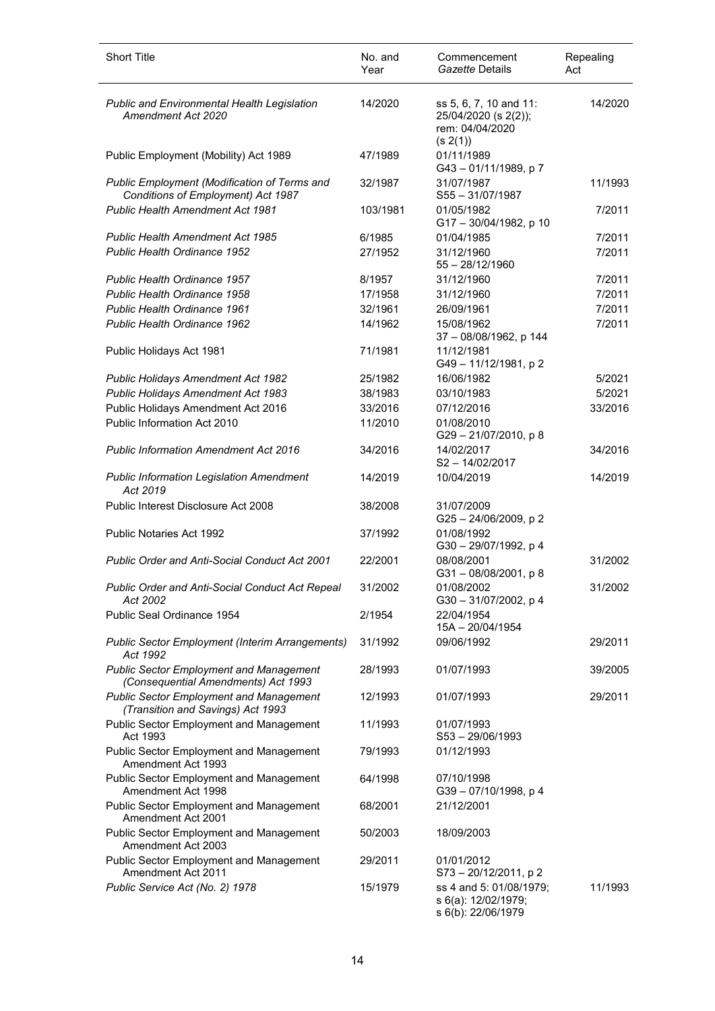| <b>Short Title</b>                                                                    | No. and<br>Year | Commencement<br>Gazette Details                                               | Repealing<br>Act |
|---------------------------------------------------------------------------------------|-----------------|-------------------------------------------------------------------------------|------------------|
| <b>Public and Environmental Health Legislation</b><br>Amendment Act 2020              | 14/2020         | ss 5, 6, 7, 10 and 11:<br>25/04/2020 (s 2(2));<br>rem: 04/04/2020<br>(s 2(1)) | 14/2020          |
| Public Employment (Mobility) Act 1989                                                 | 47/1989         | 01/11/1989<br>G43-01/11/1989, p7                                              |                  |
| Public Employment (Modification of Terms and<br>Conditions of Employment) Act 1987    | 32/1987         | 31/07/1987<br>$S55 - 31/07/1987$                                              | 11/1993          |
| <b>Public Health Amendment Act 1981</b>                                               | 103/1981        | 01/05/1982<br>G17-30/04/1982, p 10                                            | 7/2011           |
| <b>Public Health Amendment Act 1985</b>                                               | 6/1985          | 01/04/1985                                                                    | 7/2011           |
| Public Health Ordinance 1952                                                          | 27/1952         | 31/12/1960<br>$55 - 28/12/1960$                                               | 7/2011           |
| <b>Public Health Ordinance 1957</b>                                                   | 8/1957          | 31/12/1960                                                                    | 7/2011           |
| <b>Public Health Ordinance 1958</b>                                                   | 17/1958         | 31/12/1960                                                                    | 7/2011           |
| <b>Public Health Ordinance 1961</b>                                                   | 32/1961         | 26/09/1961                                                                    | 7/2011           |
| Public Health Ordinance 1962                                                          | 14/1962         | 15/08/1962<br>37 - 08/08/1962, p 144                                          | 7/2011           |
| Public Holidays Act 1981                                                              | 71/1981         | 11/12/1981<br>G49-11/12/1981, p2                                              |                  |
| Public Holidays Amendment Act 1982                                                    | 25/1982         | 16/06/1982                                                                    | 5/2021           |
| Public Holidays Amendment Act 1983                                                    | 38/1983         | 03/10/1983                                                                    | 5/2021           |
| Public Holidays Amendment Act 2016                                                    | 33/2016         | 07/12/2016                                                                    | 33/2016          |
| Public Information Act 2010                                                           | 11/2010         | 01/08/2010<br>G29-21/07/2010, p8                                              |                  |
| <b>Public Information Amendment Act 2016</b>                                          | 34/2016         | 14/02/2017<br>S2-14/02/2017                                                   | 34/2016          |
| <b>Public Information Legislation Amendment</b><br>Act 2019                           | 14/2019         | 10/04/2019                                                                    | 14/2019          |
| Public Interest Disclosure Act 2008                                                   | 38/2008         | 31/07/2009<br>G25-24/06/2009, p2                                              |                  |
| <b>Public Notaries Act 1992</b>                                                       | 37/1992         | 01/08/1992<br>G30-29/07/1992, p4                                              |                  |
| <b>Public Order and Anti-Social Conduct Act 2001</b>                                  | 22/2001         | 08/08/2001<br>G31-08/08/2001, p8                                              | 31/2002          |
| Public Order and Anti-Social Conduct Act Repeal<br>Act 2002                           | 31/2002         | 01/08/2002<br>G30-31/07/2002, p 4                                             | 31/2002          |
| Public Seal Ordinance 1954                                                            | 2/1954          | 22/04/1954<br>15A - 20/04/1954                                                |                  |
| Public Sector Employment (Interim Arrangements)<br>Act 1992                           | 31/1992         | 09/06/1992                                                                    | 29/2011          |
| <b>Public Sector Employment and Management</b><br>(Consequential Amendments) Act 1993 | 28/1993         | 01/07/1993                                                                    | 39/2005          |
| <b>Public Sector Employment and Management</b><br>(Transition and Savings) Act 1993   | 12/1993         | 01/07/1993                                                                    | 29/2011          |
| <b>Public Sector Employment and Management</b><br>Act 1993                            | 11/1993         | 01/07/1993<br>$S53 - 29/06/1993$                                              |                  |
| <b>Public Sector Employment and Management</b><br>Amendment Act 1993                  | 79/1993         | 01/12/1993                                                                    |                  |
| <b>Public Sector Employment and Management</b><br>Amendment Act 1998                  | 64/1998         | 07/10/1998<br>G39-07/10/1998, p4                                              |                  |
| <b>Public Sector Employment and Management</b><br>Amendment Act 2001                  | 68/2001         | 21/12/2001                                                                    |                  |
| <b>Public Sector Employment and Management</b><br>Amendment Act 2003                  | 50/2003         | 18/09/2003                                                                    |                  |
| <b>Public Sector Employment and Management</b><br>Amendment Act 2011                  | 29/2011         | 01/01/2012<br>S73-20/12/2011, p2                                              |                  |
| Public Service Act (No. 2) 1978                                                       | 15/1979         | ss 4 and 5: 01/08/1979;<br>s 6(a): 12/02/1979;<br>s 6(b): 22/06/1979          | 11/1993          |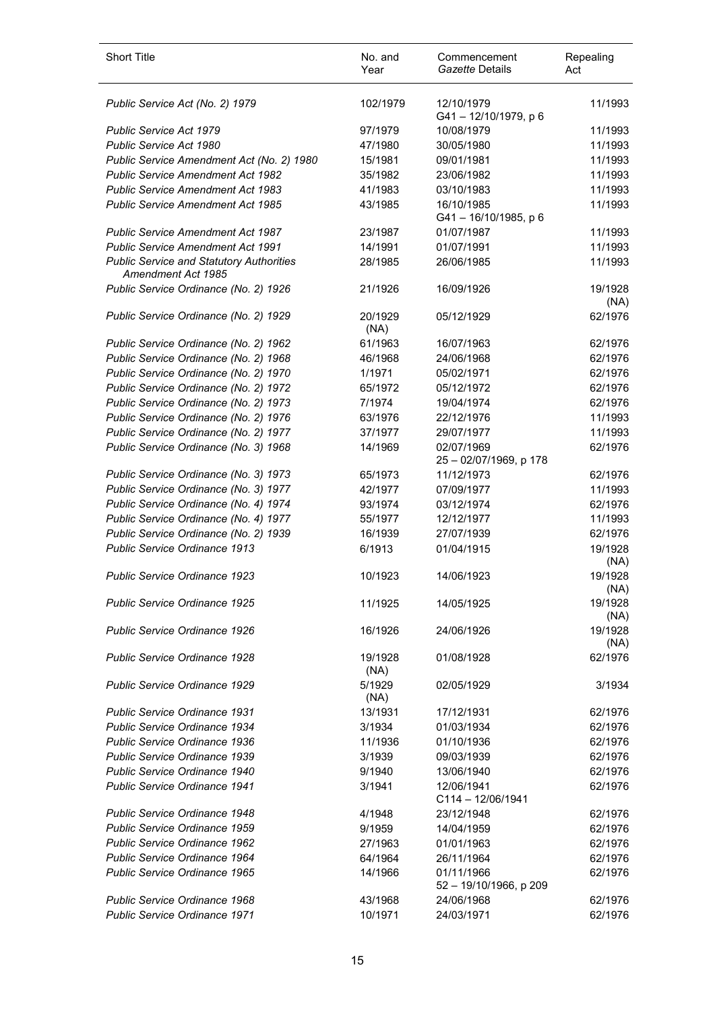| <b>Short Title</b>                                                    | No. and<br>Year | Commencement<br>Gazette Details      | Repealing<br>Act |
|-----------------------------------------------------------------------|-----------------|--------------------------------------|------------------|
| Public Service Act (No. 2) 1979                                       | 102/1979        | 12/10/1979<br>G41-12/10/1979, p6     | 11/1993          |
| <b>Public Service Act 1979</b>                                        | 97/1979         | 10/08/1979                           | 11/1993          |
| Public Service Act 1980                                               | 47/1980         | 30/05/1980                           | 11/1993          |
| Public Service Amendment Act (No. 2) 1980                             | 15/1981         | 09/01/1981                           | 11/1993          |
| Public Service Amendment Act 1982                                     | 35/1982         | 23/06/1982                           | 11/1993          |
| <b>Public Service Amendment Act 1983</b>                              | 41/1983         | 03/10/1983                           | 11/1993          |
| <b>Public Service Amendment Act 1985</b>                              | 43/1985         | 16/10/1985<br>G41-16/10/1985, p 6    | 11/1993          |
| <b>Public Service Amendment Act 1987</b>                              | 23/1987         | 01/07/1987                           | 11/1993          |
| <b>Public Service Amendment Act 1991</b>                              | 14/1991         | 01/07/1991                           | 11/1993          |
| <b>Public Service and Statutory Authorities</b><br>Amendment Act 1985 | 28/1985         | 26/06/1985                           | 11/1993          |
| Public Service Ordinance (No. 2) 1926                                 | 21/1926         | 16/09/1926                           | 19/1928<br>(NA)  |
| Public Service Ordinance (No. 2) 1929                                 | 20/1929<br>(NA) | 05/12/1929                           | 62/1976          |
| Public Service Ordinance (No. 2) 1962                                 | 61/1963         | 16/07/1963                           | 62/1976          |
| Public Service Ordinance (No. 2) 1968                                 | 46/1968         | 24/06/1968                           | 62/1976          |
| Public Service Ordinance (No. 2) 1970                                 | 1/1971          | 05/02/1971                           | 62/1976          |
| Public Service Ordinance (No. 2) 1972                                 | 65/1972         | 05/12/1972                           | 62/1976          |
| Public Service Ordinance (No. 2) 1973                                 | 7/1974          | 19/04/1974                           | 62/1976          |
| Public Service Ordinance (No. 2) 1976                                 | 63/1976         | 22/12/1976                           | 11/1993          |
| Public Service Ordinance (No. 2) 1977                                 | 37/1977         | 29/07/1977                           | 11/1993          |
| Public Service Ordinance (No. 3) 1968                                 | 14/1969         | 02/07/1969<br>25 - 02/07/1969, p 178 | 62/1976          |
| Public Service Ordinance (No. 3) 1973                                 | 65/1973         | 11/12/1973                           | 62/1976          |
| Public Service Ordinance (No. 3) 1977                                 | 42/1977         | 07/09/1977                           | 11/1993          |
| Public Service Ordinance (No. 4) 1974                                 | 93/1974         | 03/12/1974                           | 62/1976          |
| Public Service Ordinance (No. 4) 1977                                 | 55/1977         | 12/12/1977                           | 11/1993          |
| Public Service Ordinance (No. 2) 1939                                 | 16/1939         | 27/07/1939                           | 62/1976          |
| Public Service Ordinance 1913                                         | 6/1913          | 01/04/1915                           | 19/1928<br>(NA)  |
| Public Service Ordinance 1923                                         | 10/1923         | 14/06/1923                           | 19/1928<br>(NA)  |
| <b>Public Service Ordinance 1925</b>                                  | 11/1925         | 14/05/1925                           | 19/1928<br>(NA)  |
| <b>Public Service Ordinance 1926</b>                                  | 16/1926         | 24/06/1926                           | 19/1928<br>(NA)  |
| <b>Public Service Ordinance 1928</b>                                  | 19/1928<br>(NA) | 01/08/1928                           | 62/1976          |
| <b>Public Service Ordinance 1929</b>                                  | 5/1929<br>(NA)  | 02/05/1929                           | 3/1934           |
| <b>Public Service Ordinance 1931</b>                                  | 13/1931         | 17/12/1931                           | 62/1976          |
| Public Service Ordinance 1934                                         | 3/1934          | 01/03/1934                           | 62/1976          |
| Public Service Ordinance 1936                                         | 11/1936         | 01/10/1936                           | 62/1976          |
| Public Service Ordinance 1939                                         | 3/1939          | 09/03/1939                           | 62/1976          |
| Public Service Ordinance 1940                                         | 9/1940          | 13/06/1940                           | 62/1976          |
| Public Service Ordinance 1941                                         | 3/1941          | 12/06/1941<br>$C114 - 12/06/1941$    | 62/1976          |
| Public Service Ordinance 1948                                         | 4/1948          | 23/12/1948                           | 62/1976          |
| Public Service Ordinance 1959                                         | 9/1959          | 14/04/1959                           | 62/1976          |
| Public Service Ordinance 1962                                         | 27/1963         | 01/01/1963                           | 62/1976          |
| Public Service Ordinance 1964                                         | 64/1964         | 26/11/1964                           | 62/1976          |
| Public Service Ordinance 1965                                         | 14/1966         | 01/11/1966<br>52 - 19/10/1966, p 209 | 62/1976          |
| Public Service Ordinance 1968                                         | 43/1968         | 24/06/1968                           | 62/1976          |
| Public Service Ordinance 1971                                         | 10/1971         | 24/03/1971                           | 62/1976          |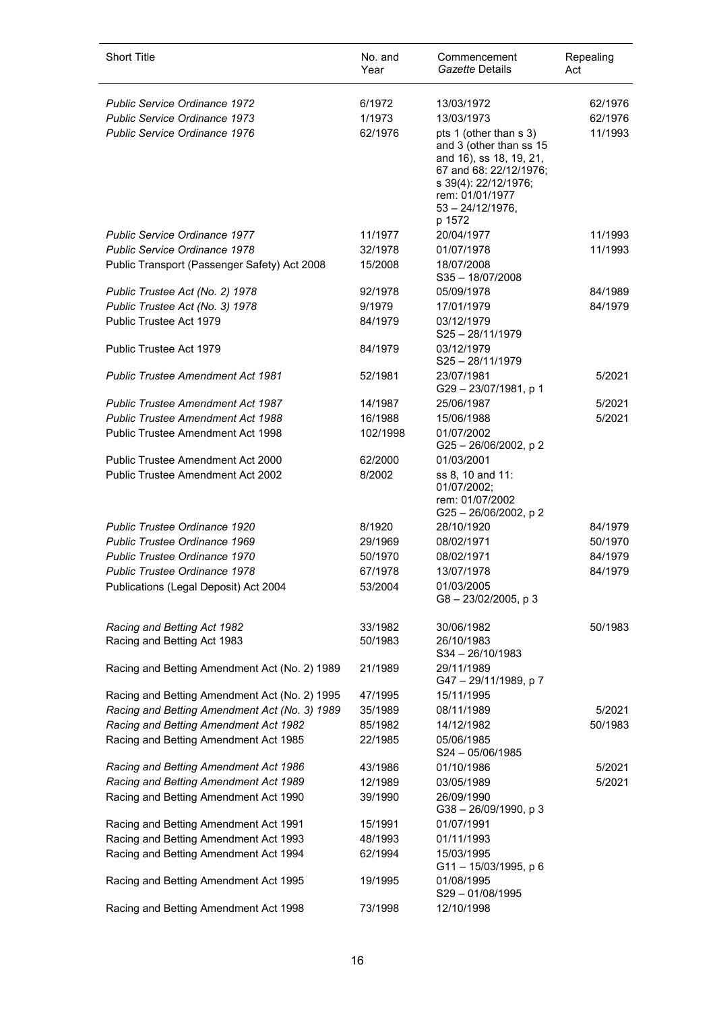| <b>Short Title</b>                            | No. and<br>Year | Commencement<br>Gazette Details                                                                                                                                                    | Repealing<br>Act |
|-----------------------------------------------|-----------------|------------------------------------------------------------------------------------------------------------------------------------------------------------------------------------|------------------|
| <b>Public Service Ordinance 1972</b>          | 6/1972          | 13/03/1972                                                                                                                                                                         | 62/1976          |
| <b>Public Service Ordinance 1973</b>          | 1/1973          | 13/03/1973                                                                                                                                                                         | 62/1976          |
| Public Service Ordinance 1976                 | 62/1976         | pts 1 (other than s 3)<br>and 3 (other than ss 15<br>and 16), ss 18, 19, 21,<br>67 and 68: 22/12/1976;<br>s 39(4): 22/12/1976;<br>rem: 01/01/1977<br>$53 - 24/12/1976$ ,<br>p 1572 | 11/1993          |
| <b>Public Service Ordinance 1977</b>          | 11/1977         | 20/04/1977                                                                                                                                                                         | 11/1993          |
| <b>Public Service Ordinance 1978</b>          | 32/1978         | 01/07/1978                                                                                                                                                                         | 11/1993          |
| Public Transport (Passenger Safety) Act 2008  | 15/2008         | 18/07/2008<br>S35-18/07/2008                                                                                                                                                       |                  |
| Public Trustee Act (No. 2) 1978               | 92/1978         | 05/09/1978                                                                                                                                                                         | 84/1989          |
| Public Trustee Act (No. 3) 1978               | 9/1979          | 17/01/1979                                                                                                                                                                         | 84/1979          |
| Public Trustee Act 1979                       | 84/1979         | 03/12/1979<br>$S25 - 28/11/1979$                                                                                                                                                   |                  |
| Public Trustee Act 1979                       | 84/1979         | 03/12/1979<br>S25-28/11/1979                                                                                                                                                       |                  |
| <b>Public Trustee Amendment Act 1981</b>      | 52/1981         | 23/07/1981<br>G29-23/07/1981, p 1                                                                                                                                                  | 5/2021           |
| <b>Public Trustee Amendment Act 1987</b>      | 14/1987         | 25/06/1987                                                                                                                                                                         | 5/2021           |
| <b>Public Trustee Amendment Act 1988</b>      | 16/1988         | 15/06/1988                                                                                                                                                                         | 5/2021           |
| Public Trustee Amendment Act 1998             | 102/1998        | 01/07/2002<br>G25-26/06/2002, p2                                                                                                                                                   |                  |
| Public Trustee Amendment Act 2000             | 62/2000         | 01/03/2001                                                                                                                                                                         |                  |
| Public Trustee Amendment Act 2002             | 8/2002          | ss 8, 10 and 11:<br>01/07/2002;<br>rem: 01/07/2002<br>G25-26/06/2002, p2                                                                                                           |                  |
| <b>Public Trustee Ordinance 1920</b>          | 8/1920          | 28/10/1920                                                                                                                                                                         | 84/1979          |
| Public Trustee Ordinance 1969                 | 29/1969         | 08/02/1971                                                                                                                                                                         | 50/1970          |
| Public Trustee Ordinance 1970                 | 50/1970         | 08/02/1971                                                                                                                                                                         | 84/1979          |
| Public Trustee Ordinance 1978                 | 67/1978         | 13/07/1978                                                                                                                                                                         | 84/1979          |
| Publications (Legal Deposit) Act 2004         | 53/2004         | 01/03/2005<br>$G8 - 23/02/2005$ , p 3                                                                                                                                              |                  |
| Racing and Betting Act 1982                   | 33/1982         | 30/06/1982                                                                                                                                                                         | 50/1983          |
| Racing and Betting Act 1983                   | 50/1983         | 26/10/1983<br>S34-26/10/1983                                                                                                                                                       |                  |
| Racing and Betting Amendment Act (No. 2) 1989 | 21/1989         | 29/11/1989<br>G47-29/11/1989, p7                                                                                                                                                   |                  |
| Racing and Betting Amendment Act (No. 2) 1995 | 47/1995         | 15/11/1995                                                                                                                                                                         |                  |
| Racing and Betting Amendment Act (No. 3) 1989 | 35/1989         | 08/11/1989                                                                                                                                                                         | 5/2021           |
| Racing and Betting Amendment Act 1982         | 85/1982         | 14/12/1982                                                                                                                                                                         | 50/1983          |
| Racing and Betting Amendment Act 1985         | 22/1985         | 05/06/1985<br>$S24 - 05/06/1985$                                                                                                                                                   |                  |
| Racing and Betting Amendment Act 1986         | 43/1986         | 01/10/1986                                                                                                                                                                         | 5/2021           |
| Racing and Betting Amendment Act 1989         | 12/1989         | 03/05/1989                                                                                                                                                                         | 5/2021           |
| Racing and Betting Amendment Act 1990         | 39/1990         | 26/09/1990<br>G38-26/09/1990, p3                                                                                                                                                   |                  |
| Racing and Betting Amendment Act 1991         | 15/1991         | 01/07/1991                                                                                                                                                                         |                  |
| Racing and Betting Amendment Act 1993         | 48/1993         | 01/11/1993                                                                                                                                                                         |                  |
| Racing and Betting Amendment Act 1994         | 62/1994         | 15/03/1995<br>G11-15/03/1995, p 6                                                                                                                                                  |                  |
| Racing and Betting Amendment Act 1995         | 19/1995         | 01/08/1995<br>S29-01/08/1995                                                                                                                                                       |                  |
| Racing and Betting Amendment Act 1998         | 73/1998         | 12/10/1998                                                                                                                                                                         |                  |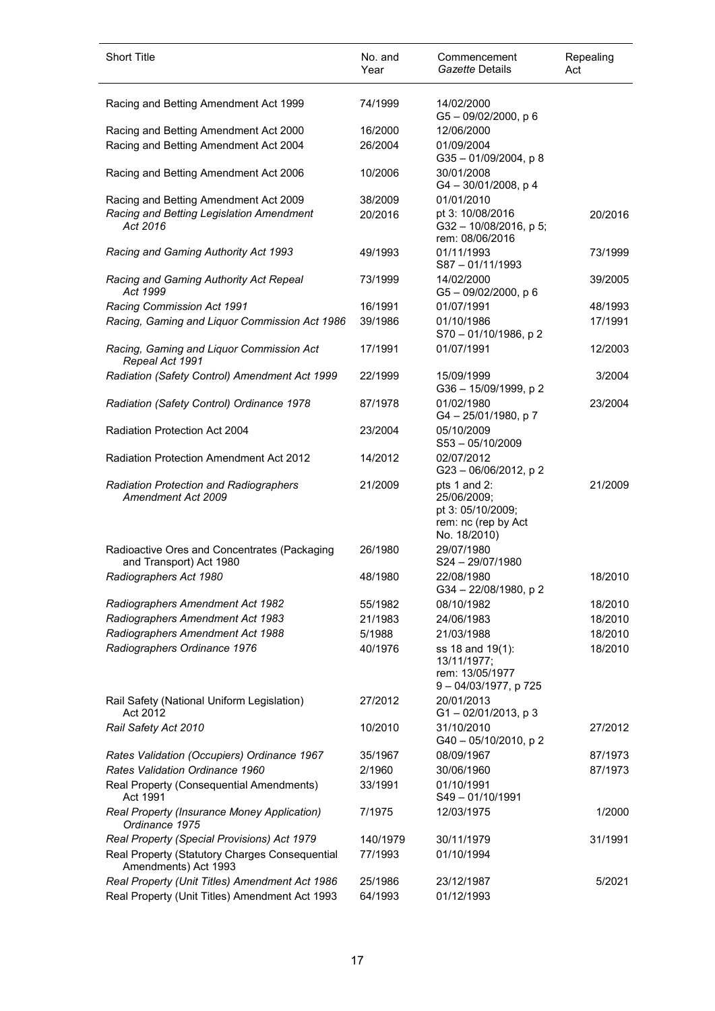| <b>Short Title</b>                                                      | No. and<br>Year | Commencement<br>Gazette Details                                                         | Repealing<br>Act |
|-------------------------------------------------------------------------|-----------------|-----------------------------------------------------------------------------------------|------------------|
| Racing and Betting Amendment Act 1999                                   | 74/1999         | 14/02/2000<br>G5-09/02/2000, p6                                                         |                  |
| Racing and Betting Amendment Act 2000                                   | 16/2000         | 12/06/2000                                                                              |                  |
| Racing and Betting Amendment Act 2004                                   | 26/2004         | 01/09/2004<br>G35-01/09/2004, p8                                                        |                  |
| Racing and Betting Amendment Act 2006                                   | 10/2006         | 30/01/2008<br>$G4 - 30/01/2008$ , p 4                                                   |                  |
| Racing and Betting Amendment Act 2009                                   | 38/2009         | 01/01/2010                                                                              |                  |
| Racing and Betting Legislation Amendment<br>Act 2016                    | 20/2016         | pt 3: 10/08/2016<br>G32-10/08/2016, p 5;<br>rem: 08/06/2016                             | 20/2016          |
| Racing and Gaming Authority Act 1993                                    | 49/1993         | 01/11/1993<br>S87-01/11/1993                                                            | 73/1999          |
| Racing and Gaming Authority Act Repeal<br>Act 1999                      | 73/1999         | 14/02/2000<br>$G5 - 09/02/2000$ , p 6                                                   | 39/2005          |
| Racing Commission Act 1991                                              | 16/1991         | 01/07/1991                                                                              | 48/1993          |
| Racing, Gaming and Liquor Commission Act 1986                           | 39/1986         | 01/10/1986<br>S70 - 01/10/1986, p 2                                                     | 17/1991          |
| Racing, Gaming and Liquor Commission Act<br>Repeal Act 1991             | 17/1991         | 01/07/1991                                                                              | 12/2003          |
| Radiation (Safety Control) Amendment Act 1999                           | 22/1999         | 15/09/1999<br>G36-15/09/1999, p 2                                                       | 3/2004           |
| Radiation (Safety Control) Ordinance 1978                               | 87/1978         | 01/02/1980<br>G4 - 25/01/1980, p 7                                                      | 23/2004          |
| <b>Radiation Protection Act 2004</b>                                    | 23/2004         | 05/10/2009<br>$S53 - 05/10/2009$                                                        |                  |
| Radiation Protection Amendment Act 2012                                 | 14/2012         | 02/07/2012<br>G23-06/06/2012, p2                                                        |                  |
| <b>Radiation Protection and Radiographers</b><br>Amendment Act 2009     | 21/2009         | pts 1 and 2:<br>25/06/2009;<br>pt 3: 05/10/2009;<br>rem: nc (rep by Act<br>No. 18/2010) | 21/2009          |
| Radioactive Ores and Concentrates (Packaging<br>and Transport) Act 1980 | 26/1980         | 29/07/1980<br>S24-29/07/1980                                                            |                  |
| Radiographers Act 1980                                                  | 48/1980         | 22/08/1980<br>G34 - 22/08/1980, p 2                                                     | 18/2010          |
| Radiographers Amendment Act 1982                                        | 55/1982         | 08/10/1982                                                                              | 18/2010          |
| Radiographers Amendment Act 1983                                        | 21/1983         | 24/06/1983                                                                              | 18/2010          |
| Radiographers Amendment Act 1988                                        | 5/1988          | 21/03/1988                                                                              | 18/2010          |
| Radiographers Ordinance 1976                                            | 40/1976         | ss 18 and 19(1):<br>13/11/1977;<br>rem: 13/05/1977<br>9-04/03/1977, p 725               | 18/2010          |
| Rail Safety (National Uniform Legislation)<br>Act 2012                  | 27/2012         | 20/01/2013<br>$G1 - 02/01/2013$ , p 3                                                   |                  |
| Rail Safety Act 2010                                                    | 10/2010         | 31/10/2010<br>G40-05/10/2010, p2                                                        | 27/2012          |
| Rates Validation (Occupiers) Ordinance 1967                             | 35/1967         | 08/09/1967                                                                              | 87/1973          |
| Rates Validation Ordinance 1960                                         | 2/1960          | 30/06/1960                                                                              | 87/1973          |
| Real Property (Consequential Amendments)<br>Act 1991                    | 33/1991         | 01/10/1991<br>S49-01/10/1991                                                            |                  |
| Real Property (Insurance Money Application)<br>Ordinance 1975           | 7/1975          | 12/03/1975                                                                              | 1/2000           |
| Real Property (Special Provisions) Act 1979                             | 140/1979        | 30/11/1979                                                                              | 31/1991          |
| Real Property (Statutory Charges Consequential<br>Amendments) Act 1993  | 77/1993         | 01/10/1994                                                                              |                  |
| Real Property (Unit Titles) Amendment Act 1986                          | 25/1986         | 23/12/1987                                                                              | 5/2021           |
| Real Property (Unit Titles) Amendment Act 1993                          | 64/1993         | 01/12/1993                                                                              |                  |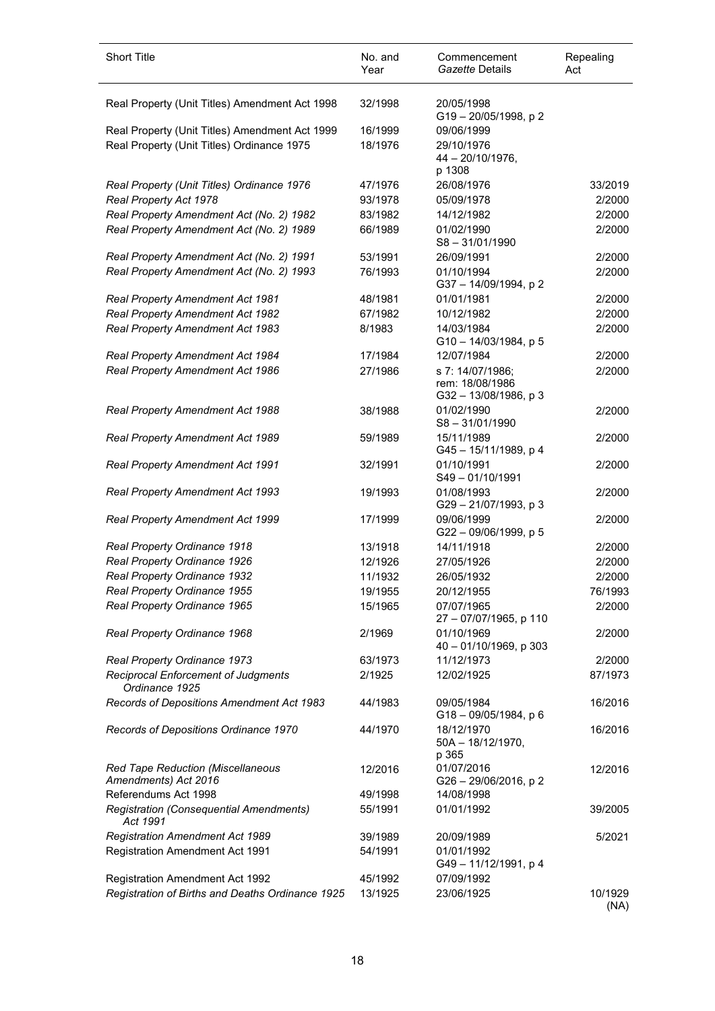| <b>Short Title</b>                                        | No. and<br>Year | Commencement<br>Gazette Details                              | Repealing<br>Act |
|-----------------------------------------------------------|-----------------|--------------------------------------------------------------|------------------|
| Real Property (Unit Titles) Amendment Act 1998            | 32/1998         | 20/05/1998<br>G19-20/05/1998, p2                             |                  |
| Real Property (Unit Titles) Amendment Act 1999            | 16/1999         | 09/06/1999                                                   |                  |
| Real Property (Unit Titles) Ordinance 1975                | 18/1976         | 29/10/1976<br>$44 - 20/10/1976$ ,<br>p 1308                  |                  |
| Real Property (Unit Titles) Ordinance 1976                | 47/1976         | 26/08/1976                                                   | 33/2019          |
| Real Property Act 1978                                    | 93/1978         | 05/09/1978                                                   | 2/2000           |
| Real Property Amendment Act (No. 2) 1982                  | 83/1982         | 14/12/1982                                                   | 2/2000           |
| Real Property Amendment Act (No. 2) 1989                  | 66/1989         | 01/02/1990<br>$S8 - 31/01/1990$                              | 2/2000           |
| Real Property Amendment Act (No. 2) 1991                  | 53/1991         | 26/09/1991                                                   | 2/2000           |
| Real Property Amendment Act (No. 2) 1993                  | 76/1993         | 01/10/1994<br>G37-14/09/1994, p2                             | 2/2000           |
| <b>Real Property Amendment Act 1981</b>                   | 48/1981         | 01/01/1981                                                   | 2/2000           |
| Real Property Amendment Act 1982                          | 67/1982         | 10/12/1982                                                   | 2/2000           |
| Real Property Amendment Act 1983                          | 8/1983          | 14/03/1984<br>G10 - 14/03/1984, p 5                          | 2/2000           |
| Real Property Amendment Act 1984                          | 17/1984         | 12/07/1984                                                   | 2/2000           |
| Real Property Amendment Act 1986                          | 27/1986         | s 7: 14/07/1986;<br>rem: 18/08/1986<br>G32 - 13/08/1986, p 3 | 2/2000           |
| Real Property Amendment Act 1988                          | 38/1988         | 01/02/1990<br>$S8 - 31/01/1990$                              | 2/2000           |
| Real Property Amendment Act 1989                          | 59/1989         | 15/11/1989<br>G45 - 15/11/1989, p 4                          | 2/2000           |
| <b>Real Property Amendment Act 1991</b>                   | 32/1991         | 01/10/1991<br>S49-01/10/1991                                 | 2/2000           |
| <b>Real Property Amendment Act 1993</b>                   | 19/1993         | 01/08/1993<br>G29-21/07/1993, p3                             | 2/2000           |
| Real Property Amendment Act 1999                          | 17/1999         | 09/06/1999<br>G22 - 09/06/1999, p 5                          | 2/2000           |
| Real Property Ordinance 1918                              | 13/1918         | 14/11/1918                                                   | 2/2000           |
| Real Property Ordinance 1926                              | 12/1926         | 27/05/1926                                                   | 2/2000           |
| Real Property Ordinance 1932                              | 11/1932         | 26/05/1932                                                   | 2/2000           |
| Real Property Ordinance 1955                              | 19/1955         | 20/12/1955                                                   | 76/1993          |
| Real Property Ordinance 1965                              | 15/1965         | 07/07/1965<br>27 - 07/07/1965, p 110                         | 2/2000           |
| Real Property Ordinance 1968                              | 2/1969          | 01/10/1969<br>40 - 01/10/1969, p 303                         | 2/2000           |
| Real Property Ordinance 1973                              | 63/1973         | 11/12/1973                                                   | 2/2000           |
| Reciprocal Enforcement of Judgments<br>Ordinance 1925     | 2/1925          | 12/02/1925                                                   | 87/1973          |
| Records of Depositions Amendment Act 1983                 | 44/1983         | 09/05/1984<br>G18-09/05/1984, p 6                            | 16/2016          |
| Records of Depositions Ordinance 1970                     | 44/1970         | 18/12/1970<br>50A - 18/12/1970,<br>p 365                     | 16/2016          |
| Red Tape Reduction (Miscellaneous<br>Amendments) Act 2016 | 12/2016         | 01/07/2016<br>G26-29/06/2016, p2                             | 12/2016          |
| Referendums Act 1998                                      | 49/1998         | 14/08/1998                                                   |                  |
| Registration (Consequential Amendments)<br>Act 1991       | 55/1991         | 01/01/1992                                                   | 39/2005          |
| <b>Registration Amendment Act 1989</b>                    | 39/1989         | 20/09/1989                                                   | 5/2021           |
| <b>Registration Amendment Act 1991</b>                    | 54/1991         | 01/01/1992<br>G49-11/12/1991, p4                             |                  |
| <b>Registration Amendment Act 1992</b>                    | 45/1992         | 07/09/1992                                                   |                  |
| Registration of Births and Deaths Ordinance 1925          | 13/1925         | 23/06/1925                                                   | 10/1929<br>(NA)  |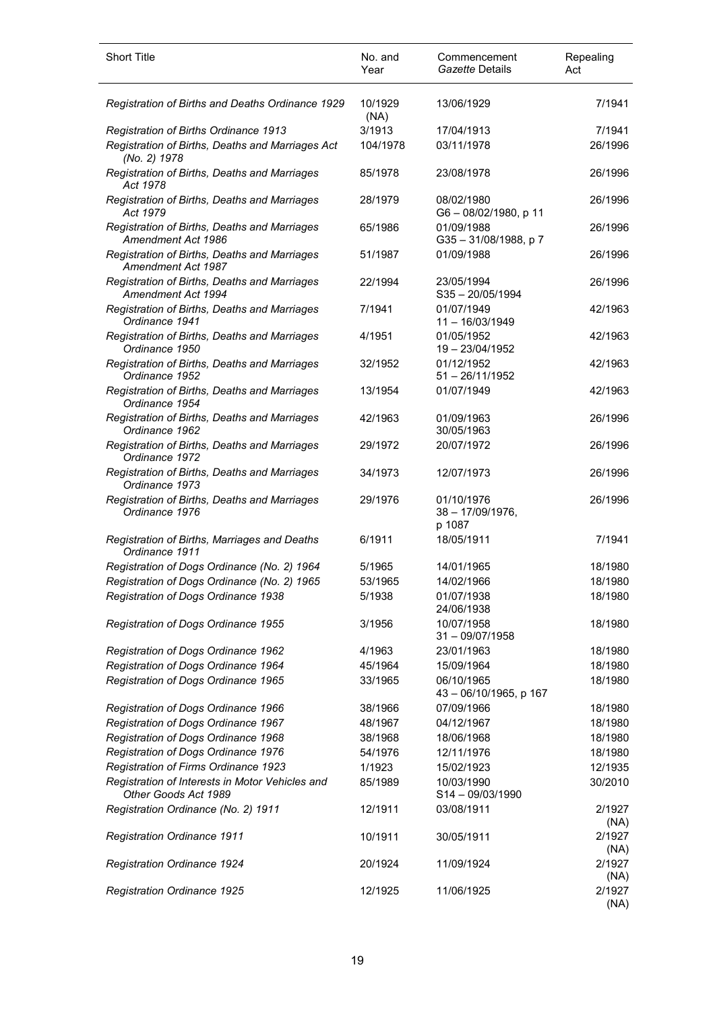| <b>Short Title</b>                                                      | No. and<br>Year | Commencement<br>Gazette Details             | Repealing<br>Act |
|-------------------------------------------------------------------------|-----------------|---------------------------------------------|------------------|
| Registration of Births and Deaths Ordinance 1929                        | 10/1929<br>(NA) | 13/06/1929                                  | 7/1941           |
| Registration of Births Ordinance 1913                                   | 3/1913          | 17/04/1913                                  | 7/1941           |
| Registration of Births, Deaths and Marriages Act<br>(No. 2) 1978        | 104/1978        | 03/11/1978                                  | 26/1996          |
| Registration of Births, Deaths and Marriages<br>Act 1978                | 85/1978         | 23/08/1978                                  | 26/1996          |
| Registration of Births, Deaths and Marriages<br>Act 1979                | 28/1979         | 08/02/1980<br>G6-08/02/1980, p 11           | 26/1996          |
| Registration of Births, Deaths and Marriages<br>Amendment Act 1986      | 65/1986         | 01/09/1988<br>G35-31/08/1988, p7            | 26/1996          |
| Registration of Births, Deaths and Marriages<br>Amendment Act 1987      | 51/1987         | 01/09/1988                                  | 26/1996          |
| Registration of Births, Deaths and Marriages<br>Amendment Act 1994      | 22/1994         | 23/05/1994<br>$S35 - 20/05/1994$            | 26/1996          |
| Registration of Births, Deaths and Marriages<br>Ordinance 1941          | 7/1941          | 01/07/1949<br>$11 - 16/03/1949$             | 42/1963          |
| Registration of Births, Deaths and Marriages<br>Ordinance 1950          | 4/1951          | 01/05/1952<br>19 - 23/04/1952               | 42/1963          |
| Registration of Births, Deaths and Marriages<br>Ordinance 1952          | 32/1952         | 01/12/1952<br>$51 - 26/11/1952$             | 42/1963          |
| Registration of Births, Deaths and Marriages<br>Ordinance 1954          | 13/1954         | 01/07/1949                                  | 42/1963          |
| Registration of Births, Deaths and Marriages<br>Ordinance 1962          | 42/1963         | 01/09/1963<br>30/05/1963                    | 26/1996          |
| Registration of Births, Deaths and Marriages<br>Ordinance 1972          | 29/1972         | 20/07/1972                                  | 26/1996          |
| Registration of Births, Deaths and Marriages<br>Ordinance 1973          | 34/1973         | 12/07/1973                                  | 26/1996          |
| Registration of Births, Deaths and Marriages<br>Ordinance 1976          | 29/1976         | 01/10/1976<br>$38 - 17/09/1976$ ,<br>p 1087 | 26/1996          |
| Registration of Births, Marriages and Deaths<br>Ordinance 1911          | 6/1911          | 18/05/1911                                  | 7/1941           |
| Registration of Dogs Ordinance (No. 2) 1964                             | 5/1965          | 14/01/1965                                  | 18/1980          |
| Registration of Dogs Ordinance (No. 2) 1965                             | 53/1965         | 14/02/1966                                  | 18/1980          |
| Registration of Dogs Ordinance 1938                                     | 5/1938          | 01/07/1938<br>24/06/1938                    | 18/1980          |
| Registration of Dogs Ordinance 1955                                     | 3/1956          | 10/07/1958<br>$31 - 09/07/1958$             | 18/1980          |
| Registration of Dogs Ordinance 1962                                     | 4/1963          | 23/01/1963                                  | 18/1980          |
| Registration of Dogs Ordinance 1964                                     | 45/1964         | 15/09/1964                                  | 18/1980          |
| Registration of Dogs Ordinance 1965                                     | 33/1965         | 06/10/1965<br>43 - 06/10/1965, p 167        | 18/1980          |
| Registration of Dogs Ordinance 1966                                     | 38/1966         | 07/09/1966                                  | 18/1980          |
| Registration of Dogs Ordinance 1967                                     | 48/1967         | 04/12/1967                                  | 18/1980          |
| Registration of Dogs Ordinance 1968                                     | 38/1968         | 18/06/1968                                  | 18/1980          |
| Registration of Dogs Ordinance 1976                                     | 54/1976         | 12/11/1976                                  | 18/1980          |
| Registration of Firms Ordinance 1923                                    | 1/1923          | 15/02/1923                                  | 12/1935          |
| Registration of Interests in Motor Vehicles and<br>Other Goods Act 1989 | 85/1989         | 10/03/1990<br>S14-09/03/1990                | 30/2010          |
| Registration Ordinance (No. 2) 1911                                     | 12/1911         | 03/08/1911                                  | 2/1927<br>(NA)   |
| <b>Registration Ordinance 1911</b>                                      | 10/1911         | 30/05/1911                                  | 2/1927<br>(NA)   |
| <b>Registration Ordinance 1924</b>                                      | 20/1924         | 11/09/1924                                  | 2/1927<br>(NA)   |
| Registration Ordinance 1925                                             | 12/1925         | 11/06/1925                                  | 2/1927<br>(NA)   |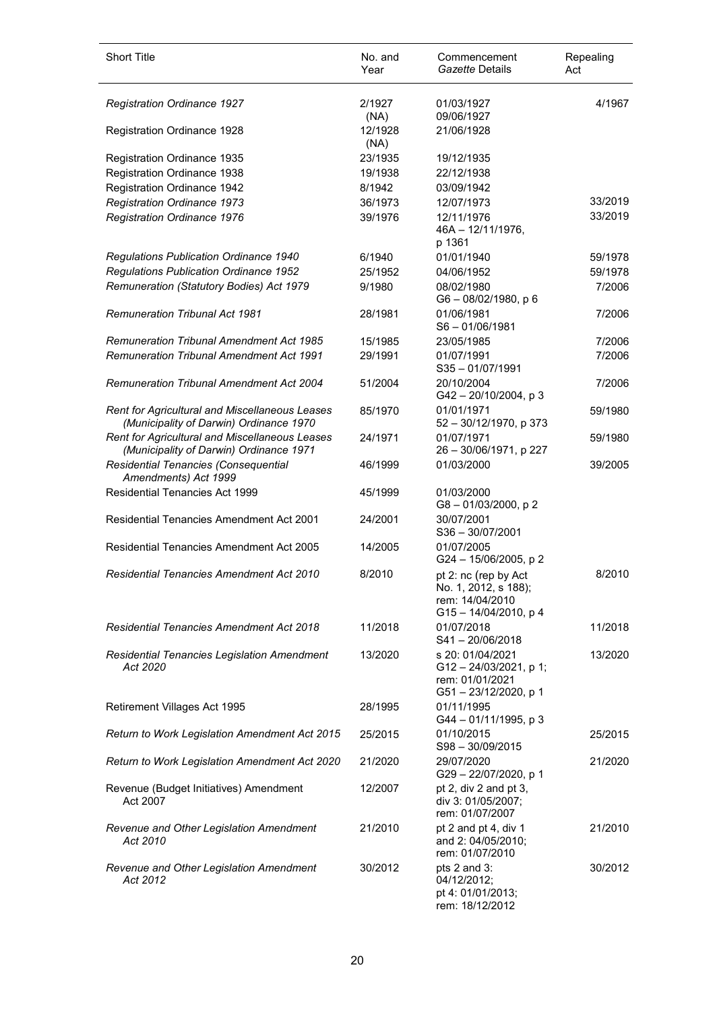| <b>Short Title</b>                                                                        | No. and<br>Year | Commencement<br>Gazette Details                                                             | Repealing<br>Act |
|-------------------------------------------------------------------------------------------|-----------------|---------------------------------------------------------------------------------------------|------------------|
| Registration Ordinance 1927                                                               | 2/1927          | 01/03/1927                                                                                  | 4/1967           |
| Registration Ordinance 1928                                                               | (NA)<br>12/1928 | 09/06/1927<br>21/06/1928                                                                    |                  |
| Registration Ordinance 1935                                                               | (NA)<br>23/1935 | 19/12/1935                                                                                  |                  |
| Registration Ordinance 1938                                                               | 19/1938         | 22/12/1938                                                                                  |                  |
| Registration Ordinance 1942                                                               | 8/1942          | 03/09/1942                                                                                  |                  |
| Registration Ordinance 1973                                                               | 36/1973         | 12/07/1973                                                                                  | 33/2019          |
| Registration Ordinance 1976                                                               | 39/1976         | 12/11/1976<br>$46A - 12/11/1976$ ,<br>p 1361                                                | 33/2019          |
| Regulations Publication Ordinance 1940                                                    | 6/1940          | 01/01/1940                                                                                  | 59/1978          |
| Regulations Publication Ordinance 1952                                                    | 25/1952         | 04/06/1952                                                                                  | 59/1978          |
| Remuneration (Statutory Bodies) Act 1979                                                  | 9/1980          | 08/02/1980<br>$G6 - 08/02/1980$ , p 6                                                       | 7/2006           |
| <b>Remuneration Tribunal Act 1981</b>                                                     | 28/1981         | 01/06/1981<br>$S6 - 01/06/1981$                                                             | 7/2006           |
| <b>Remuneration Tribunal Amendment Act 1985</b>                                           | 15/1985         | 23/05/1985                                                                                  | 7/2006           |
| <b>Remuneration Tribunal Amendment Act 1991</b>                                           | 29/1991         | 01/07/1991<br>$S35 - 01/07/1991$                                                            | 7/2006           |
| <b>Remuneration Tribunal Amendment Act 2004</b>                                           | 51/2004         | 20/10/2004<br>$G42 - 20/10/2004$ , p 3                                                      | 7/2006           |
| Rent for Agricultural and Miscellaneous Leases<br>(Municipality of Darwin) Ordinance 1970 | 85/1970         | 01/01/1971<br>$52 - 30/12/1970$ , p 373                                                     | 59/1980          |
| Rent for Agricultural and Miscellaneous Leases<br>(Municipality of Darwin) Ordinance 1971 | 24/1971         | 01/07/1971<br>26 - 30/06/1971, p 227                                                        | 59/1980          |
| Residential Tenancies (Consequential<br>Amendments) Act 1999                              | 46/1999         | 01/03/2000                                                                                  | 39/2005          |
| <b>Residential Tenancies Act 1999</b>                                                     | 45/1999         | 01/03/2000<br>G8-01/03/2000, p2                                                             |                  |
| <b>Residential Tenancies Amendment Act 2001</b>                                           | 24/2001         | 30/07/2001<br>$S36 - 30/07/2001$                                                            |                  |
| Residential Tenancies Amendment Act 2005                                                  | 14/2005         | 01/07/2005<br>G24 - 15/06/2005, p 2                                                         |                  |
| <b>Residential Tenancies Amendment Act 2010</b>                                           | 8/2010          | pt 2: nc (rep by Act<br>No. 1, 2012, s 188);<br>rem: 14/04/2010<br>$G15 - 14/04/2010$ , p 4 | 8/2010           |
| <b>Residential Tenancies Amendment Act 2018</b>                                           | 11/2018         | 01/07/2018<br>S41-20/06/2018                                                                | 11/2018          |
| Residential Tenancies Legislation Amendment<br>Act 2020                                   | 13/2020         | s 20: 01/04/2021<br>$G12 - 24/03/2021$ . p 1:<br>rem: 01/01/2021<br>G51-23/12/2020, p 1     | 13/2020          |
| Retirement Villages Act 1995                                                              | 28/1995         | 01/11/1995<br>$G44 - 01/11/1995$ , p 3                                                      |                  |
| Return to Work Legislation Amendment Act 2015                                             | 25/2015         | 01/10/2015<br>S98-30/09/2015                                                                | 25/2015          |
| Return to Work Legislation Amendment Act 2020                                             | 21/2020         | 29/07/2020<br>G29 - 22/07/2020, p 1                                                         | 21/2020          |
| Revenue (Budget Initiatives) Amendment<br>Act 2007                                        | 12/2007         | pt 2, div 2 and pt 3,<br>div 3: 01/05/2007;<br>rem: 01/07/2007                              |                  |
| Revenue and Other Legislation Amendment<br>Act 2010                                       | 21/2010         | pt 2 and pt 4, div 1<br>and 2: 04/05/2010;<br>rem: 01/07/2010                               | 21/2010          |
| Revenue and Other Legislation Amendment<br>Act 2012                                       | 30/2012         | pts 2 and 3:<br>04/12/2012;<br>pt 4: 01/01/2013;<br>rem: 18/12/2012                         | 30/2012          |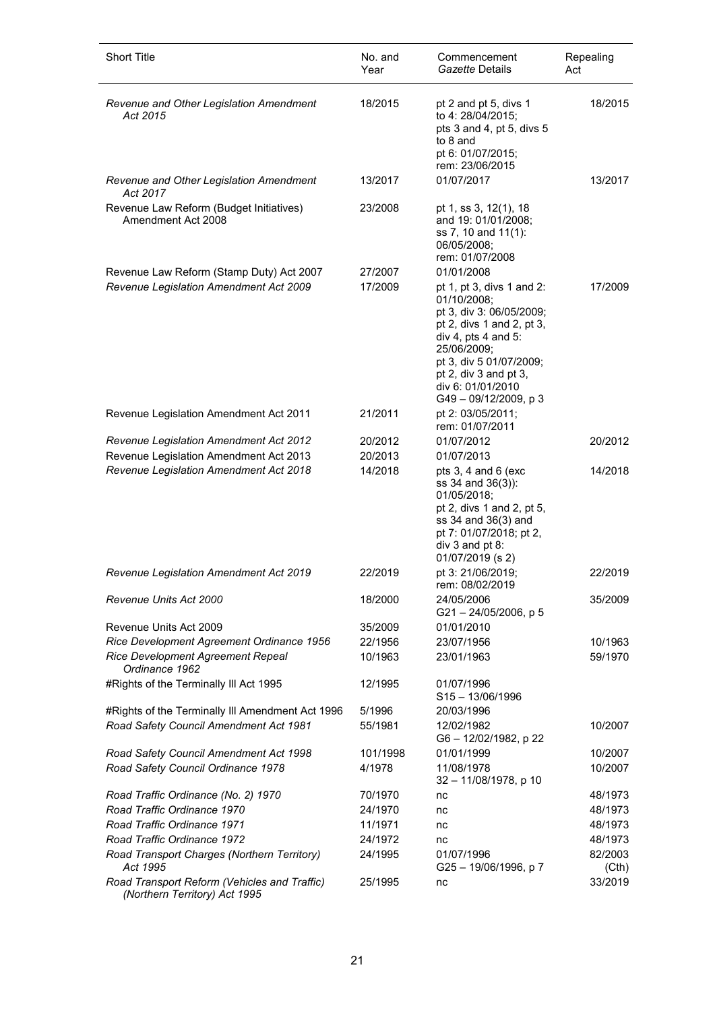| <b>Short Title</b>                                                            | No. and<br>Year | Commencement<br>Gazette Details                                                                                                                                                                                                                   | Repealing<br>Act |
|-------------------------------------------------------------------------------|-----------------|---------------------------------------------------------------------------------------------------------------------------------------------------------------------------------------------------------------------------------------------------|------------------|
| Revenue and Other Legislation Amendment<br>Act 2015                           | 18/2015         | pt 2 and pt 5, divs 1<br>to 4: 28/04/2015;<br>pts 3 and 4, pt 5, divs 5<br>to 8 and<br>pt 6: 01/07/2015;<br>rem: 23/06/2015                                                                                                                       | 18/2015          |
| Revenue and Other Legislation Amendment<br>Act 2017                           | 13/2017         | 01/07/2017                                                                                                                                                                                                                                        | 13/2017          |
| Revenue Law Reform (Budget Initiatives)<br>Amendment Act 2008                 | 23/2008         | pt 1, ss 3, 12(1), 18<br>and 19: 01/01/2008;<br>ss 7, 10 and 11(1):<br>06/05/2008;<br>rem: 01/07/2008                                                                                                                                             |                  |
| Revenue Law Reform (Stamp Duty) Act 2007                                      | 27/2007         | 01/01/2008                                                                                                                                                                                                                                        |                  |
| Revenue Legislation Amendment Act 2009                                        | 17/2009         | pt 1, pt 3, divs 1 and 2:<br>01/10/2008;<br>pt 3, div 3: 06/05/2009;<br>pt 2, divs 1 and 2, pt 3,<br>div 4, pts 4 and $5$ :<br>25/06/2009;<br>pt 3, div 5 01/07/2009;<br>pt 2, div $3$ and pt $3$ ,<br>div 6: 01/01/2010<br>G49 - 09/12/2009, p 3 | 17/2009          |
| Revenue Legislation Amendment Act 2011                                        | 21/2011         | pt 2: 03/05/2011;<br>rem: 01/07/2011                                                                                                                                                                                                              |                  |
| Revenue Legislation Amendment Act 2012                                        | 20/2012         | 01/07/2012                                                                                                                                                                                                                                        | 20/2012          |
| Revenue Legislation Amendment Act 2013                                        | 20/2013         | 01/07/2013                                                                                                                                                                                                                                        |                  |
| Revenue Legislation Amendment Act 2018                                        | 14/2018         | pts 3, 4 and 6 (exc<br>ss 34 and 36(3)):<br>01/05/2018;<br>pt 2, divs 1 and 2, pt 5,<br>ss 34 and 36(3) and<br>pt 7: 01/07/2018; pt 2,<br>div 3 and pt 8:<br>01/07/2019 (s 2)                                                                     | 14/2018          |
| Revenue Legislation Amendment Act 2019                                        | 22/2019         | pt 3: 21/06/2019;<br>rem: 08/02/2019                                                                                                                                                                                                              | 22/2019          |
| Revenue Units Act 2000                                                        | 18/2000         | 24/05/2006<br>$G21 - 24/05/2006$ , p 5                                                                                                                                                                                                            | 35/2009          |
| Revenue Units Act 2009                                                        | 35/2009         | 01/01/2010                                                                                                                                                                                                                                        |                  |
| Rice Development Agreement Ordinance 1956                                     | 22/1956         | 23/07/1956                                                                                                                                                                                                                                        | 10/1963          |
| Rice Development Agreement Repeal<br>Ordinance 1962                           | 10/1963         | 23/01/1963                                                                                                                                                                                                                                        | 59/1970          |
| #Rights of the Terminally III Act 1995                                        | 12/1995         | 01/07/1996<br>$S15 - 13/06/1996$                                                                                                                                                                                                                  |                  |
| #Rights of the Terminally III Amendment Act 1996                              | 5/1996          | 20/03/1996                                                                                                                                                                                                                                        |                  |
| Road Safety Council Amendment Act 1981                                        | 55/1981         | 12/02/1982<br>G6-12/02/1982, p 22                                                                                                                                                                                                                 | 10/2007          |
| Road Safety Council Amendment Act 1998                                        | 101/1998        | 01/01/1999                                                                                                                                                                                                                                        | 10/2007          |
| Road Safety Council Ordinance 1978                                            | 4/1978          | 11/08/1978<br>32 - 11/08/1978, p 10                                                                                                                                                                                                               | 10/2007          |
| Road Traffic Ordinance (No. 2) 1970                                           | 70/1970         | nc                                                                                                                                                                                                                                                | 48/1973          |
| Road Traffic Ordinance 1970                                                   | 24/1970         | nc                                                                                                                                                                                                                                                | 48/1973          |
| Road Traffic Ordinance 1971                                                   | 11/1971         | nc                                                                                                                                                                                                                                                | 48/1973          |
| Road Traffic Ordinance 1972                                                   | 24/1972         | nc                                                                                                                                                                                                                                                | 48/1973          |
| Road Transport Charges (Northern Territory)<br>Act 1995                       | 24/1995         | 01/07/1996<br>G25 - 19/06/1996, p 7                                                                                                                                                                                                               | 82/2003<br>(Cth) |
| Road Transport Reform (Vehicles and Traffic)<br>(Northern Territory) Act 1995 | 25/1995         | nc                                                                                                                                                                                                                                                | 33/2019          |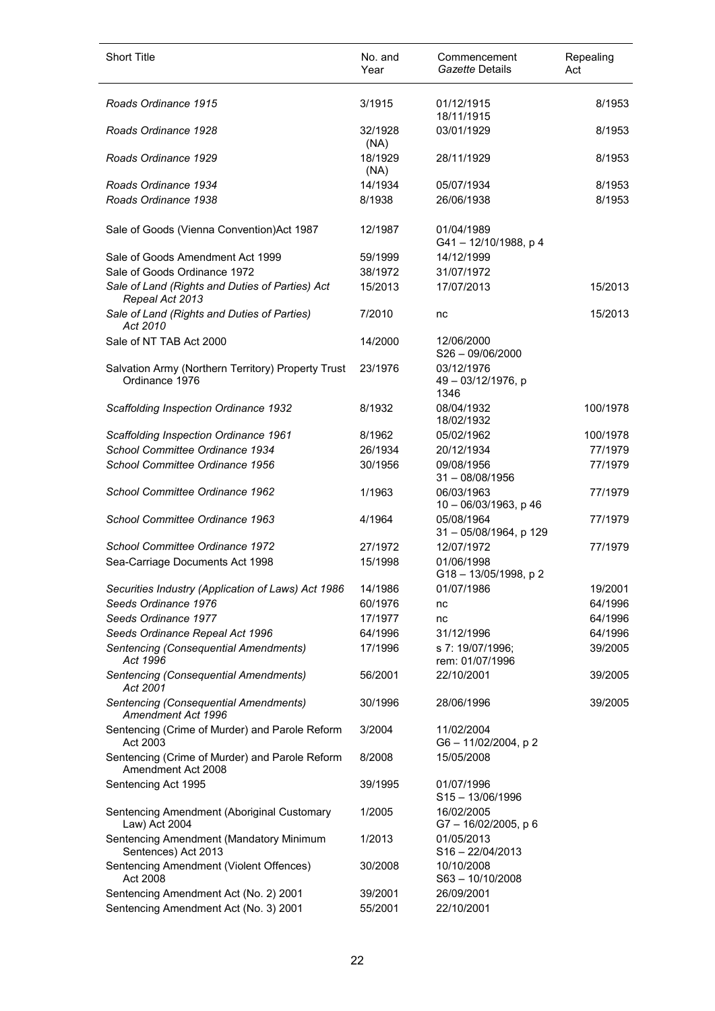| <b>Short Title</b>                                                             | No. and<br>Year    | Commencement<br>Gazette Details          | Repealing<br>Act |
|--------------------------------------------------------------------------------|--------------------|------------------------------------------|------------------|
| Roads Ordinance 1915                                                           | 3/1915             | 01/12/1915<br>18/11/1915                 | 8/1953           |
| Roads Ordinance 1928                                                           | 32/1928<br>(NA)    | 03/01/1929                               | 8/1953           |
| Roads Ordinance 1929                                                           | 18/1929<br>(NA)    | 28/11/1929                               | 8/1953           |
| Roads Ordinance 1934                                                           | 14/1934            | 05/07/1934                               | 8/1953           |
| Roads Ordinance 1938                                                           | 8/1938             | 26/06/1938                               | 8/1953           |
| Sale of Goods (Vienna Convention) Act 1987                                     | 12/1987            | 01/04/1989<br>G41-12/10/1988, p4         |                  |
| Sale of Goods Amendment Act 1999                                               | 59/1999            | 14/12/1999                               |                  |
| Sale of Goods Ordinance 1972                                                   | 38/1972            | 31/07/1972                               |                  |
| Sale of Land (Rights and Duties of Parties) Act<br>Repeal Act 2013             | 15/2013            | 17/07/2013                               | 15/2013          |
| Sale of Land (Rights and Duties of Parties)<br>Act 2010                        | 7/2010             | nc                                       | 15/2013          |
| Sale of NT TAB Act 2000                                                        | 14/2000            | 12/06/2000<br>$S26 - 09/06/2000$         |                  |
| Salvation Army (Northern Territory) Property Trust<br>Ordinance 1976           | 23/1976            | 03/12/1976<br>49 - 03/12/1976, p<br>1346 |                  |
| Scaffolding Inspection Ordinance 1932                                          | 8/1932             | 08/04/1932<br>18/02/1932                 | 100/1978         |
| Scaffolding Inspection Ordinance 1961                                          | 8/1962             | 05/02/1962                               | 100/1978         |
| School Committee Ordinance 1934                                                | 26/1934            | 20/12/1934                               | 77/1979          |
| School Committee Ordinance 1956                                                | 30/1956            | 09/08/1956<br>$31 - 08/08/1956$          | 77/1979          |
| School Committee Ordinance 1962                                                | 1/1963             | 06/03/1963<br>10 - 06/03/1963, p 46      | 77/1979          |
| School Committee Ordinance 1963                                                | 4/1964             | 05/08/1964<br>31-05/08/1964, p 129       | 77/1979          |
| School Committee Ordinance 1972                                                | 27/1972            | 12/07/1972                               | 77/1979          |
| Sea-Carriage Documents Act 1998                                                | 15/1998            | 01/06/1998<br>G18 - 13/05/1998, p 2      |                  |
| Securities Industry (Application of Laws) Act 1986                             | 14/1986            | 01/07/1986                               | 19/2001          |
| Seeds Ordinance 1976                                                           | 60/1976            | nc                                       | 64/1996          |
| Seeds Ordinance 1977                                                           | 17/1977            | nc                                       | 64/1996          |
| Seeds Ordinance Repeal Act 1996                                                | 64/1996            | 31/12/1996                               | 64/1996          |
| Sentencing (Consequential Amendments)<br>Act 1996                              | 17/1996            | s 7: 19/07/1996;<br>rem: 01/07/1996      | 39/2005          |
| Sentencing (Consequential Amendments)<br>Act 2001                              | 56/2001            | 22/10/2001                               | 39/2005          |
| Sentencing (Consequential Amendments)<br>Amendment Act 1996                    | 30/1996            | 28/06/1996                               | 39/2005          |
| Sentencing (Crime of Murder) and Parole Reform<br>Act 2003                     | 3/2004             | 11/02/2004<br>G6-11/02/2004, p2          |                  |
| Sentencing (Crime of Murder) and Parole Reform<br>Amendment Act 2008           | 8/2008             | 15/05/2008                               |                  |
| Sentencing Act 1995                                                            | 39/1995            | 01/07/1996<br>$S15 - 13/06/1996$         |                  |
| Sentencing Amendment (Aboriginal Customary<br>Law) Act 2004                    | 1/2005             | 16/02/2005<br>G7-16/02/2005, p6          |                  |
| Sentencing Amendment (Mandatory Minimum<br>Sentences) Act 2013                 | 1/2013             | 01/05/2013<br>$S16 - 22/04/2013$         |                  |
| Sentencing Amendment (Violent Offences)<br>Act 2008                            | 30/2008            | 10/10/2008<br>S63-10/10/2008             |                  |
| Sentencing Amendment Act (No. 2) 2001<br>Sentencing Amendment Act (No. 3) 2001 | 39/2001<br>55/2001 | 26/09/2001<br>22/10/2001                 |                  |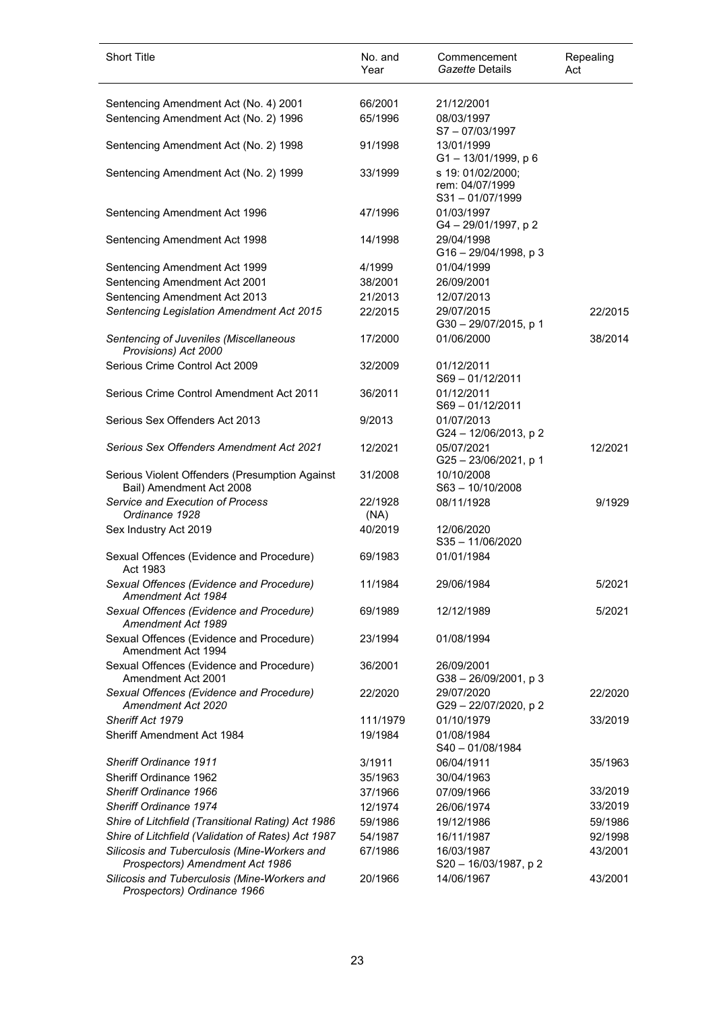| <b>Short Title</b>                                                              | No. and<br>Year | Commencement<br>Gazette Details                            | Repealing<br>Act |
|---------------------------------------------------------------------------------|-----------------|------------------------------------------------------------|------------------|
| Sentencing Amendment Act (No. 4) 2001                                           | 66/2001         | 21/12/2001                                                 |                  |
| Sentencing Amendment Act (No. 2) 1996                                           | 65/1996         | 08/03/1997<br>S7-07/03/1997                                |                  |
| Sentencing Amendment Act (No. 2) 1998                                           | 91/1998         | 13/01/1999<br>$G1 - 13/01/1999$ , p 6                      |                  |
| Sentencing Amendment Act (No. 2) 1999                                           | 33/1999         | s 19: 01/02/2000;<br>rem: 04/07/1999<br>$S31 - 01/07/1999$ |                  |
| Sentencing Amendment Act 1996                                                   | 47/1996         | 01/03/1997<br>G4-29/01/1997, p2                            |                  |
| Sentencing Amendment Act 1998                                                   | 14/1998         | 29/04/1998<br>$G16 - 29/04/1998$ , p 3                     |                  |
| Sentencing Amendment Act 1999                                                   | 4/1999          | 01/04/1999                                                 |                  |
| Sentencing Amendment Act 2001                                                   | 38/2001         | 26/09/2001                                                 |                  |
| Sentencing Amendment Act 2013                                                   | 21/2013         | 12/07/2013                                                 |                  |
| Sentencing Legislation Amendment Act 2015                                       | 22/2015         | 29/07/2015<br>G30-29/07/2015, p 1                          | 22/2015          |
| Sentencing of Juveniles (Miscellaneous<br>Provisions) Act 2000                  | 17/2000         | 01/06/2000                                                 | 38/2014          |
| Serious Crime Control Act 2009                                                  | 32/2009         | 01/12/2011<br>$S69 - 01/12/2011$                           |                  |
| Serious Crime Control Amendment Act 2011                                        | 36/2011         | 01/12/2011<br>$S69 - 01/12/2011$                           |                  |
| Serious Sex Offenders Act 2013                                                  | 9/2013          | 01/07/2013<br>G24-12/06/2013, p2                           |                  |
| Serious Sex Offenders Amendment Act 2021                                        | 12/2021         | 05/07/2021<br>G25-23/06/2021, p 1                          | 12/2021          |
| Serious Violent Offenders (Presumption Against<br>Bail) Amendment Act 2008      | 31/2008         | 10/10/2008<br>S63-10/10/2008                               |                  |
| Service and Execution of Process<br>Ordinance 1928                              | 22/1928<br>(NA) | 08/11/1928                                                 | 9/1929           |
| Sex Industry Act 2019                                                           | 40/2019         | 12/06/2020<br>$S35 - 11/06/2020$                           |                  |
| Sexual Offences (Evidence and Procedure)<br>Act 1983                            | 69/1983         | 01/01/1984                                                 |                  |
| Sexual Offences (Evidence and Procedure)<br>Amendment Act 1984                  | 11/1984         | 29/06/1984                                                 | 5/2021           |
| Sexual Offences (Evidence and Procedure)<br>Amendment Act 1989                  | 69/1989         | 12/12/1989                                                 | 5/2021           |
| Sexual Offences (Evidence and Procedure)<br>Amendment Act 1994                  | 23/1994         | 01/08/1994                                                 |                  |
| Sexual Offences (Evidence and Procedure)<br>Amendment Act 2001                  | 36/2001         | 26/09/2001<br>$G38 - 26/09/2001$ , p 3                     |                  |
| Sexual Offences (Evidence and Procedure)<br>Amendment Act 2020                  | 22/2020         | 29/07/2020<br>G29-22/07/2020, p2                           | 22/2020          |
| Sheriff Act 1979                                                                | 111/1979        | 01/10/1979                                                 | 33/2019          |
| Sheriff Amendment Act 1984                                                      | 19/1984         | 01/08/1984<br>S40-01/08/1984                               |                  |
| Sheriff Ordinance 1911                                                          | 3/1911          | 06/04/1911                                                 | 35/1963          |
| <b>Sheriff Ordinance 1962</b>                                                   | 35/1963         | 30/04/1963                                                 |                  |
| Sheriff Ordinance 1966                                                          | 37/1966         | 07/09/1966                                                 | 33/2019          |
| Sheriff Ordinance 1974                                                          | 12/1974         | 26/06/1974                                                 | 33/2019          |
| Shire of Litchfield (Transitional Rating) Act 1986                              | 59/1986         | 19/12/1986                                                 | 59/1986          |
| Shire of Litchfield (Validation of Rates) Act 1987                              | 54/1987         | 16/11/1987                                                 | 92/1998          |
| Silicosis and Tuberculosis (Mine-Workers and<br>Prospectors) Amendment Act 1986 | 67/1986         | 16/03/1987<br>S20 - 16/03/1987, p 2                        | 43/2001          |
| Silicosis and Tuberculosis (Mine-Workers and<br>Prospectors) Ordinance 1966     | 20/1966         | 14/06/1967                                                 | 43/2001          |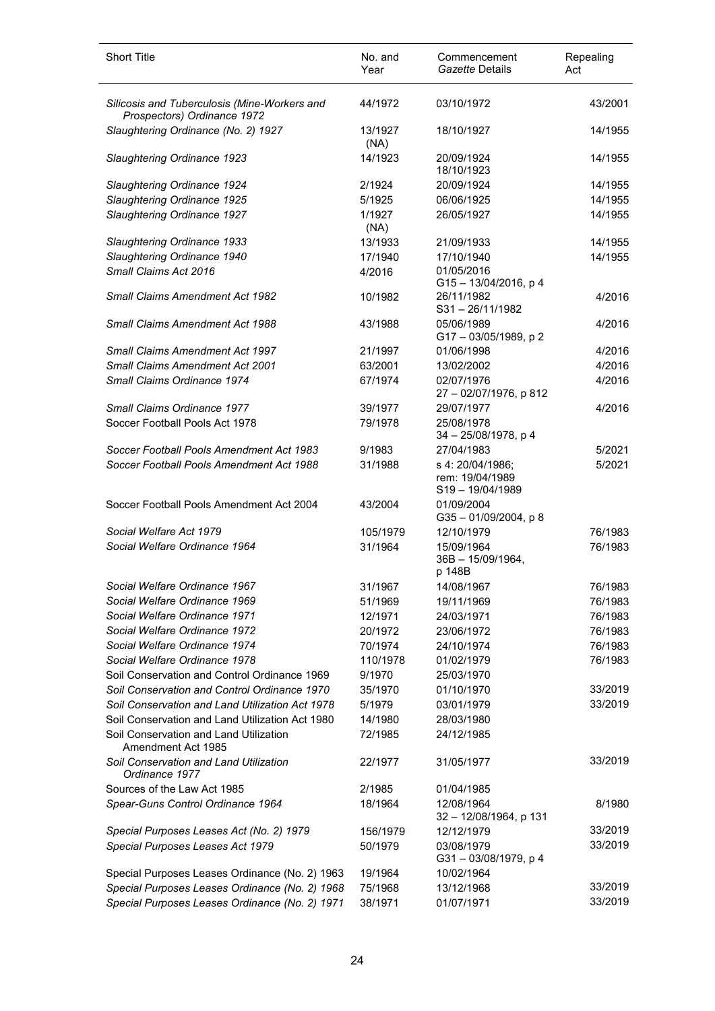| <b>Short Title</b>                                                                                 | No. and<br>Year   | Commencement<br>Gazette Details                           | Repealing<br>Act |
|----------------------------------------------------------------------------------------------------|-------------------|-----------------------------------------------------------|------------------|
| Silicosis and Tuberculosis (Mine-Workers and<br>Prospectors) Ordinance 1972                        | 44/1972           | 03/10/1972                                                | 43/2001          |
| Slaughtering Ordinance (No. 2) 1927                                                                | 13/1927<br>(NA)   | 18/10/1927                                                | 14/1955          |
| Slaughtering Ordinance 1923                                                                        | 14/1923           | 20/09/1924<br>18/10/1923                                  | 14/1955          |
| Slaughtering Ordinance 1924                                                                        | 2/1924            | 20/09/1924                                                | 14/1955          |
| Slaughtering Ordinance 1925                                                                        | 5/1925            | 06/06/1925                                                | 14/1955          |
| Slaughtering Ordinance 1927                                                                        | 1/1927<br>(NA)    | 26/05/1927                                                | 14/1955          |
| Slaughtering Ordinance 1933                                                                        | 13/1933           | 21/09/1933                                                | 14/1955          |
| Slaughtering Ordinance 1940                                                                        | 17/1940           | 17/10/1940                                                | 14/1955          |
| Small Claims Act 2016                                                                              | 4/2016            | 01/05/2016<br>G15-13/04/2016, p 4                         |                  |
| <b>Small Claims Amendment Act 1982</b>                                                             | 10/1982           | 26/11/1982<br>$S31 - 26/11/1982$                          | 4/2016           |
| <b>Small Claims Amendment Act 1988</b>                                                             | 43/1988           | 05/06/1989<br>G17-03/05/1989, p2                          | 4/2016           |
| <b>Small Claims Amendment Act 1997</b>                                                             | 21/1997           | 01/06/1998                                                | 4/2016           |
| <b>Small Claims Amendment Act 2001</b>                                                             | 63/2001           | 13/02/2002                                                | 4/2016           |
| Small Claims Ordinance 1974                                                                        | 67/1974           | 02/07/1976<br>27 - 02/07/1976, p 812                      | 4/2016           |
| Small Claims Ordinance 1977                                                                        | 39/1977           | 29/07/1977                                                | 4/2016           |
| Soccer Football Pools Act 1978                                                                     | 79/1978           | 25/08/1978<br>34 - 25/08/1978, p 4                        |                  |
| Soccer Football Pools Amendment Act 1983                                                           | 9/1983            | 27/04/1983                                                | 5/2021           |
| Soccer Football Pools Amendment Act 1988                                                           | 31/1988           | s 4: 20/04/1986;<br>rem: 19/04/1989<br>$S19 - 19/04/1989$ | 5/2021           |
| Soccer Football Pools Amendment Act 2004                                                           | 43/2004           | 01/09/2004<br>G35-01/09/2004, p8                          |                  |
| Social Welfare Act 1979                                                                            | 105/1979          | 12/10/1979                                                | 76/1983          |
| Social Welfare Ordinance 1964                                                                      | 31/1964           | 15/09/1964<br>36B - 15/09/1964,<br>p 148B                 | 76/1983          |
| Social Welfare Ordinance 1967                                                                      | 31/1967           | 14/08/1967                                                | 76/1983          |
| Social Welfare Ordinance 1969                                                                      | 51/1969           | 19/11/1969                                                | 76/1983          |
| Social Welfare Ordinance 1971                                                                      | 12/1971           | 24/03/1971                                                | 76/1983          |
| Social Welfare Ordinance 1972                                                                      | 20/1972           | 23/06/1972                                                | 76/1983          |
| Social Welfare Ordinance 1974                                                                      | 70/1974           | 24/10/1974                                                | 76/1983          |
| Social Welfare Ordinance 1978                                                                      | 110/1978          | 01/02/1979                                                | 76/1983          |
| Soil Conservation and Control Ordinance 1969                                                       | 9/1970            | 25/03/1970                                                | 33/2019          |
| Soil Conservation and Control Ordinance 1970                                                       | 35/1970           | 01/10/1970                                                | 33/2019          |
| Soil Conservation and Land Utilization Act 1978<br>Soil Conservation and Land Utilization Act 1980 | 5/1979<br>14/1980 | 03/01/1979                                                |                  |
| Soil Conservation and Land Utilization<br>Amendment Act 1985                                       | 72/1985           | 28/03/1980<br>24/12/1985                                  |                  |
| Soil Conservation and Land Utilization<br>Ordinance 1977                                           | 22/1977           | 31/05/1977                                                | 33/2019          |
| Sources of the Law Act 1985                                                                        | 2/1985            | 01/04/1985                                                |                  |
| Spear-Guns Control Ordinance 1964                                                                  | 18/1964           | 12/08/1964<br>32 - 12/08/1964, p 131                      | 8/1980           |
| Special Purposes Leases Act (No. 2) 1979                                                           | 156/1979          | 12/12/1979                                                | 33/2019          |
| Special Purposes Leases Act 1979                                                                   | 50/1979           | 03/08/1979<br>G31-03/08/1979, p 4                         | 33/2019          |
| Special Purposes Leases Ordinance (No. 2) 1963                                                     | 19/1964           | 10/02/1964                                                |                  |
| Special Purposes Leases Ordinance (No. 2) 1968                                                     | 75/1968           | 13/12/1968                                                | 33/2019          |
| Special Purposes Leases Ordinance (No. 2) 1971                                                     | 38/1971           | 01/07/1971                                                | 33/2019          |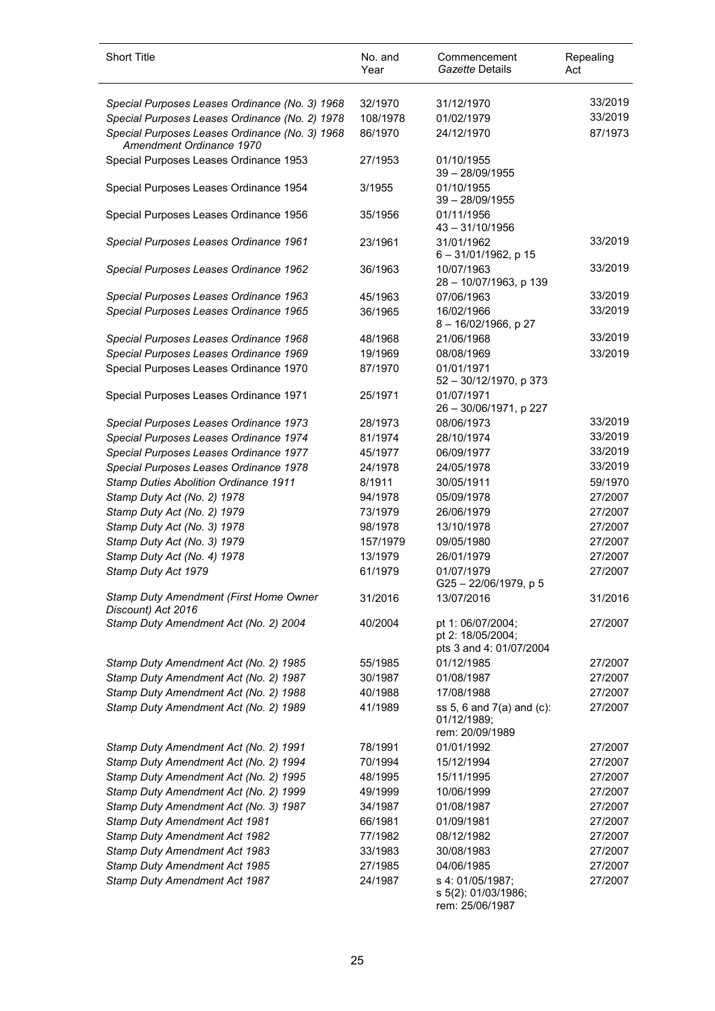| <b>Short Title</b>                                                                                    | No. and<br>Year    | Commencement<br>Gazette Details                             | Repealing<br>Act   |
|-------------------------------------------------------------------------------------------------------|--------------------|-------------------------------------------------------------|--------------------|
| Special Purposes Leases Ordinance (No. 3) 1968                                                        | 32/1970            | 31/12/1970                                                  | 33/2019            |
| Special Purposes Leases Ordinance (No. 2) 1978                                                        | 108/1978           | 01/02/1979                                                  | 33/2019            |
| Special Purposes Leases Ordinance (No. 3) 1968<br>Amendment Ordinance 1970                            | 86/1970            | 24/12/1970                                                  | 87/1973            |
| Special Purposes Leases Ordinance 1953                                                                | 27/1953            | 01/10/1955<br>$39 - 28/09/1955$                             |                    |
| Special Purposes Leases Ordinance 1954                                                                | 3/1955             | 01/10/1955<br>$39 - 28/09/1955$                             |                    |
| Special Purposes Leases Ordinance 1956                                                                | 35/1956            | 01/11/1956<br>$43 - 31/10/1956$                             |                    |
| Special Purposes Leases Ordinance 1961                                                                | 23/1961            | 31/01/1962<br>$6 - 31/01/1962$ , p 15                       | 33/2019            |
| Special Purposes Leases Ordinance 1962                                                                | 36/1963            | 10/07/1963<br>28 - 10/07/1963, p 139                        | 33/2019            |
| Special Purposes Leases Ordinance 1963                                                                | 45/1963            | 07/06/1963                                                  | 33/2019            |
| Special Purposes Leases Ordinance 1965                                                                | 36/1965            | 16/02/1966<br>8-16/02/1966, p 27                            | 33/2019            |
| Special Purposes Leases Ordinance 1968                                                                | 48/1968            | 21/06/1968                                                  | 33/2019            |
| Special Purposes Leases Ordinance 1969                                                                | 19/1969            | 08/08/1969                                                  | 33/2019            |
| Special Purposes Leases Ordinance 1970                                                                | 87/1970            | 01/01/1971<br>$52 - 30/12/1970$ , p 373                     |                    |
| Special Purposes Leases Ordinance 1971                                                                | 25/1971            | 01/07/1971<br>26 - 30/06/1971, p 227                        |                    |
| Special Purposes Leases Ordinance 1973                                                                | 28/1973            | 08/06/1973                                                  | 33/2019            |
| Special Purposes Leases Ordinance 1974                                                                | 81/1974            | 28/10/1974                                                  | 33/2019            |
| Special Purposes Leases Ordinance 1977                                                                | 45/1977            | 06/09/1977                                                  | 33/2019            |
| Special Purposes Leases Ordinance 1978                                                                | 24/1978            | 24/05/1978                                                  | 33/2019            |
| Stamp Duties Abolition Ordinance 1911                                                                 | 8/1911             | 30/05/1911                                                  | 59/1970            |
| Stamp Duty Act (No. 2) 1978                                                                           | 94/1978            | 05/09/1978                                                  | 27/2007            |
| Stamp Duty Act (No. 2) 1979                                                                           | 73/1979            | 26/06/1979                                                  | 27/2007            |
| Stamp Duty Act (No. 3) 1978                                                                           | 98/1978            | 13/10/1978                                                  | 27/2007            |
| Stamp Duty Act (No. 3) 1979                                                                           | 157/1979           | 09/05/1980                                                  | 27/2007            |
| Stamp Duty Act (No. 4) 1978                                                                           | 13/1979            | 26/01/1979                                                  | 27/2007            |
| Stamp Duty Act 1979                                                                                   | 61/1979            | 01/07/1979<br>G25-22/06/1979, p 5                           | 27/2007            |
| Stamp Duty Amendment (First Home Owner<br>Discount) Act 2016<br>Stamp Duty Amendment Act (No. 2) 2004 | 31/2016<br>40/2004 | 13/07/2016<br>pt 1: 06/07/2004;                             | 31/2016<br>27/2007 |
|                                                                                                       |                    | pt 2: 18/05/2004;<br>pts 3 and 4: 01/07/2004                |                    |
| Stamp Duty Amendment Act (No. 2) 1985                                                                 | 55/1985            | 01/12/1985                                                  | 27/2007            |
| Stamp Duty Amendment Act (No. 2) 1987                                                                 | 30/1987            | 01/08/1987                                                  | 27/2007            |
| Stamp Duty Amendment Act (No. 2) 1988                                                                 | 40/1988            | 17/08/1988                                                  | 27/2007            |
| Stamp Duty Amendment Act (No. 2) 1989                                                                 | 41/1989            | ss 5, 6 and 7(a) and (c):<br>01/12/1989:<br>rem: 20/09/1989 | 27/2007            |
| Stamp Duty Amendment Act (No. 2) 1991                                                                 | 78/1991            | 01/01/1992                                                  | 27/2007            |
| Stamp Duty Amendment Act (No. 2) 1994                                                                 | 70/1994            | 15/12/1994                                                  | 27/2007            |
| Stamp Duty Amendment Act (No. 2) 1995                                                                 | 48/1995            | 15/11/1995                                                  | 27/2007            |
| Stamp Duty Amendment Act (No. 2) 1999                                                                 | 49/1999            | 10/06/1999                                                  | 27/2007            |
| Stamp Duty Amendment Act (No. 3) 1987                                                                 | 34/1987            | 01/08/1987                                                  | 27/2007            |
| Stamp Duty Amendment Act 1981                                                                         | 66/1981            | 01/09/1981                                                  | 27/2007            |
| Stamp Duty Amendment Act 1982                                                                         | 77/1982            | 08/12/1982                                                  | 27/2007            |
| Stamp Duty Amendment Act 1983                                                                         | 33/1983            | 30/08/1983                                                  | 27/2007            |
| Stamp Duty Amendment Act 1985                                                                         | 27/1985            | 04/06/1985                                                  | 27/2007            |
| Stamp Duty Amendment Act 1987                                                                         | 24/1987            | s 4: 01/05/1987;<br>s 5(2): 01/03/1986;<br>rem: 25/06/1987  | 27/2007            |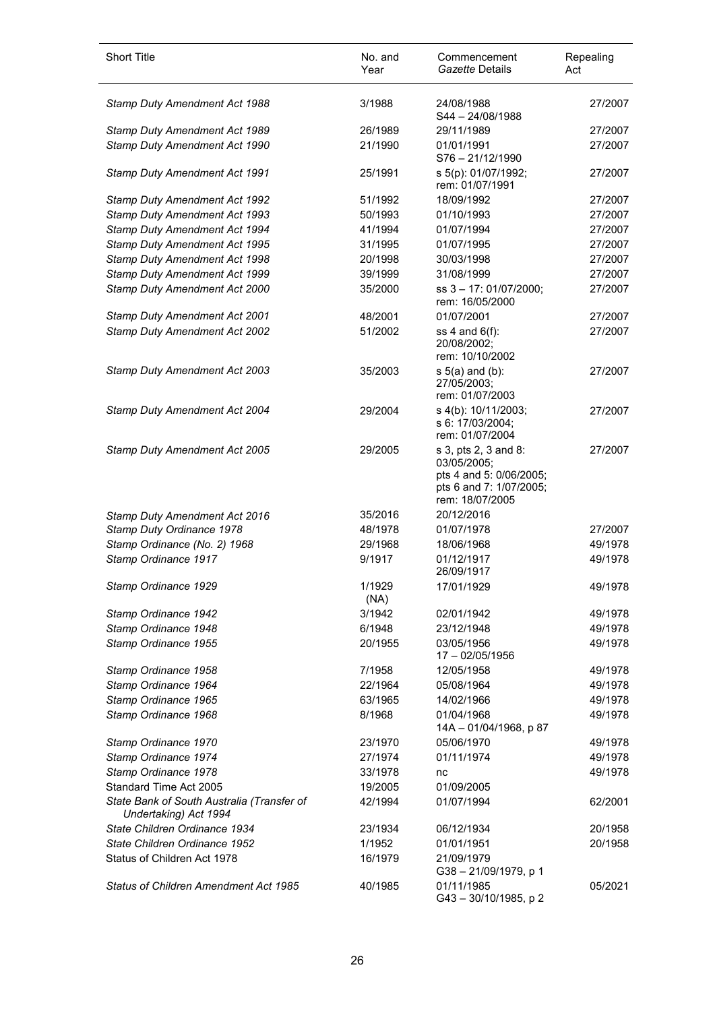| <b>Short Title</b>                                                  | No. and<br>Year   | Commencement<br>Gazette Details                                                                              | Repealing<br>Act   |
|---------------------------------------------------------------------|-------------------|--------------------------------------------------------------------------------------------------------------|--------------------|
| Stamp Duty Amendment Act 1988                                       | 3/1988            | 24/08/1988<br>S44 - 24/08/1988                                                                               | 27/2007            |
| Stamp Duty Amendment Act 1989                                       | 26/1989           | 29/11/1989                                                                                                   | 27/2007            |
| Stamp Duty Amendment Act 1990                                       | 21/1990           | 01/01/1991<br>S76-21/12/1990                                                                                 | 27/2007            |
| Stamp Duty Amendment Act 1991                                       | 25/1991           | s 5(p): 01/07/1992;<br>rem: 01/07/1991                                                                       | 27/2007            |
| Stamp Duty Amendment Act 1992                                       | 51/1992           | 18/09/1992                                                                                                   | 27/2007            |
| Stamp Duty Amendment Act 1993                                       | 50/1993           | 01/10/1993                                                                                                   | 27/2007            |
| Stamp Duty Amendment Act 1994                                       | 41/1994           | 01/07/1994                                                                                                   | 27/2007            |
| Stamp Duty Amendment Act 1995                                       | 31/1995           | 01/07/1995                                                                                                   | 27/2007            |
| Stamp Duty Amendment Act 1998                                       | 20/1998           | 30/03/1998                                                                                                   | 27/2007            |
| Stamp Duty Amendment Act 1999                                       | 39/1999           | 31/08/1999                                                                                                   | 27/2007            |
| Stamp Duty Amendment Act 2000                                       | 35/2000           | ss 3 - 17: 01/07/2000;<br>rem: 16/05/2000                                                                    | 27/2007            |
| Stamp Duty Amendment Act 2001                                       | 48/2001           | 01/07/2001                                                                                                   | 27/2007            |
| Stamp Duty Amendment Act 2002                                       | 51/2002           | ss $4$ and $6(f)$ :<br>20/08/2002;<br>rem: 10/10/2002                                                        | 27/2007            |
| Stamp Duty Amendment Act 2003                                       | 35/2003           | $s$ 5(a) and (b):<br>27/05/2003;<br>rem: 01/07/2003                                                          | 27/2007            |
| Stamp Duty Amendment Act 2004                                       | 29/2004           | s 4(b): 10/11/2003;<br>s 6: 17/03/2004;<br>rem: 01/07/2004                                                   | 27/2007            |
| Stamp Duty Amendment Act 2005                                       | 29/2005           | s 3, pts 2, 3 and 8:<br>03/05/2005;<br>pts 4 and 5: 0/06/2005;<br>pts 6 and 7: 1/07/2005;<br>rem: 18/07/2005 | 27/2007            |
| Stamp Duty Amendment Act 2016                                       | 35/2016           | 20/12/2016                                                                                                   |                    |
| Stamp Duty Ordinance 1978                                           | 48/1978           | 01/07/1978                                                                                                   | 27/2007            |
| Stamp Ordinance (No. 2) 1968                                        | 29/1968<br>9/1917 | 18/06/1968<br>01/12/1917                                                                                     | 49/1978<br>49/1978 |
| Stamp Ordinance 1917<br>Stamp Ordinance 1929                        |                   | 26/09/1917                                                                                                   |                    |
|                                                                     | 1/1929<br>(NA)    | 17/01/1929                                                                                                   | 49/1978            |
| Stamp Ordinance 1942                                                | 3/1942<br>6/1948  | 02/01/1942                                                                                                   | 49/1978<br>49/1978 |
| Stamp Ordinance 1948<br>Stamp Ordinance 1955                        | 20/1955           | 23/12/1948<br>03/05/1956<br>17 - 02/05/1956                                                                  | 49/1978            |
| Stamp Ordinance 1958                                                | 7/1958            | 12/05/1958                                                                                                   | 49/1978            |
| Stamp Ordinance 1964                                                | 22/1964           | 05/08/1964                                                                                                   | 49/1978            |
| Stamp Ordinance 1965                                                | 63/1965           | 14/02/1966                                                                                                   | 49/1978            |
| Stamp Ordinance 1968                                                | 8/1968            | 01/04/1968<br>14A - 01/04/1968, p 87                                                                         | 49/1978            |
| Stamp Ordinance 1970                                                | 23/1970           | 05/06/1970                                                                                                   | 49/1978            |
| Stamp Ordinance 1974                                                | 27/1974           | 01/11/1974                                                                                                   | 49/1978            |
| Stamp Ordinance 1978                                                | 33/1978           | nc                                                                                                           | 49/1978            |
| Standard Time Act 2005                                              | 19/2005           | 01/09/2005                                                                                                   |                    |
| State Bank of South Australia (Transfer of<br>Undertaking) Act 1994 | 42/1994           | 01/07/1994                                                                                                   | 62/2001            |
| State Children Ordinance 1934                                       | 23/1934           | 06/12/1934                                                                                                   | 20/1958            |
| State Children Ordinance 1952                                       | 1/1952            | 01/01/1951                                                                                                   | 20/1958            |
| Status of Children Act 1978                                         | 16/1979           | 21/09/1979<br>G38-21/09/1979, p 1                                                                            |                    |
| <b>Status of Children Amendment Act 1985</b>                        | 40/1985           | 01/11/1985<br>G43-30/10/1985, p2                                                                             | 05/2021            |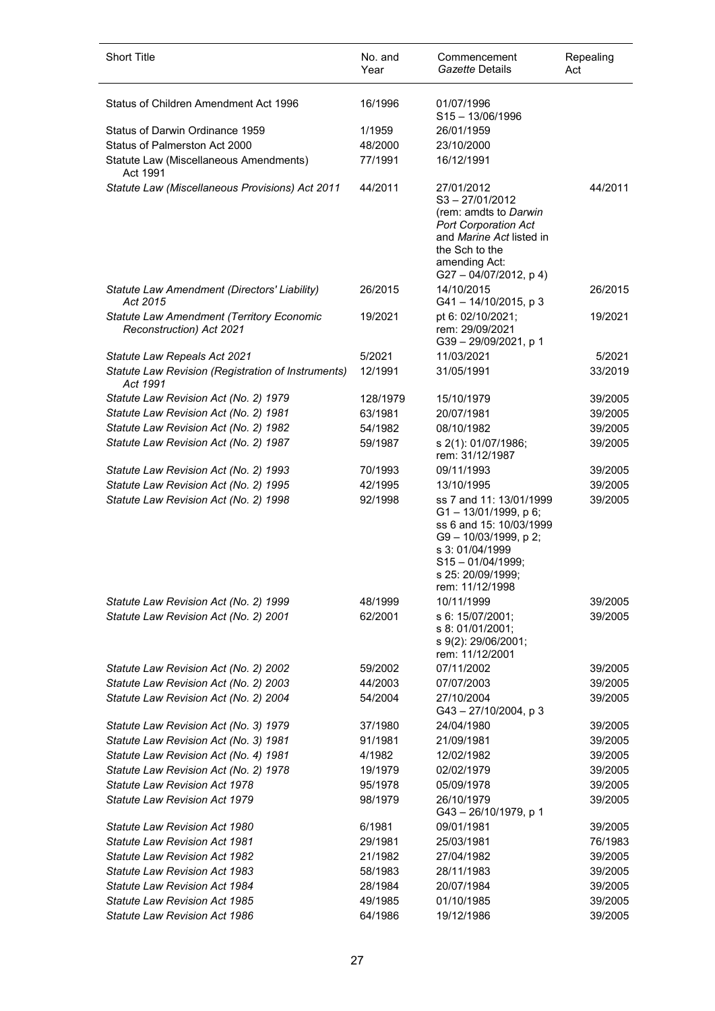| <b>Short Title</b>                                                           | No. and<br>Year | Commencement<br>Gazette Details                                                                                                                                                     | Repealing<br>Act |
|------------------------------------------------------------------------------|-----------------|-------------------------------------------------------------------------------------------------------------------------------------------------------------------------------------|------------------|
| Status of Children Amendment Act 1996                                        | 16/1996         | 01/07/1996<br>$S15 - 13/06/1996$                                                                                                                                                    |                  |
| Status of Darwin Ordinance 1959                                              | 1/1959          | 26/01/1959                                                                                                                                                                          |                  |
| Status of Palmerston Act 2000                                                | 48/2000         | 23/10/2000                                                                                                                                                                          |                  |
| Statute Law (Miscellaneous Amendments)<br>Act 1991                           | 77/1991         | 16/12/1991                                                                                                                                                                          |                  |
| Statute Law (Miscellaneous Provisions) Act 2011                              | 44/2011         | 27/01/2012<br>$S3 - 27/01/2012$<br>(rem: amdts to Darwin<br><b>Port Corporation Act</b><br>and Marine Act listed in<br>the Sch to the<br>amending Act:<br>$G27 - 04/07/2012$ , p 4) | 44/2011          |
| Statute Law Amendment (Directors' Liability)<br>Act 2015                     | 26/2015         | 14/10/2015<br>G41-14/10/2015, p 3                                                                                                                                                   | 26/2015          |
| <b>Statute Law Amendment (Territory Economic</b><br>Reconstruction) Act 2021 | 19/2021         | pt 6: 02/10/2021;<br>rem: 29/09/2021<br>G39-29/09/2021, p 1                                                                                                                         | 19/2021          |
| Statute Law Repeals Act 2021                                                 | 5/2021          | 11/03/2021                                                                                                                                                                          | 5/2021           |
| Statute Law Revision (Registration of Instruments)<br>Act 1991               | 12/1991         | 31/05/1991                                                                                                                                                                          | 33/2019          |
| Statute Law Revision Act (No. 2) 1979                                        | 128/1979        | 15/10/1979                                                                                                                                                                          | 39/2005          |
| Statute Law Revision Act (No. 2) 1981                                        | 63/1981         | 20/07/1981                                                                                                                                                                          | 39/2005          |
| Statute Law Revision Act (No. 2) 1982                                        | 54/1982         | 08/10/1982                                                                                                                                                                          | 39/2005          |
| Statute Law Revision Act (No. 2) 1987                                        | 59/1987         | s 2(1): 01/07/1986;<br>rem: 31/12/1987                                                                                                                                              | 39/2005          |
| Statute Law Revision Act (No. 2) 1993                                        | 70/1993         | 09/11/1993                                                                                                                                                                          | 39/2005          |
| Statute Law Revision Act (No. 2) 1995                                        | 42/1995         | 13/10/1995                                                                                                                                                                          | 39/2005          |
| Statute Law Revision Act (No. 2) 1998                                        | 92/1998         | ss 7 and 11: 13/01/1999<br>G1-13/01/1999, p 6;<br>ss 6 and 15: 10/03/1999<br>G9-10/03/1999, p2;<br>s 3:01/04/1999<br>$S15 - 01/04/1999;$<br>s 25: 20/09/1999:<br>rem: 11/12/1998    | 39/2005          |
| Statute Law Revision Act (No. 2) 1999                                        | 48/1999         | 10/11/1999                                                                                                                                                                          | 39/2005          |
| Statute Law Revision Act (No. 2) 2001                                        | 62/2001         | s 6: 15/07/2001;<br>s 8: 01/01/2001;<br>s 9(2): 29/06/2001;<br>rem: 11/12/2001                                                                                                      | 39/2005          |
| Statute Law Revision Act (No. 2) 2002                                        | 59/2002         | 07/11/2002                                                                                                                                                                          | 39/2005          |
| Statute Law Revision Act (No. 2) 2003                                        | 44/2003         | 07/07/2003                                                                                                                                                                          | 39/2005          |
| Statute Law Revision Act (No. 2) 2004                                        | 54/2004         | 27/10/2004<br>G43-27/10/2004, p3                                                                                                                                                    | 39/2005          |
| Statute Law Revision Act (No. 3) 1979                                        | 37/1980         | 24/04/1980                                                                                                                                                                          | 39/2005          |
| Statute Law Revision Act (No. 3) 1981                                        | 91/1981         | 21/09/1981                                                                                                                                                                          | 39/2005          |
| Statute Law Revision Act (No. 4) 1981                                        | 4/1982          | 12/02/1982                                                                                                                                                                          | 39/2005          |
| Statute Law Revision Act (No. 2) 1978                                        | 19/1979         | 02/02/1979                                                                                                                                                                          | 39/2005          |
| Statute Law Revision Act 1978                                                | 95/1978         | 05/09/1978                                                                                                                                                                          | 39/2005          |
| Statute Law Revision Act 1979                                                | 98/1979         | 26/10/1979<br>G43-26/10/1979, p 1                                                                                                                                                   | 39/2005          |
| Statute Law Revision Act 1980                                                | 6/1981          | 09/01/1981                                                                                                                                                                          | 39/2005          |
| <b>Statute Law Revision Act 1981</b>                                         | 29/1981         | 25/03/1981                                                                                                                                                                          | 76/1983          |
| Statute Law Revision Act 1982                                                | 21/1982         | 27/04/1982                                                                                                                                                                          | 39/2005          |
| <b>Statute Law Revision Act 1983</b>                                         | 58/1983         | 28/11/1983                                                                                                                                                                          | 39/2005          |
| Statute Law Revision Act 1984                                                | 28/1984         | 20/07/1984                                                                                                                                                                          | 39/2005          |
| Statute Law Revision Act 1985                                                | 49/1985         | 01/10/1985                                                                                                                                                                          | 39/2005          |
| Statute Law Revision Act 1986                                                | 64/1986         | 19/12/1986                                                                                                                                                                          | 39/2005          |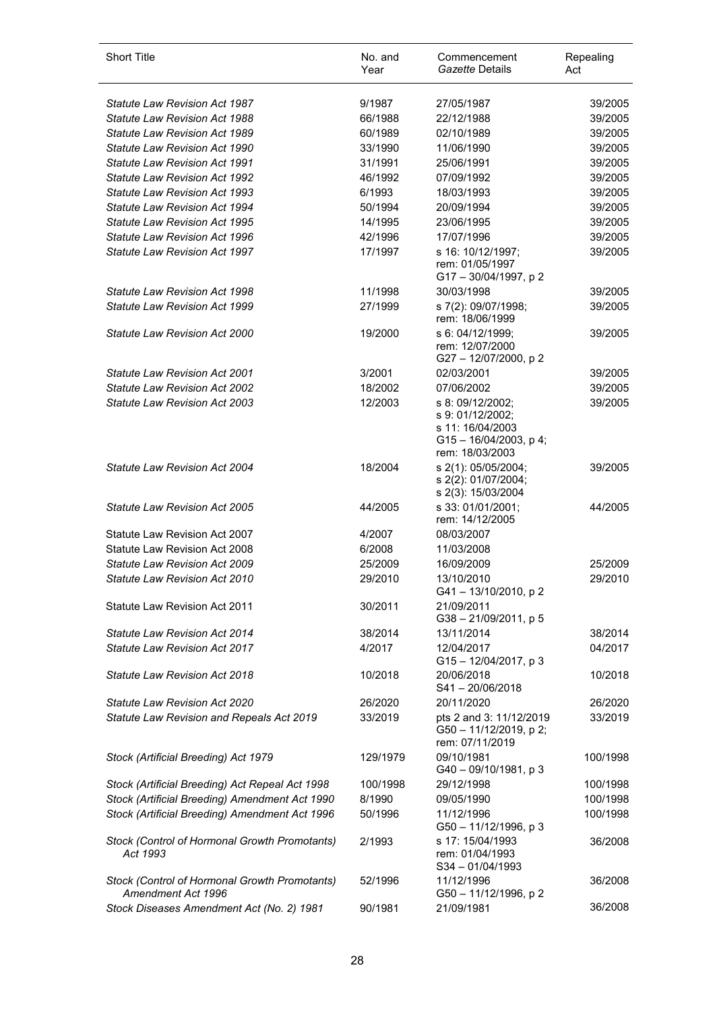| <b>Short Title</b>                                                  | No. and<br>Year | Commencement<br>Gazette Details                                                                          | Repealing<br>Act |
|---------------------------------------------------------------------|-----------------|----------------------------------------------------------------------------------------------------------|------------------|
| <b>Statute Law Revision Act 1987</b>                                | 9/1987          | 27/05/1987                                                                                               | 39/2005          |
| <b>Statute Law Revision Act 1988</b>                                | 66/1988         | 22/12/1988                                                                                               | 39/2005          |
| Statute Law Revision Act 1989                                       | 60/1989         | 02/10/1989                                                                                               | 39/2005          |
| Statute Law Revision Act 1990                                       | 33/1990         | 11/06/1990                                                                                               | 39/2005          |
| Statute Law Revision Act 1991                                       | 31/1991         | 25/06/1991                                                                                               | 39/2005          |
| <b>Statute Law Revision Act 1992</b>                                | 46/1992         | 07/09/1992                                                                                               | 39/2005          |
| <b>Statute Law Revision Act 1993</b>                                | 6/1993          | 18/03/1993                                                                                               | 39/2005          |
| <b>Statute Law Revision Act 1994</b>                                | 50/1994         | 20/09/1994                                                                                               | 39/2005          |
| <b>Statute Law Revision Act 1995</b>                                | 14/1995         | 23/06/1995                                                                                               | 39/2005          |
| <b>Statute Law Revision Act 1996</b>                                | 42/1996         | 17/07/1996                                                                                               | 39/2005          |
| <b>Statute Law Revision Act 1997</b>                                | 17/1997         | s 16: 10/12/1997;<br>rem: 01/05/1997<br>G17-30/04/1997, p2                                               | 39/2005          |
| <b>Statute Law Revision Act 1998</b>                                | 11/1998         | 30/03/1998                                                                                               | 39/2005          |
| Statute Law Revision Act 1999                                       | 27/1999         | s 7(2): 09/07/1998;<br>rem: 18/06/1999                                                                   | 39/2005          |
| <b>Statute Law Revision Act 2000</b>                                | 19/2000         | s 6: 04/12/1999;<br>rem: 12/07/2000<br>G27-12/07/2000, p2                                                | 39/2005          |
| <b>Statute Law Revision Act 2001</b>                                | 3/2001          | 02/03/2001                                                                                               | 39/2005          |
| Statute Law Revision Act 2002                                       | 18/2002         | 07/06/2002                                                                                               | 39/2005          |
| <b>Statute Law Revision Act 2003</b>                                | 12/2003         | s 8: 09/12/2002;<br>s 9: 01/12/2002;<br>s 11: 16/04/2003<br>$G15 - 16/04/2003$ , p 4;<br>rem: 18/03/2003 | 39/2005          |
| <b>Statute Law Revision Act 2004</b>                                | 18/2004         | s 2(1): 05/05/2004;<br>s 2(2): 01/07/2004;<br>s 2(3): 15/03/2004                                         | 39/2005          |
| <b>Statute Law Revision Act 2005</b>                                | 44/2005         | s 33: 01/01/2001;<br>rem: 14/12/2005                                                                     | 44/2005          |
| Statute Law Revision Act 2007                                       | 4/2007          | 08/03/2007                                                                                               |                  |
| Statute Law Revision Act 2008                                       | 6/2008          | 11/03/2008                                                                                               |                  |
| <b>Statute Law Revision Act 2009</b>                                | 25/2009         | 16/09/2009                                                                                               | 25/2009          |
| <b>Statute Law Revision Act 2010</b>                                | 29/2010         | 13/10/2010<br>G41-13/10/2010, p2                                                                         | 29/2010          |
| <b>Statute Law Revision Act 2011</b>                                | 30/2011         | 21/09/2011<br>$G38 - 21/09/2011$ , p 5                                                                   |                  |
| Statute Law Revision Act 2014                                       | 38/2014         | 13/11/2014                                                                                               | 38/2014          |
| <b>Statute Law Revision Act 2017</b>                                | 4/2017          | 12/04/2017<br>$G15 - 12/04/2017$ , p 3                                                                   | 04/2017          |
| <b>Statute Law Revision Act 2018</b>                                | 10/2018         | 20/06/2018<br>S41-20/06/2018                                                                             | 10/2018          |
| Statute Law Revision Act 2020                                       | 26/2020         | 20/11/2020                                                                                               | 26/2020          |
| Statute Law Revision and Repeals Act 2019                           | 33/2019         | pts 2 and 3: 11/12/2019<br>G50 - 11/12/2019, p 2;<br>rem: 07/11/2019                                     | 33/2019          |
| Stock (Artificial Breeding) Act 1979                                | 129/1979        | 09/10/1981<br>G40 - 09/10/1981, p 3                                                                      | 100/1998         |
| Stock (Artificial Breeding) Act Repeal Act 1998                     | 100/1998        | 29/12/1998                                                                                               | 100/1998         |
| Stock (Artificial Breeding) Amendment Act 1990                      | 8/1990          | 09/05/1990                                                                                               | 100/1998         |
| Stock (Artificial Breeding) Amendment Act 1996                      | 50/1996         | 11/12/1996<br>G50 - 11/12/1996, p 3                                                                      | 100/1998         |
| Stock (Control of Hormonal Growth Promotants)<br>Act 1993           | 2/1993          | s 17: 15/04/1993<br>rem: 01/04/1993<br>$S34 - 01/04/1993$                                                | 36/2008          |
| Stock (Control of Hormonal Growth Promotants)<br>Amendment Act 1996 | 52/1996         | 11/12/1996<br>G50 - 11/12/1996, p 2                                                                      | 36/2008          |
| Stock Diseases Amendment Act (No. 2) 1981                           | 90/1981         | 21/09/1981                                                                                               | 36/2008          |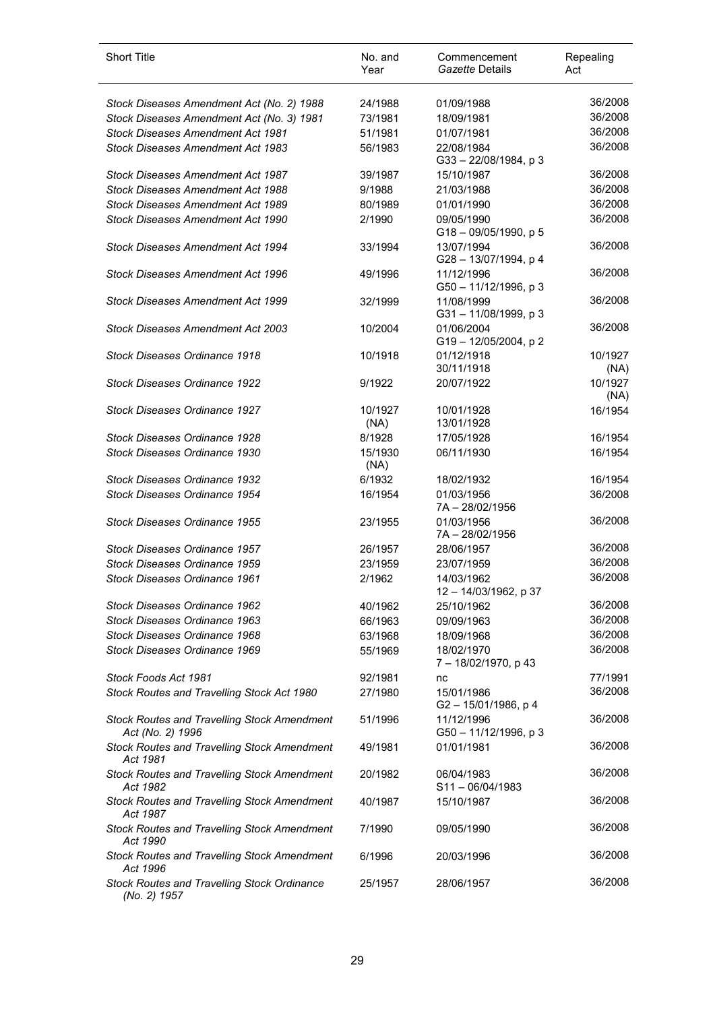| <b>Short Title</b>                                                     | No. and<br>Year | Commencement<br>Gazette Details     | Repealing<br>Act |
|------------------------------------------------------------------------|-----------------|-------------------------------------|------------------|
| Stock Diseases Amendment Act (No. 2) 1988                              | 24/1988         | 01/09/1988                          | 36/2008          |
| Stock Diseases Amendment Act (No. 3) 1981                              | 73/1981         | 18/09/1981                          | 36/2008          |
| <b>Stock Diseases Amendment Act 1981</b>                               | 51/1981         | 01/07/1981                          | 36/2008          |
| <b>Stock Diseases Amendment Act 1983</b>                               | 56/1983         | 22/08/1984                          | 36/2008          |
|                                                                        |                 | G33-22/08/1984, p3                  |                  |
| <b>Stock Diseases Amendment Act 1987</b>                               | 39/1987         | 15/10/1987                          | 36/2008          |
| <b>Stock Diseases Amendment Act 1988</b>                               | 9/1988          | 21/03/1988                          | 36/2008          |
| Stock Diseases Amendment Act 1989                                      | 80/1989         | 01/01/1990                          | 36/2008          |
| Stock Diseases Amendment Act 1990                                      | 2/1990          | 09/05/1990                          | 36/2008          |
|                                                                        |                 | $G18 - 09/05/1990$ , p 5            |                  |
| Stock Diseases Amendment Act 1994                                      | 33/1994         | 13/07/1994<br>G28-13/07/1994, p4    | 36/2008          |
| Stock Diseases Amendment Act 1996                                      | 49/1996         | 11/12/1996<br>G50 - 11/12/1996, p 3 | 36/2008          |
| <b>Stock Diseases Amendment Act 1999</b>                               | 32/1999         | 11/08/1999<br>G31-11/08/1999, p3    | 36/2008          |
| Stock Diseases Amendment Act 2003                                      | 10/2004         | 01/06/2004<br>G19-12/05/2004, p2    | 36/2008          |
| Stock Diseases Ordinance 1918                                          | 10/1918         | 01/12/1918<br>30/11/1918            | 10/1927<br>(NA)  |
| <b>Stock Diseases Ordinance 1922</b>                                   | 9/1922          | 20/07/1922                          | 10/1927<br>(NA)  |
| <b>Stock Diseases Ordinance 1927</b>                                   | 10/1927<br>(NA) | 10/01/1928<br>13/01/1928            | 16/1954          |
| Stock Diseases Ordinance 1928                                          | 8/1928          | 17/05/1928                          | 16/1954          |
| Stock Diseases Ordinance 1930                                          | 15/1930<br>(NA) | 06/11/1930                          | 16/1954          |
| <b>Stock Diseases Ordinance 1932</b>                                   | 6/1932          | 18/02/1932                          | 16/1954          |
| Stock Diseases Ordinance 1954                                          | 16/1954         | 01/03/1956<br>7A-28/02/1956         | 36/2008          |
| Stock Diseases Ordinance 1955                                          | 23/1955         | 01/03/1956<br>7A-28/02/1956         | 36/2008          |
| Stock Diseases Ordinance 1957                                          | 26/1957         | 28/06/1957                          | 36/2008          |
| Stock Diseases Ordinance 1959                                          | 23/1959         | 23/07/1959                          | 36/2008          |
| <b>Stock Diseases Ordinance 1961</b>                                   | 2/1962          | 14/03/1962<br>12 - 14/03/1962, p 37 | 36/2008          |
| Stock Diseases Ordinance 1962                                          | 40/1962         | 25/10/1962                          | 36/2008          |
| Stock Diseases Ordinance 1963                                          | 66/1963         | 09/09/1963                          | 36/2008          |
| Stock Diseases Ordinance 1968                                          | 63/1968         | 18/09/1968                          | 36/2008          |
| Stock Diseases Ordinance 1969                                          | 55/1969         | 18/02/1970<br>7-18/02/1970, p 43    | 36/2008          |
| Stock Foods Act 1981                                                   | 92/1981         | nc                                  | 77/1991          |
| Stock Routes and Travelling Stock Act 1980                             | 27/1980         | 15/01/1986<br>G2-15/01/1986, p 4    | 36/2008          |
| <b>Stock Routes and Travelling Stock Amendment</b><br>Act (No. 2) 1996 | 51/1996         | 11/12/1996<br>G50 - 11/12/1996, p 3 | 36/2008          |
| <b>Stock Routes and Travelling Stock Amendment</b><br>Act 1981         | 49/1981         | 01/01/1981                          | 36/2008          |
| <b>Stock Routes and Travelling Stock Amendment</b><br>Act 1982         | 20/1982         | 06/04/1983<br>$S11 - 06/04/1983$    | 36/2008          |
| <b>Stock Routes and Travelling Stock Amendment</b><br>Act 1987         | 40/1987         | 15/10/1987                          | 36/2008          |
| <b>Stock Routes and Travelling Stock Amendment</b><br>Act 1990         | 7/1990          | 09/05/1990                          | 36/2008          |
| <b>Stock Routes and Travelling Stock Amendment</b><br>Act 1996         | 6/1996          | 20/03/1996                          | 36/2008          |
| <b>Stock Routes and Travelling Stock Ordinance</b><br>(No. 2) 1957     | 25/1957         | 28/06/1957                          | 36/2008          |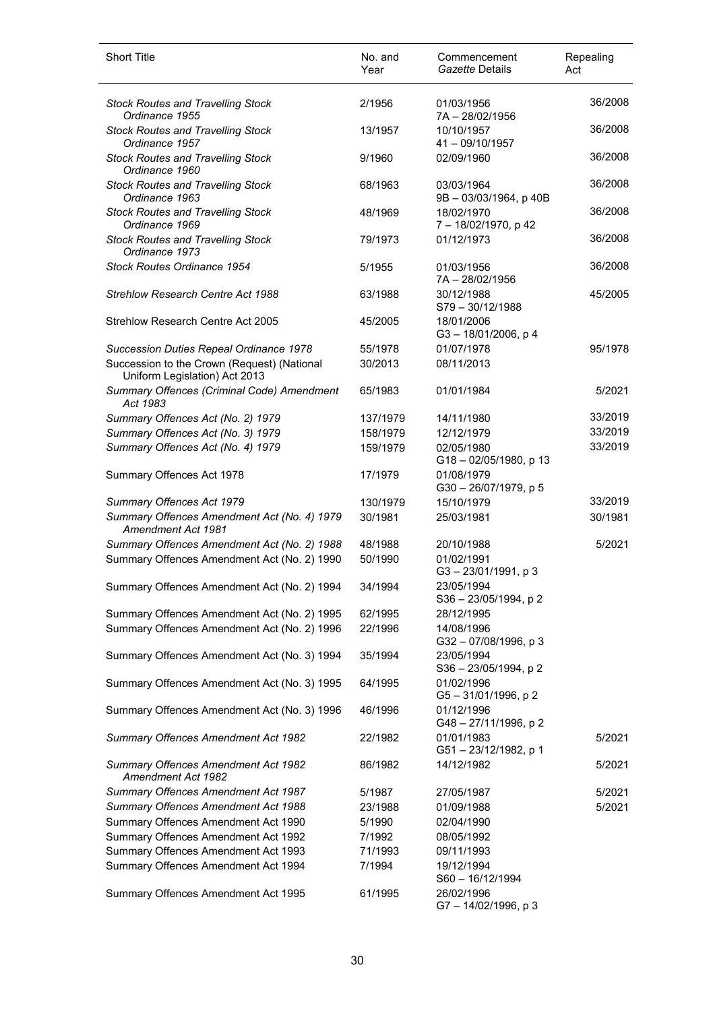| <b>Short Title</b>                                                           | No. and<br>Year | Commencement<br>Gazette Details        | Repealing<br>Act |
|------------------------------------------------------------------------------|-----------------|----------------------------------------|------------------|
| <b>Stock Routes and Travelling Stock</b><br>Ordinance 1955                   | 2/1956          | 01/03/1956<br>7A-28/02/1956            | 36/2008          |
| <b>Stock Routes and Travelling Stock</b><br>Ordinance 1957                   | 13/1957         | 10/10/1957<br>$41 - 09/10/1957$        | 36/2008          |
| <b>Stock Routes and Travelling Stock</b><br>Ordinance 1960                   | 9/1960          | 02/09/1960                             | 36/2008          |
| <b>Stock Routes and Travelling Stock</b><br>Ordinance 1963                   | 68/1963         | 03/03/1964<br>9B - 03/03/1964, p 40B   | 36/2008          |
| <b>Stock Routes and Travelling Stock</b><br>Ordinance 1969                   | 48/1969         | 18/02/1970<br>7-18/02/1970, p 42       | 36/2008          |
| <b>Stock Routes and Travelling Stock</b><br>Ordinance 1973                   | 79/1973         | 01/12/1973                             | 36/2008          |
| <b>Stock Routes Ordinance 1954</b>                                           | 5/1955          | 01/03/1956<br>7A-28/02/1956            | 36/2008          |
| <b>Strehlow Research Centre Act 1988</b>                                     | 63/1988         | 30/12/1988<br>$S79 - 30/12/1988$       | 45/2005          |
| Strehlow Research Centre Act 2005                                            | 45/2005         | 18/01/2006<br>G3-18/01/2006, p4        |                  |
| Succession Duties Repeal Ordinance 1978                                      | 55/1978         | 01/07/1978                             | 95/1978          |
| Succession to the Crown (Request) (National<br>Uniform Legislation) Act 2013 | 30/2013         | 08/11/2013                             |                  |
| Summary Offences (Criminal Code) Amendment<br>Act 1983                       | 65/1983         | 01/01/1984                             | 5/2021           |
| Summary Offences Act (No. 2) 1979                                            | 137/1979        | 14/11/1980                             | 33/2019          |
| Summary Offences Act (No. 3) 1979                                            | 158/1979        | 12/12/1979                             | 33/2019          |
| Summary Offences Act (No. 4) 1979                                            | 159/1979        | 02/05/1980<br>G18-02/05/1980, p 13     | 33/2019          |
| Summary Offences Act 1978                                                    | 17/1979         | 01/08/1979<br>G30-26/07/1979, p 5      |                  |
| Summary Offences Act 1979                                                    | 130/1979        | 15/10/1979                             | 33/2019          |
| Summary Offences Amendment Act (No. 4) 1979<br>Amendment Act 1981            | 30/1981         | 25/03/1981                             | 30/1981          |
| Summary Offences Amendment Act (No. 2) 1988                                  | 48/1988         | 20/10/1988                             | 5/2021           |
| Summary Offences Amendment Act (No. 2) 1990                                  | 50/1990         | 01/02/1991<br>G3-23/01/1991, p3        |                  |
| Summary Offences Amendment Act (No. 2) 1994                                  | 34/1994         | 23/05/1994<br>S36 - 23/05/1994, p 2    |                  |
| Summary Offences Amendment Act (No. 2) 1995                                  | 62/1995         | 28/12/1995                             |                  |
| Summary Offences Amendment Act (No. 2) 1996                                  | 22/1996         | 14/08/1996<br>G32-07/08/1996, p3       |                  |
| Summary Offences Amendment Act (No. 3) 1994                                  | 35/1994         | 23/05/1994<br>$S36 - 23/05/1994$ , p 2 |                  |
| Summary Offences Amendment Act (No. 3) 1995                                  | 64/1995         | 01/02/1996<br>G5-31/01/1996, p 2       |                  |
| Summary Offences Amendment Act (No. 3) 1996                                  | 46/1996         | 01/12/1996<br>G48-27/11/1996, p2       |                  |
| Summary Offences Amendment Act 1982                                          | 22/1982         | 01/01/1983<br>G51-23/12/1982, p 1      | 5/2021           |
| Summary Offences Amendment Act 1982<br>Amendment Act 1982                    | 86/1982         | 14/12/1982                             | 5/2021           |
| Summary Offences Amendment Act 1987                                          | 5/1987          | 27/05/1987                             | 5/2021           |
| Summary Offences Amendment Act 1988                                          | 23/1988         | 01/09/1988                             | 5/2021           |
| Summary Offences Amendment Act 1990                                          | 5/1990          | 02/04/1990                             |                  |
| Summary Offences Amendment Act 1992                                          | 7/1992          | 08/05/1992                             |                  |
| Summary Offences Amendment Act 1993                                          | 71/1993         | 09/11/1993                             |                  |
| Summary Offences Amendment Act 1994                                          | 7/1994          | 19/12/1994<br>S60 - 16/12/1994         |                  |
| Summary Offences Amendment Act 1995                                          | 61/1995         | 26/02/1996<br>G7-14/02/1996, p3        |                  |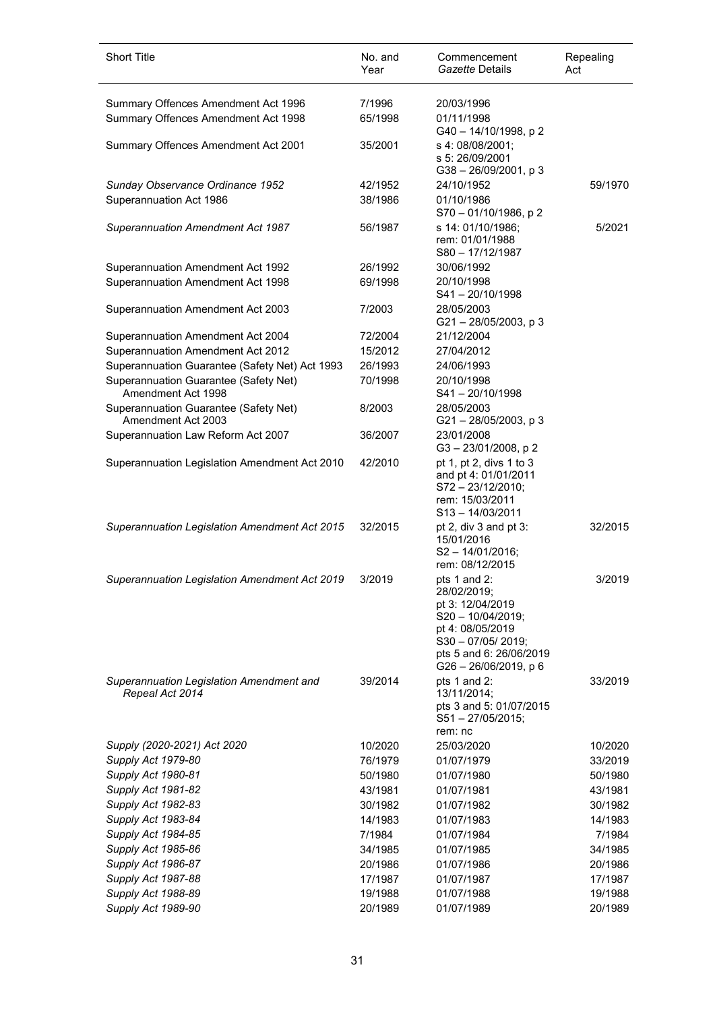| <b>Short Title</b>                                          | No. and<br>Year | Commencement<br>Gazette Details                                                                                                                                 | Repealing<br>Act |
|-------------------------------------------------------------|-----------------|-----------------------------------------------------------------------------------------------------------------------------------------------------------------|------------------|
| Summary Offences Amendment Act 1996                         | 7/1996          | 20/03/1996                                                                                                                                                      |                  |
| Summary Offences Amendment Act 1998                         | 65/1998         | 01/11/1998<br>G40-14/10/1998, p2                                                                                                                                |                  |
| Summary Offences Amendment Act 2001                         | 35/2001         | s 4: 08/08/2001;<br>s 5: 26/09/2001                                                                                                                             |                  |
|                                                             | 42/1952         | G38-26/09/2001, p3                                                                                                                                              |                  |
| Sunday Observance Ordinance 1952<br>Superannuation Act 1986 | 38/1986         | 24/10/1952<br>01/10/1986<br>S70-01/10/1986, p2                                                                                                                  | 59/1970          |
| <b>Superannuation Amendment Act 1987</b>                    | 56/1987         | s 14: 01/10/1986;<br>rem: 01/01/1988<br>S80-17/12/1987                                                                                                          | 5/2021           |
| Superannuation Amendment Act 1992                           | 26/1992         | 30/06/1992                                                                                                                                                      |                  |
| Superannuation Amendment Act 1998                           | 69/1998         | 20/10/1998<br>$S41 - 20/10/1998$                                                                                                                                |                  |
| Superannuation Amendment Act 2003                           | 7/2003          | 28/05/2003<br>$G21 - 28/05/2003$ , p 3                                                                                                                          |                  |
| Superannuation Amendment Act 2004                           | 72/2004         | 21/12/2004                                                                                                                                                      |                  |
| Superannuation Amendment Act 2012                           | 15/2012         | 27/04/2012                                                                                                                                                      |                  |
| Superannuation Guarantee (Safety Net) Act 1993              | 26/1993         | 24/06/1993                                                                                                                                                      |                  |
| Superannuation Guarantee (Safety Net)<br>Amendment Act 1998 | 70/1998         | 20/10/1998<br>$S41 - 20/10/1998$                                                                                                                                |                  |
| Superannuation Guarantee (Safety Net)<br>Amendment Act 2003 | 8/2003          | 28/05/2003<br>G21-28/05/2003, p3                                                                                                                                |                  |
| Superannuation Law Reform Act 2007                          | 36/2007         | 23/01/2008<br>G3-23/01/2008, p2                                                                                                                                 |                  |
| Superannuation Legislation Amendment Act 2010               | 42/2010         | pt 1, pt 2, divs 1 to 3<br>and pt 4: 01/01/2011<br>S72-23/12/2010;<br>rem: 15/03/2011<br>$S13 - 14/03/2011$                                                     |                  |
| Superannuation Legislation Amendment Act 2015               | 32/2015         | pt 2, div $3$ and pt $3$ :<br>15/01/2016<br>S2-14/01/2016;<br>rem: 08/12/2015                                                                                   | 32/2015          |
| Superannuation Legislation Amendment Act 2019               | 3/2019          | pts 1 and 2:<br>28/02/2019;<br>pt 3: 12/04/2019<br>$S20 - 10/04/2019;$<br>pt 4: 08/05/2019<br>S30-07/05/2019;<br>pts 5 and 6: 26/06/2019<br>G26-26/06/2019, p 6 | 3/2019           |
| Superannuation Legislation Amendment and<br>Repeal Act 2014 | 39/2014         | pts 1 and 2:<br>13/11/2014;<br>pts 3 and 5: 01/07/2015<br>$S51 - 27/05/2015$ ;<br>rem: nc                                                                       | 33/2019          |
| Supply (2020-2021) Act 2020                                 | 10/2020         | 25/03/2020                                                                                                                                                      | 10/2020          |
| Supply Act 1979-80                                          | 76/1979         | 01/07/1979                                                                                                                                                      | 33/2019          |
| Supply Act 1980-81                                          | 50/1980         | 01/07/1980                                                                                                                                                      | 50/1980          |
| Supply Act 1981-82                                          | 43/1981         | 01/07/1981                                                                                                                                                      | 43/1981          |
| Supply Act 1982-83                                          | 30/1982         | 01/07/1982                                                                                                                                                      | 30/1982          |
| Supply Act 1983-84                                          | 14/1983         | 01/07/1983                                                                                                                                                      | 14/1983          |
| Supply Act 1984-85                                          | 7/1984          | 01/07/1984                                                                                                                                                      | 7/1984           |
| Supply Act 1985-86                                          | 34/1985         | 01/07/1985                                                                                                                                                      | 34/1985          |
| Supply Act 1986-87                                          | 20/1986         | 01/07/1986                                                                                                                                                      | 20/1986          |
| Supply Act 1987-88                                          | 17/1987         | 01/07/1987                                                                                                                                                      | 17/1987          |
| Supply Act 1988-89                                          | 19/1988         | 01/07/1988                                                                                                                                                      | 19/1988          |
| Supply Act 1989-90                                          | 20/1989         | 01/07/1989                                                                                                                                                      | 20/1989          |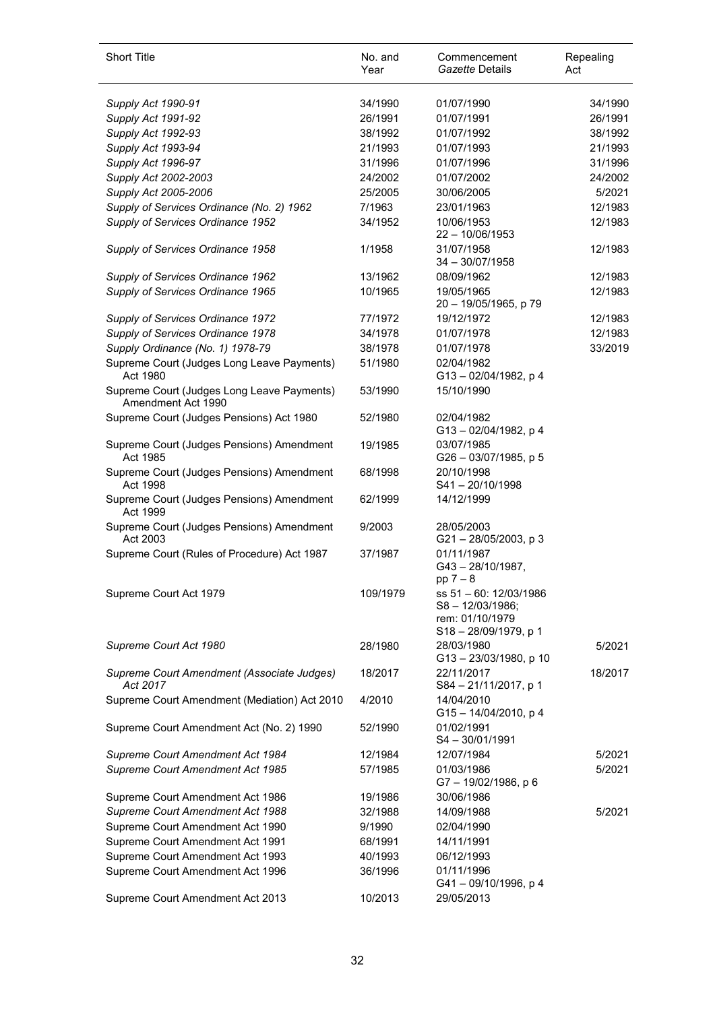| <b>Short Title</b>                                               | No. and<br>Year | Commencement<br>Gazette Details                                                         | Repealing<br>Act |
|------------------------------------------------------------------|-----------------|-----------------------------------------------------------------------------------------|------------------|
| Supply Act 1990-91                                               | 34/1990         | 01/07/1990                                                                              | 34/1990          |
| Supply Act 1991-92                                               | 26/1991         | 01/07/1991                                                                              | 26/1991          |
| Supply Act 1992-93                                               | 38/1992         | 01/07/1992                                                                              | 38/1992          |
| Supply Act 1993-94                                               | 21/1993         | 01/07/1993                                                                              | 21/1993          |
| Supply Act 1996-97                                               | 31/1996         | 01/07/1996                                                                              | 31/1996          |
| Supply Act 2002-2003                                             | 24/2002         | 01/07/2002                                                                              | 24/2002          |
| Supply Act 2005-2006                                             | 25/2005         | 30/06/2005                                                                              | 5/2021           |
| Supply of Services Ordinance (No. 2) 1962                        | 7/1963          | 23/01/1963                                                                              | 12/1983          |
| Supply of Services Ordinance 1952                                | 34/1952         | 10/06/1953<br>$22 - 10/06/1953$                                                         | 12/1983          |
| Supply of Services Ordinance 1958                                | 1/1958          | 31/07/1958<br>$34 - 30/07/1958$                                                         | 12/1983          |
| Supply of Services Ordinance 1962                                | 13/1962         | 08/09/1962                                                                              | 12/1983          |
| Supply of Services Ordinance 1965                                | 10/1965         | 19/05/1965<br>20 - 19/05/1965, p 79                                                     | 12/1983          |
| Supply of Services Ordinance 1972                                | 77/1972         | 19/12/1972                                                                              | 12/1983          |
| Supply of Services Ordinance 1978                                | 34/1978         | 01/07/1978                                                                              | 12/1983          |
| Supply Ordinance (No. 1) 1978-79                                 | 38/1978         | 01/07/1978                                                                              | 33/2019          |
| Supreme Court (Judges Long Leave Payments)<br>Act 1980           | 51/1980         | 02/04/1982<br>G13-02/04/1982, p4                                                        |                  |
| Supreme Court (Judges Long Leave Payments)<br>Amendment Act 1990 | 53/1990         | 15/10/1990                                                                              |                  |
| Supreme Court (Judges Pensions) Act 1980                         | 52/1980         | 02/04/1982<br>G13-02/04/1982, p4                                                        |                  |
| Supreme Court (Judges Pensions) Amendment<br>Act 1985            | 19/1985         | 03/07/1985<br>G26 - 03/07/1985, p 5                                                     |                  |
| Supreme Court (Judges Pensions) Amendment<br>Act 1998            | 68/1998         | 20/10/1998<br>$S41 - 20/10/1998$                                                        |                  |
| Supreme Court (Judges Pensions) Amendment<br>Act 1999            | 62/1999         | 14/12/1999                                                                              |                  |
| Supreme Court (Judges Pensions) Amendment<br>Act 2003            | 9/2003          | 28/05/2003<br>G21-28/05/2003, p3                                                        |                  |
| Supreme Court (Rules of Procedure) Act 1987                      | 37/1987         | 01/11/1987<br>$G43 - 28/10/1987$ ,<br>$pp 7 - 8$                                        |                  |
| Supreme Court Act 1979                                           | 109/1979        | ss 51 - 60: 12/03/1986<br>$S8 - 12/03/1986$ ;<br>rem: 01/10/1979<br>S18-28/09/1979, p 1 |                  |
| Supreme Court Act 1980                                           | 28/1980         | 28/03/1980<br>G13-23/03/1980, p 10                                                      | 5/2021           |
| Supreme Court Amendment (Associate Judges)<br>Act 2017           | 18/2017         | 22/11/2017<br>S84 - 21/11/2017, p 1                                                     | 18/2017          |
| Supreme Court Amendment (Mediation) Act 2010                     | 4/2010          | 14/04/2010<br>G15-14/04/2010, p4                                                        |                  |
| Supreme Court Amendment Act (No. 2) 1990                         | 52/1990         | 01/02/1991<br>S4-30/01/1991                                                             |                  |
| Supreme Court Amendment Act 1984                                 | 12/1984         | 12/07/1984                                                                              | 5/2021           |
| Supreme Court Amendment Act 1985                                 | 57/1985         | 01/03/1986<br>G7-19/02/1986, p 6                                                        | 5/2021           |
| Supreme Court Amendment Act 1986                                 | 19/1986         | 30/06/1986                                                                              |                  |
| Supreme Court Amendment Act 1988                                 | 32/1988         | 14/09/1988                                                                              | 5/2021           |
| Supreme Court Amendment Act 1990                                 | 9/1990          | 02/04/1990                                                                              |                  |
| Supreme Court Amendment Act 1991                                 | 68/1991         | 14/11/1991                                                                              |                  |
| Supreme Court Amendment Act 1993                                 | 40/1993         | 06/12/1993                                                                              |                  |
| Supreme Court Amendment Act 1996                                 | 36/1996         | 01/11/1996<br>G41-09/10/1996, p4                                                        |                  |
| Supreme Court Amendment Act 2013                                 | 10/2013         | 29/05/2013                                                                              |                  |